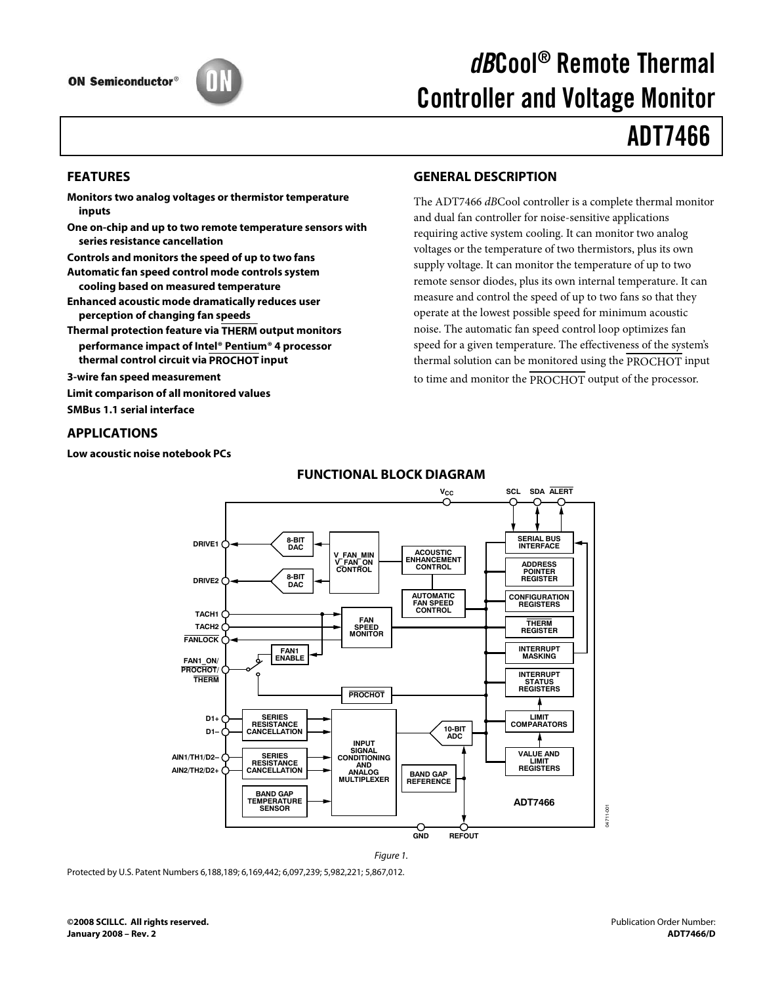

# dBCool® Remote Thermal Controller and Voltage Monitor

# ADT7466

### **FEATURES**

- **Monitors two analog voltages or thermistor temperature inputs**
- **One on-chip and up to two remote temperature sensors with series resistance cancellation**
- **Controls and monitors the speed of up to two fans**
- **Automatic fan speed control mode controls system cooling based on measured temperature**
- **Enhanced acoustic mode dramatically reduces user perception of changing fan speeds**
- **Thermal protection feature via THERM output monitors performance impact of Intel® Pentium® 4 processor thermal control circuit via PROCHOT input**
- **3-wire fan speed measurement**
- **Limit comparison of all monitored values**
- **SMBus 1.1 serial interface**

### **APPLICATIONS**

**Low acoustic noise notebook PCs** 

# **GENERAL DESCRIPTION**

The ADT7466 dBCool controller is a complete thermal monitor and dual fan controller for noise-sensitive applications requiring active system cooling. It can monitor two analog voltages or the temperature of two thermistors, plus its own supply voltage. It can monitor the temperature of up to two remote sensor diodes, plus its own internal temperature. It can measure and control the speed of up to two fans so that they operate at the lowest possible speed for minimum acoustic noise. The automatic fan speed control loop optimizes fan speed for a given temperature. The effectiveness of the system's thermal solution can be monitored using the PROCHOT input to time and monitor the PROCHOT output of the processor.



Figure 1.

# **FUNCTIONAL BLOCK DIAGRAM**

Protected by U.S. Patent Numbers 6,188,189; 6,169,442; 6,097,239; 5,982,221; 5,867,012.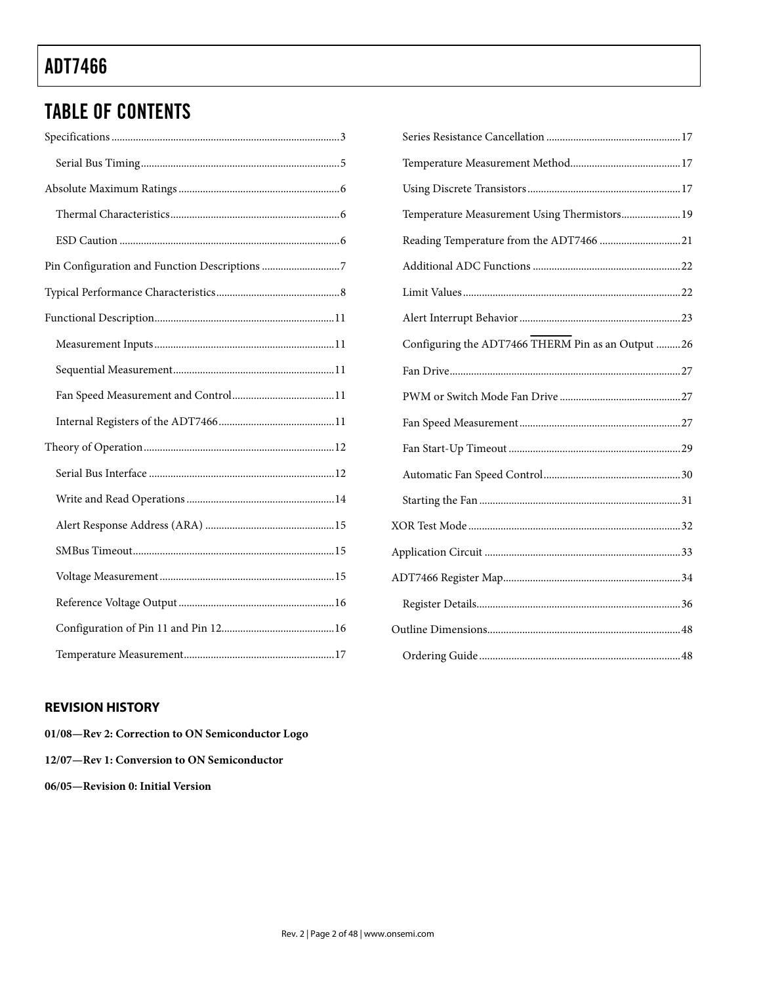# TABLE OF CONTENTS

| Temperature Measurement Using Thermistors 19      |  |
|---------------------------------------------------|--|
| Reading Temperature from the ADT7466 21           |  |
|                                                   |  |
|                                                   |  |
|                                                   |  |
| Configuring the ADT7466 THERM Pin as an Output 26 |  |
|                                                   |  |
|                                                   |  |
|                                                   |  |
|                                                   |  |
|                                                   |  |
|                                                   |  |
|                                                   |  |
|                                                   |  |
|                                                   |  |
|                                                   |  |
|                                                   |  |
|                                                   |  |

# **REVISION HISTORY**

| 01/08—Rev 2: Correction to ON Semiconductor Logo |
|--------------------------------------------------|
| 12/07—Rev 1: Conversion to ON Semiconductor      |
| 06/05—Revision 0: Initial Version                |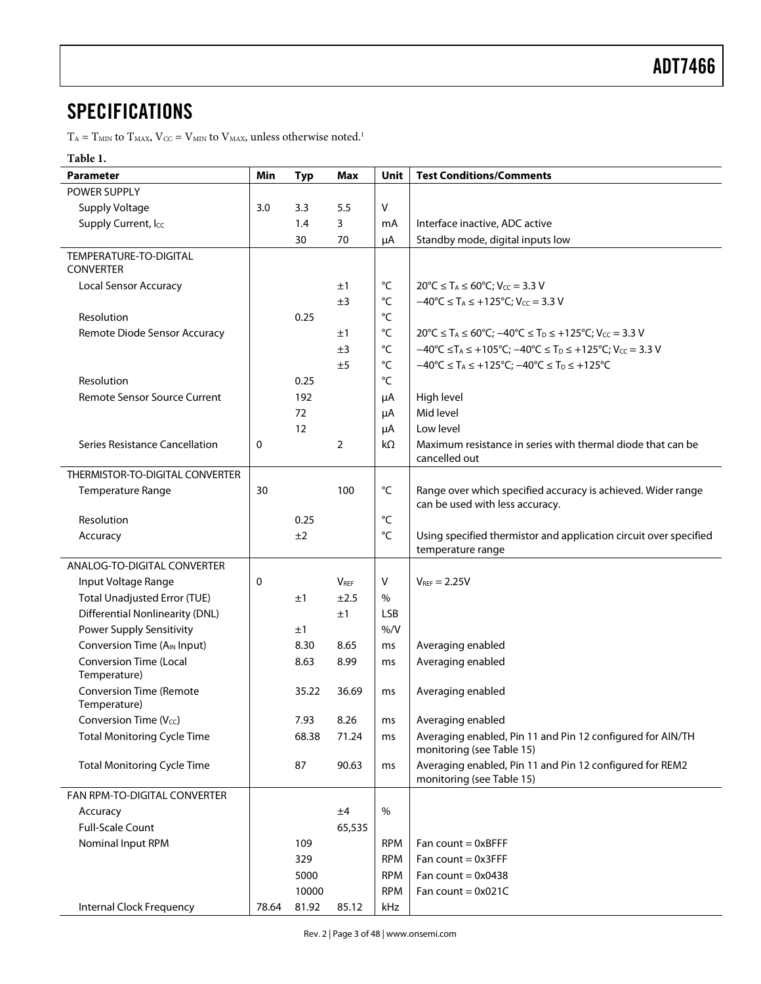# **SPECIFICATIONS**

 $\rm T_A = T_{MIN}$  to  $\rm T_{MAX},$   $\rm V_{CC} = \rm V_{MIN}$  to  $\rm V_{MAX}$  unless otherwise noted. $^1$ 

# **Table 1.**

| <b>Parameter</b>                              | Min   | <b>Typ</b> | Max       | Unit              | <b>Test Conditions/Comments</b>                                                                                                   |
|-----------------------------------------------|-------|------------|-----------|-------------------|-----------------------------------------------------------------------------------------------------------------------------------|
| <b>POWER SUPPLY</b>                           |       |            |           |                   |                                                                                                                                   |
| <b>Supply Voltage</b>                         | 3.0   | 3.3        | 5.5       | V                 |                                                                                                                                   |
| Supply Current, Icc                           |       | 1.4        | 3         | mA                | Interface inactive, ADC active                                                                                                    |
|                                               |       | 30         | 70        | μA                | Standby mode, digital inputs low                                                                                                  |
| TEMPERATURE-TO-DIGITAL<br><b>CONVERTER</b>    |       |            |           |                   |                                                                                                                                   |
| <b>Local Sensor Accuracy</b>                  |       |            | ±1        | °C                | $20^{\circ}C \leq T_A \leq 60^{\circ}C$ ; $V_{CC} = 3.3 V$                                                                        |
|                                               |       |            | ±3        | $^{\circ}$ C      | $-40^{\circ}C \leq T_A \leq +125^{\circ}C$ ; $V_{CC} = 3.3 V$                                                                     |
| Resolution                                    |       | 0.25       |           | °C                |                                                                                                                                   |
| Remote Diode Sensor Accuracy                  |       |            | ±1        | $^{\circ}{\sf C}$ | $20^{\circ}$ C $\leq$ T <sub>A</sub> $\leq$ 60°C; $-40^{\circ}$ C $\leq$ T <sub>D</sub> $\leq$ +125°C; V <sub>CC</sub> = 3.3 V    |
|                                               |       |            | ±3        | $^{\circ}{\sf C}$ | $-40^{\circ}$ C $\leq$ T <sub>A</sub> $\leq$ +105°C; $-40^{\circ}$ C $\leq$ T <sub>D</sub> $\leq$ +125°C; V <sub>CC</sub> = 3.3 V |
|                                               |       |            | ±5        | $^{\circ}{\sf C}$ | $-40^{\circ}C \leq T_A \leq +125^{\circ}C$ ; $-40^{\circ}C \leq T_D \leq +125^{\circ}C$                                           |
| Resolution                                    |       | 0.25       |           | °C                |                                                                                                                                   |
| Remote Sensor Source Current                  |       | 192        |           | μA                | High level                                                                                                                        |
|                                               |       | 72         |           | μA                | Mid level                                                                                                                         |
|                                               |       | 12         |           | μA                | Low level                                                                                                                         |
| Series Resistance Cancellation                | 0     |            | 2         | kΩ                | Maximum resistance in series with thermal diode that can be<br>cancelled out                                                      |
| THERMISTOR-TO-DIGITAL CONVERTER               |       |            |           |                   |                                                                                                                                   |
| Temperature Range                             | 30    |            | 100       | °C                | Range over which specified accuracy is achieved. Wider range<br>can be used with less accuracy.                                   |
| Resolution                                    |       | 0.25       |           | $^{\circ}$ C      |                                                                                                                                   |
| Accuracy                                      |       | ±2         |           | °C                | Using specified thermistor and application circuit over specified                                                                 |
|                                               |       |            |           |                   | temperature range                                                                                                                 |
| ANALOG-TO-DIGITAL CONVERTER                   |       |            |           |                   |                                                                                                                                   |
| Input Voltage Range                           | 0     |            | $V_{REF}$ | V                 | $V_{REF} = 2.25V$                                                                                                                 |
| <b>Total Unadjusted Error (TUE)</b>           |       | ±1         | ±2.5      | $\%$              |                                                                                                                                   |
| <b>Differential Nonlinearity (DNL)</b>        |       |            | ±1        | <b>LSB</b>        |                                                                                                                                   |
| <b>Power Supply Sensitivity</b>               |       | ±1         |           | % / V             |                                                                                                                                   |
| Conversion Time (A <sub>IN</sub> Input)       |       | 8.30       | 8.65      | ms                | Averaging enabled                                                                                                                 |
| <b>Conversion Time (Local</b><br>Temperature) |       | 8.63       | 8.99      | ms                | Averaging enabled                                                                                                                 |
| <b>Conversion Time (Remote</b>                |       | 35.22      | 36.69     | ms                | Averaging enabled                                                                                                                 |
| Temperature)                                  |       |            |           |                   |                                                                                                                                   |
| Conversion Time $(V_{cc})$                    |       | 7.93       | 8.26      | ms                | Averaging enabled                                                                                                                 |
| <b>Total Monitoring Cycle Time</b>            |       | 68.38      | 71.24     | ms                | Averaging enabled, Pin 11 and Pin 12 configured for AIN/TH<br>monitoring (see Table 15)                                           |
| <b>Total Monitoring Cycle Time</b>            |       | 87         | 90.63     | ms                | Averaging enabled, Pin 11 and Pin 12 configured for REM2<br>monitoring (see Table 15)                                             |
| FAN RPM-TO-DIGITAL CONVERTER                  |       |            |           |                   |                                                                                                                                   |
| Accuracy                                      |       |            | ±4        | $\%$              |                                                                                                                                   |
| <b>Full-Scale Count</b>                       |       |            | 65,535    |                   |                                                                                                                                   |
| Nominal Input RPM                             |       | 109        |           | <b>RPM</b>        | Fan count $= 0xBFFF$                                                                                                              |
|                                               |       | 329        |           | <b>RPM</b>        | Fan count $= 0x3$ FFF                                                                                                             |
|                                               |       | 5000       |           | <b>RPM</b>        | Fan count = $0x0438$                                                                                                              |
|                                               |       | 10000      |           | <b>RPM</b>        | Fan count = $0x021C$                                                                                                              |
| Internal Clock Frequency                      | 78.64 | 81.92      | 85.12     | kHz               |                                                                                                                                   |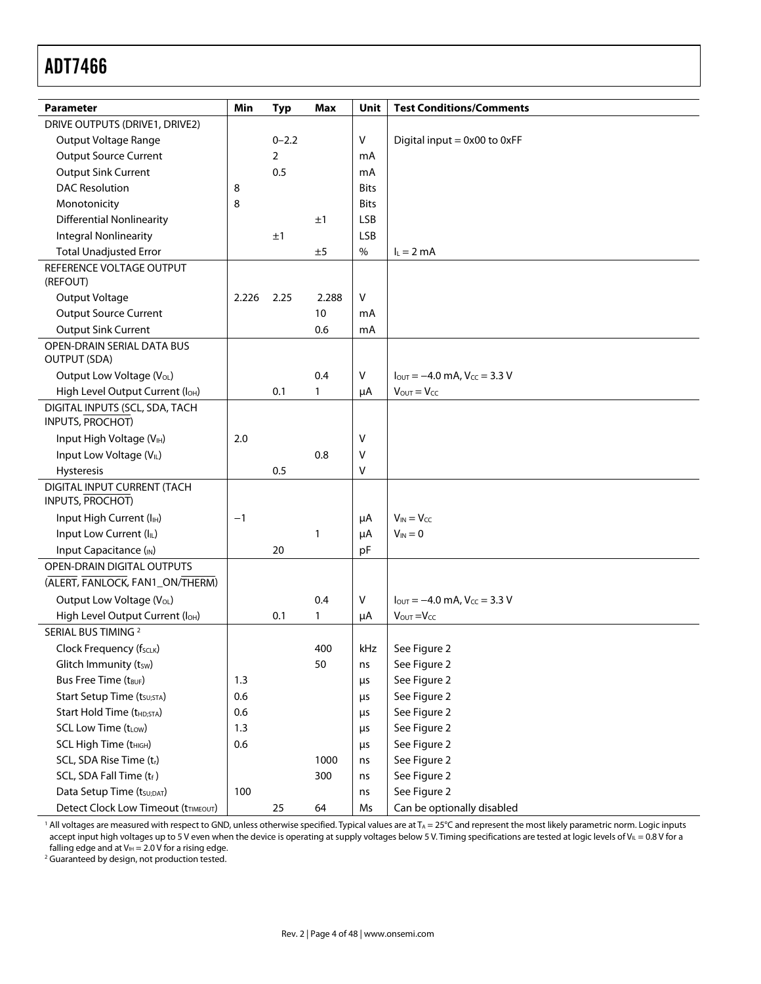| <b>Parameter</b>                                         | Min   | <b>Typ</b> | Max   | Unit        | <b>Test Conditions/Comments</b>                                      |
|----------------------------------------------------------|-------|------------|-------|-------------|----------------------------------------------------------------------|
| DRIVE OUTPUTS (DRIVE1, DRIVE2)                           |       |            |       |             |                                                                      |
| Output Voltage Range                                     |       | $0 - 2.2$  |       | V           | Digital input = 0x00 to 0xFF                                         |
| <b>Output Source Current</b>                             |       | 2          |       | mA          |                                                                      |
| <b>Output Sink Current</b>                               |       | 0.5        |       | mA          |                                                                      |
| <b>DAC Resolution</b>                                    | 8     |            |       | <b>Bits</b> |                                                                      |
| Monotonicity                                             | 8     |            |       | <b>Bits</b> |                                                                      |
| <b>Differential Nonlinearity</b>                         |       |            | ±1    | <b>LSB</b>  |                                                                      |
| <b>Integral Nonlinearity</b>                             |       | ±1         |       | <b>LSB</b>  |                                                                      |
| <b>Total Unadjusted Error</b>                            |       |            | ±5    | $\%$        | $I_L = 2 mA$                                                         |
| REFERENCE VOLTAGE OUTPUT                                 |       |            |       |             |                                                                      |
| (REFOUT)                                                 |       |            |       |             |                                                                      |
| Output Voltage                                           | 2.226 | 2.25       | 2.288 | v           |                                                                      |
| <b>Output Source Current</b>                             |       |            | 10    | mA          |                                                                      |
| Output Sink Current                                      |       |            | 0.6   | mA          |                                                                      |
| <b>OPEN-DRAIN SERIAL DATA BUS</b><br><b>OUTPUT (SDA)</b> |       |            |       |             |                                                                      |
| Output Low Voltage (VoL)                                 |       |            | 0.4   | V           | $I_{\text{OUT}} = -4.0 \text{ mA}$ , $V_{\text{CC}} = 3.3 \text{ V}$ |
| High Level Output Current (loH)                          |       | 0.1        | 1     | μA          | $V_{\text{OUT}} = V_{\text{CC}}$                                     |
| DIGITAL INPUTS (SCL, SDA, TACH<br>INPUTS, PROCHOT)       |       |            |       |             |                                                                      |
| Input High Voltage (VIH)                                 | 2.0   |            |       | ٧           |                                                                      |
| Input Low Voltage (VIL)                                  |       |            | 0.8   | V           |                                                                      |
| Hysteresis                                               |       | 0.5        |       | V           |                                                                      |
| DIGITAL INPUT CURRENT (TACH<br><b>INPUTS, PROCHOT)</b>   |       |            |       |             |                                                                      |
| Input High Current (I <sub>IH</sub> )                    | $-1$  |            |       | μA          | $V_{IN} = V_{CC}$                                                    |
| Input Low Current (IL)                                   |       |            | 1     | μA          | $V_{IN} = 0$                                                         |
| Input Capacitance (IN)                                   |       | 20         |       | pF          |                                                                      |
| <b>OPEN-DRAIN DIGITAL OUTPUTS</b>                        |       |            |       |             |                                                                      |
| (ALERT, FANLOCK, FAN1_ON/THERM)                          |       |            |       |             |                                                                      |
| Output Low Voltage (VOL)                                 |       |            | 0.4   | V           | $I_{\text{OUT}} = -4.0 \text{ mA}$ , $V_{\text{CC}} = 3.3 \text{ V}$ |
| High Level Output Current (loH)                          |       | 0.1        | 1     | μA          | $V_{\text{OUT}} = V_{\text{CC}}$                                     |
| SERIAL BUS TIMING <sup>2</sup>                           |       |            |       |             |                                                                      |
| Clock Frequency (fscLK)                                  |       |            | 400   | kHz         | See Figure 2                                                         |
| Glitch Immunity (tsw)                                    |       |            | 50    | ns          | See Figure 2                                                         |
| Bus Free Time (t <sub>BUF</sub> )                        | 1.3   |            |       | $\mu$ s     | See Figure 2                                                         |
| Start Setup Time (t <sub>SU;STA</sub> )                  | 0.6   |            |       | $\mu$ s     | See Figure 2                                                         |
| Start Hold Time (t <sub>HD;STA</sub> )                   | 0.6   |            |       | $\mu$ s     | See Figure 2                                                         |
| SCL Low Time (tLow)                                      | 1.3   |            |       | μs          | See Figure 2                                                         |
| SCL High Time (t <sub>HIGH</sub> )                       | 0.6   |            |       | μs          | See Figure 2                                                         |
| SCL, SDA Rise Time (tr)                                  |       |            | 1000  | ns          | See Figure 2                                                         |
| SCL, SDA Fall Time (tf)                                  |       |            | 300   | ns          | See Figure 2                                                         |
| Data Setup Time (tsu;DAT)                                | 100   |            |       | ns          | See Figure 2                                                         |
| Detect Clock Low Timeout (tTIMEOUT)                      |       | 25         | 64    | Ms          | Can be optionally disabled                                           |

 $^1$  All voltages are measured with respect to GND, unless otherwise specified. Typical values are at T $_\mathrm{A}$  = 25°C and represent the most likely parametric norm. Logic inputs accept input high voltages up to 5 V even when the device is operating at supply voltages below 5 V. Timing specifications are tested at logic levels of V $_{\rm I\!I}$  = 0.8 V for a falling edge and at V<sub>IH</sub> = 2.0 V for a rising edge.<br><sup>2</sup> Guaranteed by design, not production tested

<sup>2</sup> Guaranteed by design, not production tested.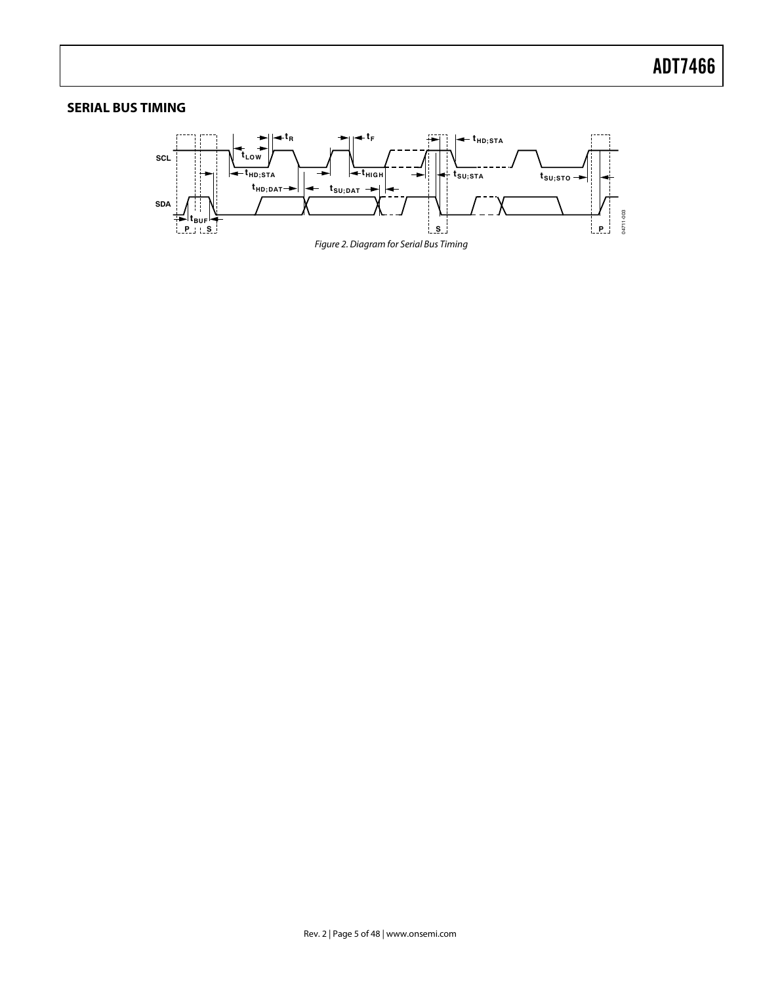# **SERIAL BUS TIMING**

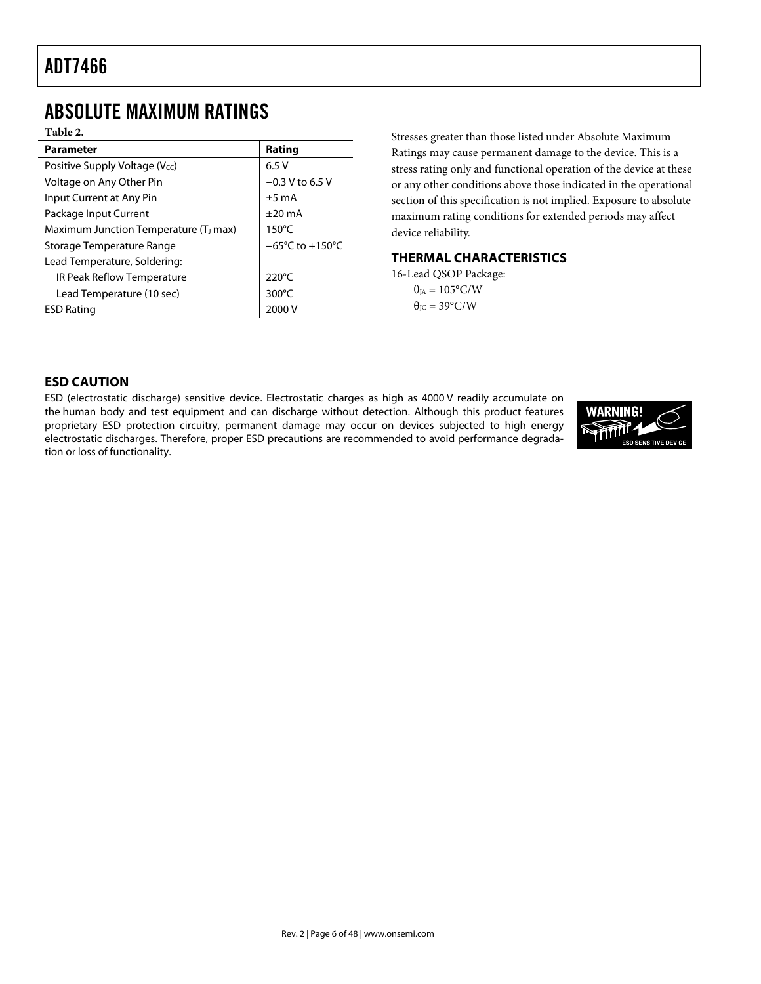# ABSOLUTE MAXIMUM RATINGS

**Table 2.** 

| <b>Parameter</b>                                                 | Rating            |  |
|------------------------------------------------------------------|-------------------|--|
| Positive Supply Voltage ( $V_{\text{cc}}$ )                      | 6.5V              |  |
| Voltage on Any Other Pin                                         | $-0.3$ V to 6.5 V |  |
| Input Current at Any Pin                                         | $±5$ mA           |  |
| Package Input Current                                            | $+20 \text{ mA}$  |  |
| Maximum Junction Temperature (T <sub>J</sub> max)                | $150^{\circ}$ C   |  |
| $-65^{\circ}$ C to $+150^{\circ}$ C<br>Storage Temperature Range |                   |  |
| Lead Temperature, Soldering:                                     |                   |  |
| IR Peak Reflow Temperature                                       | 220 $\degree$ C   |  |
| Lead Temperature (10 sec)                                        | $300^{\circ}$ C   |  |
| <b>ESD Rating</b>                                                | 2000 V            |  |

Stresses greater than those listed under Absolute Maximum Ratings may cause permanent damage to the device. This is a stress rating only and functional operation of the device at these or any other conditions above those indicated in the operational section of this specification is not implied. Exposure to absolute maximum rating conditions for extended periods may affect device reliability.

### **THERMAL CHARACTERISTICS**

16-Lead QSOP Package:  $\theta_{JA} = 105^{\circ}$ C/W  $\theta_{\text{JC}} = 39^{\circ}$ C/W

# **ESD CAUTION**

ESD (electrostatic discharge) sensitive device. Electrostatic charges as high as 4000 V readily accumulate on the human body and test equipment and can discharge without detection. Although this product features proprietary ESD protection circuitry, permanent damage may occur on devices subjected to high energy electrostatic discharges. Therefore, proper ESD precautions are recommended to avoid performance degradation or loss of functionality.

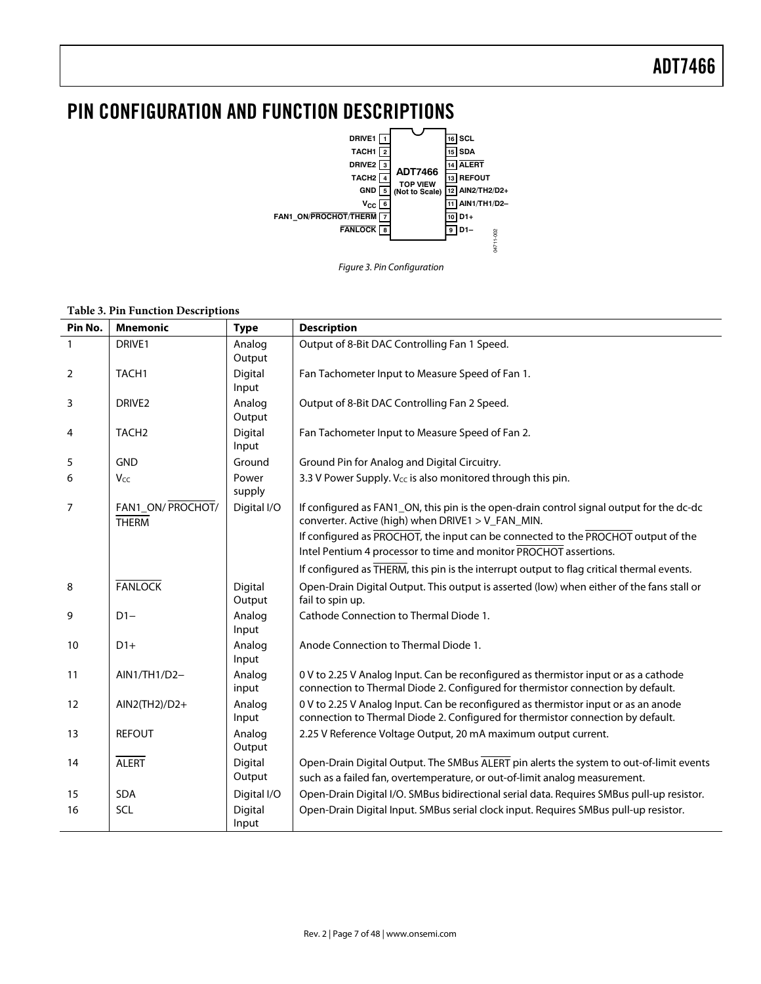# PIN CONFIGURATION AND FUNCTION DESCRIPTIONS





#### **Table 3. Pin Function Descriptions**

| Pin No. | <b>Mnemonic</b>                   | <b>Type</b>       | <b>Description</b>                                                                                                                                                     |
|---------|-----------------------------------|-------------------|------------------------------------------------------------------------------------------------------------------------------------------------------------------------|
| 1       | DRIVE1                            | Analog<br>Output  | Output of 8-Bit DAC Controlling Fan 1 Speed.                                                                                                                           |
| 2       | TACH <sub>1</sub>                 | Digital<br>Input  | Fan Tachometer Input to Measure Speed of Fan 1.                                                                                                                        |
| 3       | DRIVE <sub>2</sub>                | Analog<br>Output  | Output of 8-Bit DAC Controlling Fan 2 Speed.                                                                                                                           |
| 4       | TACH <sub>2</sub>                 | Digital<br>Input  | Fan Tachometer Input to Measure Speed of Fan 2.                                                                                                                        |
| 5       | <b>GND</b>                        | Ground            | Ground Pin for Analog and Digital Circuitry.                                                                                                                           |
| 6       | Vcc                               | Power<br>supply   | 3.3 V Power Supply. V <sub>cc</sub> is also monitored through this pin.                                                                                                |
| 7       | FAN1_ON/ PROCHOT/<br><b>THERM</b> | Digital I/O       | If configured as FAN1_ON, this pin is the open-drain control signal output for the dc-dc<br>converter. Active (high) when DRIVE1 > V_FAN_MIN.                          |
|         |                                   |                   | If configured as PROCHOT, the input can be connected to the PROCHOT output of the<br>Intel Pentium 4 processor to time and monitor PROCHOT assertions.                 |
|         |                                   |                   | If configured as THERM, this pin is the interrupt output to flag critical thermal events.                                                                              |
| 8       | <b>FANLOCK</b>                    | Digital<br>Output | Open-Drain Digital Output. This output is asserted (low) when either of the fans stall or<br>fail to spin up.                                                          |
| 9       | $D1-$                             | Analog<br>Input   | Cathode Connection to Thermal Diode 1.                                                                                                                                 |
| 10      | $D1+$                             | Analog<br>Input   | Anode Connection to Thermal Diode 1.                                                                                                                                   |
| 11      | $AlN1/TH1/D2-$                    | Analog<br>input   | 0 V to 2.25 V Analog Input. Can be reconfigured as thermistor input or as a cathode<br>connection to Thermal Diode 2. Configured for thermistor connection by default. |
| 12      | $AlN2$ (TH2)/D2+                  | Analog<br>Input   | 0 V to 2.25 V Analog Input. Can be reconfigured as thermistor input or as an anode<br>connection to Thermal Diode 2. Configured for thermistor connection by default.  |
| 13      | <b>REFOUT</b>                     | Analog<br>Output  | 2.25 V Reference Voltage Output, 20 mA maximum output current.                                                                                                         |
| 14      | <b>ALERT</b>                      | Digital<br>Output | Open-Drain Digital Output. The SMBus ALERT pin alerts the system to out-of-limit events<br>such as a failed fan, overtemperature, or out-of-limit analog measurement.  |
| 15      | <b>SDA</b>                        | Digital I/O       | Open-Drain Digital I/O. SMBus bidirectional serial data. Requires SMBus pull-up resistor.                                                                              |
| 16      | <b>SCL</b>                        | Digital<br>Input  | Open-Drain Digital Input. SMBus serial clock input. Requires SMBus pull-up resistor.                                                                                   |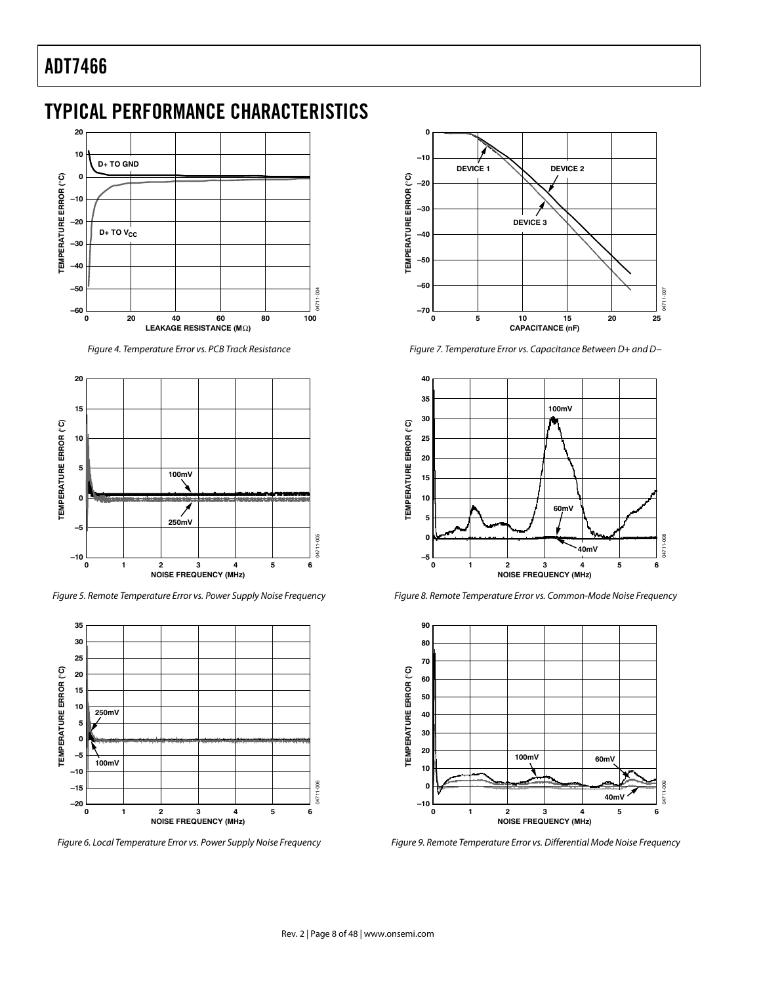# TYPICAL PERFORMANCE CHARACTERISTICS



Figure 4. Temperature Error vs. PCB Track Resistance



Figure 5. Remote Temperature Error vs. Power Supply Noise Frequency



Figure 6. Local Temperature Error vs. Power Supply Noise Frequency



Figure 7. Temperature Error vs. Capacitance Between D+ and D−



Figure 8. Remote Temperature Error vs. Common-Mode Noise Frequency



Figure 9. Remote Temperature Error vs. Differential Mode Noise Frequency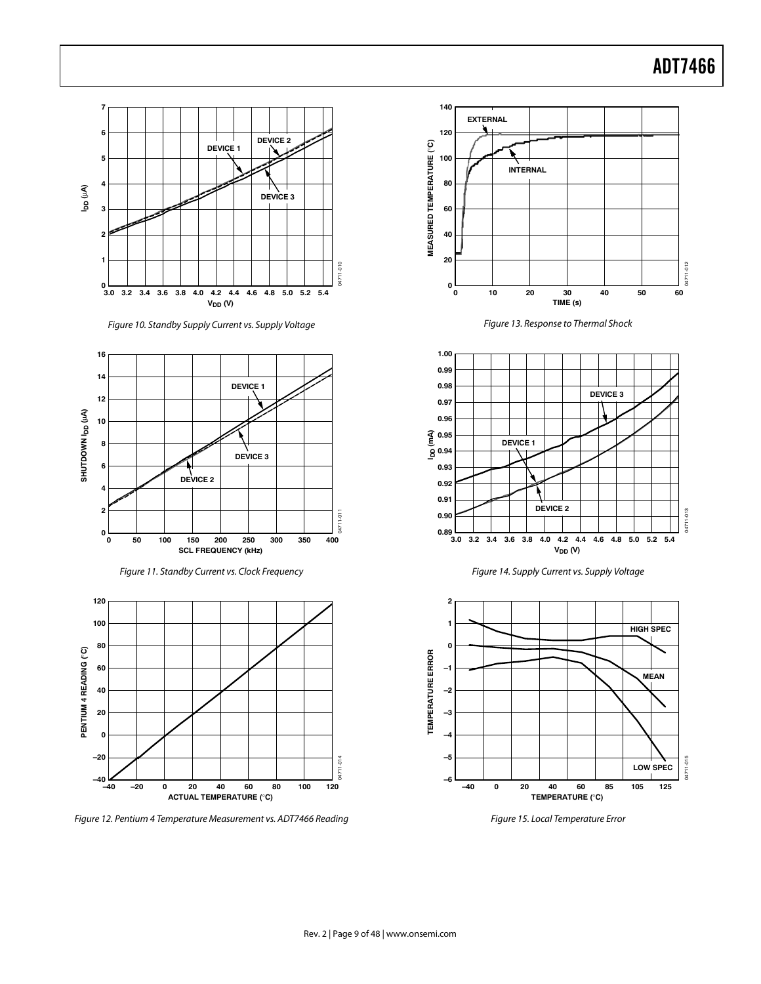

Figure 10. Standby Supply Current vs. Supply Voltage







Figure 12. Pentium 4 Temperature Measurement vs. ADT7466 Reading



Figure 13. Response to Thermal Shock







Figure 15. Local Temperature Error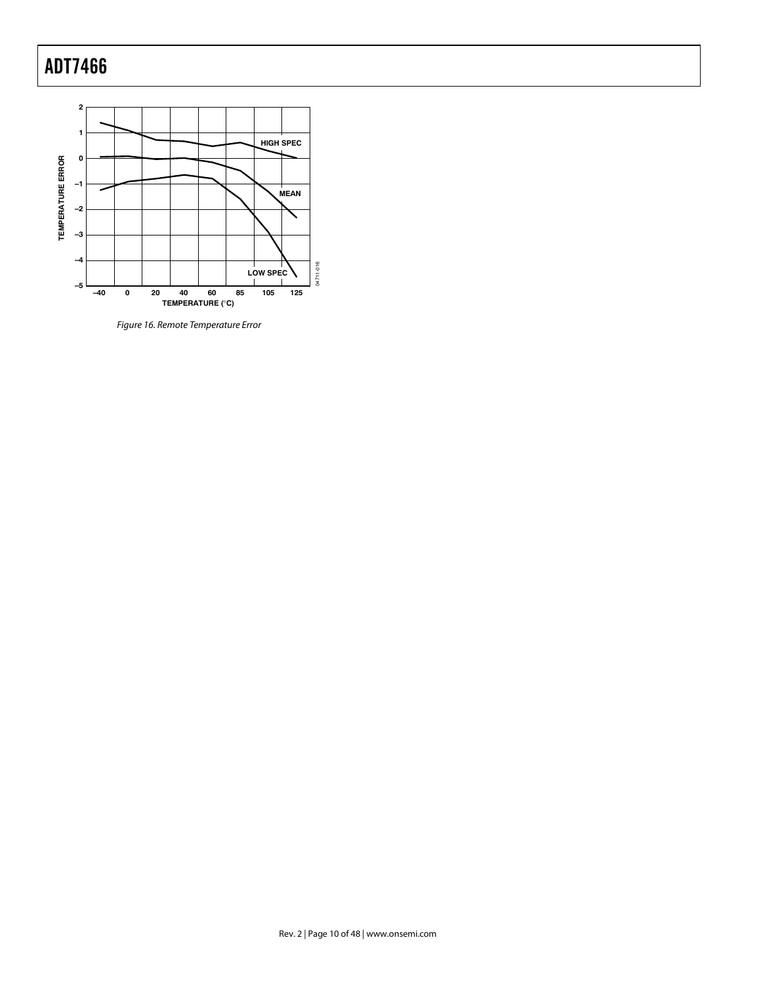

Figure 16. Remote Temperature Error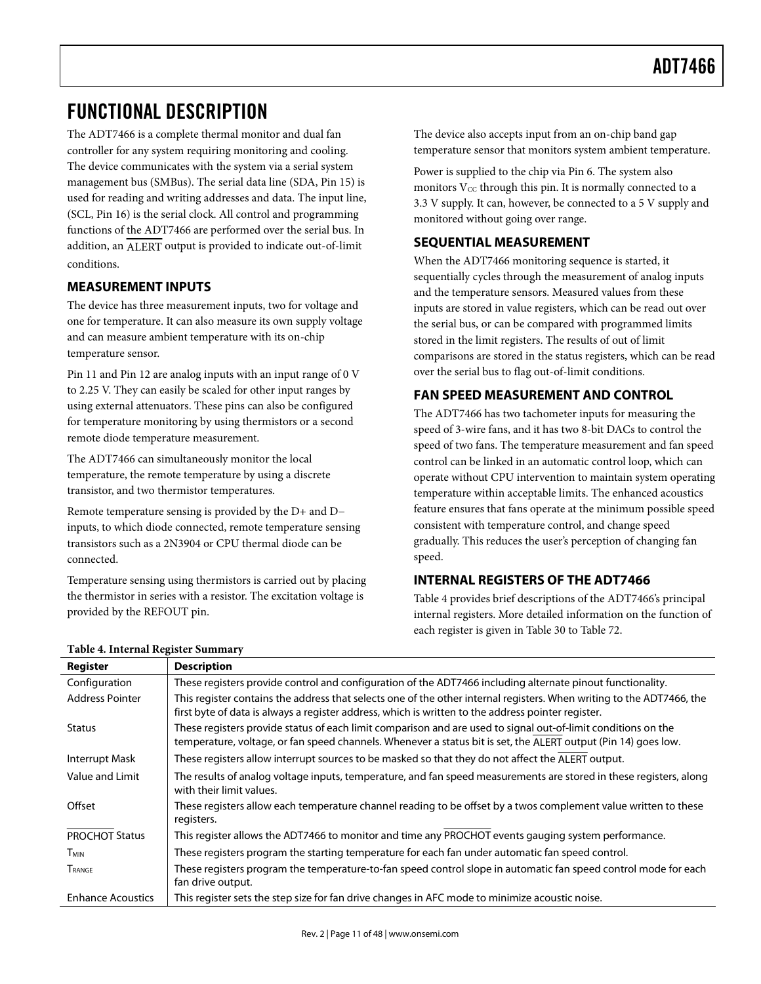# FUNCTIONAL DESCRIPTION

The ADT7466 is a complete thermal monitor and dual fan controller for any system requiring monitoring and cooling. The device communicates with the system via a serial system management bus (SMBus). The serial data line (SDA, Pin 15) is used for reading and writing addresses and data. The input line, (SCL, Pin 16) is the serial clock. All control and programming functions of the ADT7466 are performed over the serial bus. In addition, an ALERT output is provided to indicate out-of-limit conditions.

# **MEASUREMENT INPUTS**

The device has three measurement inputs, two for voltage and one for temperature. It can also measure its own supply voltage and can measure ambient temperature with its on-chip temperature sensor.

Pin 11 and Pin 12 are analog inputs with an input range of 0 V to 2.25 V. They can easily be scaled for other input ranges by using external attenuators. These pins can also be configured for temperature monitoring by using thermistors or a second remote diode temperature measurement.

The ADT7466 can simultaneously monitor the local temperature, the remote temperature by using a discrete transistor, and two thermistor temperatures.

Remote temperature sensing is provided by the D+ and D− inputs, to which diode connected, remote temperature sensing transistors such as a 2N3904 or CPU thermal diode can be connected.

Temperature sensing using thermistors is carried out by placing the thermistor in series with a resistor. The excitation voltage is provided by the REFOUT pin.

The device also accepts input from an on-chip band gap temperature sensor that monitors system ambient temperature.

Power is supplied to the chip via Pin 6. The system also monitors  $V_{CC}$  through this pin. It is normally connected to a 3.3 V supply. It can, however, be connected to a 5 V supply and monitored without going over range.

# **SEQUENTIAL MEASUREMENT**

When the ADT7466 monitoring sequence is started, it sequentially cycles through the measurement of analog inputs and the temperature sensors. Measured values from these inputs are stored in value registers, which can be read out over the serial bus, or can be compared with programmed limits stored in the limit registers. The results of out of limit comparisons are stored in the status registers, which can be read over the serial bus to flag out-of-limit conditions.

### **FAN SPEED MEASUREMENT AND CONTROL**

The ADT7466 has two tachometer inputs for measuring the speed of 3-wire fans, and it has two 8-bit DACs to control the speed of two fans. The temperature measurement and fan speed control can be linked in an automatic control loop, which can operate without CPU intervention to maintain system operating temperature within acceptable limits. The enhanced acoustics feature ensures that fans operate at the minimum possible speed consistent with temperature control, and change speed gradually. This reduces the user's perception of changing fan speed.

#### **INTERNAL REGISTERS OF THE ADT7466**

Table 4 provides brief descriptions of the ADT7466's principal internal registers. More detailed information on the function of each register is given in Table 30 to Table 72.

| Register                 | <b>Description</b>                                                                                                                                                                                                              |
|--------------------------|---------------------------------------------------------------------------------------------------------------------------------------------------------------------------------------------------------------------------------|
| Configuration            | These registers provide control and configuration of the ADT7466 including alternate pinout functionality.                                                                                                                      |
| <b>Address Pointer</b>   | This register contains the address that selects one of the other internal registers. When writing to the ADT7466, the<br>first byte of data is always a register address, which is written to the address pointer register.     |
| <b>Status</b>            | These registers provide status of each limit comparison and are used to signal out-of-limit conditions on the<br>temperature, voltage, or fan speed channels. Whenever a status bit is set, the ALERT output (Pin 14) goes low. |
| Interrupt Mask           | These registers allow interrupt sources to be masked so that they do not affect the ALERT output.                                                                                                                               |
| Value and Limit          | The results of analog voltage inputs, temperature, and fan speed measurements are stored in these registers, along<br>with their limit values.                                                                                  |
| Offset                   | These registers allow each temperature channel reading to be offset by a twos complement value written to these<br>registers.                                                                                                   |
| <b>PROCHOT Status</b>    | This register allows the ADT7466 to monitor and time any PROCHOT events gauging system performance.                                                                                                                             |
| <b>T<sub>MIN</sub></b>   | These registers program the starting temperature for each fan under automatic fan speed control.                                                                                                                                |
| TRANGE                   | These registers program the temperature-to-fan speed control slope in automatic fan speed control mode for each<br>fan drive output.                                                                                            |
| <b>Enhance Acoustics</b> | This register sets the step size for fan drive changes in AFC mode to minimize acoustic noise.                                                                                                                                  |

#### **Table 4. Internal Register Summary**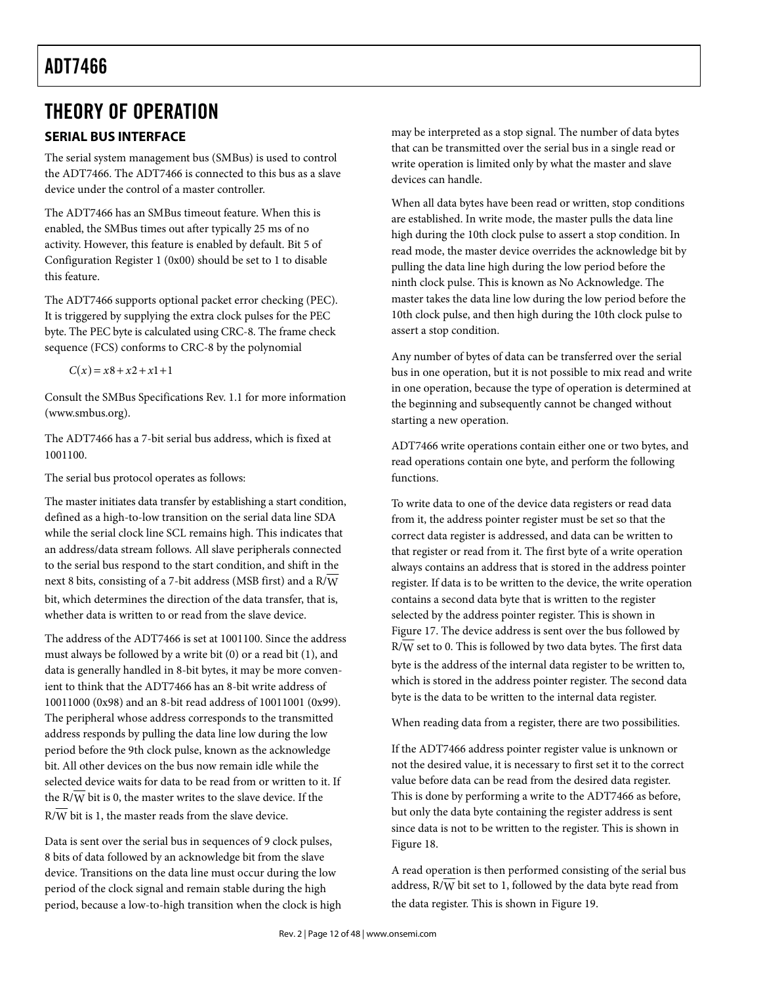# THEORY OF OPERATION

# **SERIAL BUS INTERFACE**

The serial system management bus (SMBus) is used to control the ADT7466. The ADT7466 is connected to this bus as a slave device under the control of a master controller.

The ADT7466 has an SMBus timeout feature. When this is enabled, the SMBus times out after typically 25 ms of no activity. However, this feature is enabled by default. Bit 5 of Configuration Register 1 (0x00) should be set to 1 to disable this feature.

The ADT7466 supports optional packet error checking (PEC). It is triggered by supplying the extra clock pulses for the PEC byte. The PEC byte is calculated using CRC-8. The frame check sequence (FCS) conforms to CRC-8 by the polynomial

 $C(x) = x8 + x2 + x1 + 1$ 

Consult the SMBus Specifications Rev. 1.1 for more information (www.smbus.org).

The ADT7466 has a 7-bit serial bus address, which is fixed at 1001100.

The serial bus protocol operates as follows:

The master initiates data transfer by establishing a start condition, defined as a high-to-low transition on the serial data line SDA while the serial clock line SCL remains high. This indicates that an address/data stream follows. All slave peripherals connected to the serial bus respond to the start condition, and shift in the next 8 bits, consisting of a 7-bit address (MSB first) and a R/W bit, which determines the direction of the data transfer, that is, whether data is written to or read from the slave device.

The address of the ADT7466 is set at 1001100. Since the address must always be followed by a write bit (0) or a read bit (1), and data is generally handled in 8-bit bytes, it may be more convenient to think that the ADT7466 has an 8-bit write address of 10011000 (0x98) and an 8-bit read address of 10011001 (0x99). The peripheral whose address corresponds to the transmitted address responds by pulling the data line low during the low period before the 9th clock pulse, known as the acknowledge bit. All other devices on the bus now remain idle while the selected device waits for data to be read from or written to it. If the R/W bit is 0, the master writes to the slave device. If the  $R/\overline{W}$  bit is 1, the master reads from the slave device.

Data is sent over the serial bus in sequences of 9 clock pulses, 8 bits of data followed by an acknowledge bit from the slave device. Transitions on the data line must occur during the low period of the clock signal and remain stable during the high period, because a low-to-high transition when the clock is high may be interpreted as a stop signal. The number of data bytes that can be transmitted over the serial bus in a single read or write operation is limited only by what the master and slave devices can handle.

When all data bytes have been read or written, stop conditions are established. In write mode, the master pulls the data line high during the 10th clock pulse to assert a stop condition. In read mode, the master device overrides the acknowledge bit by pulling the data line high during the low period before the ninth clock pulse. This is known as No Acknowledge. The master takes the data line low during the low period before the 10th clock pulse, and then high during the 10th clock pulse to assert a stop condition.

Any number of bytes of data can be transferred over the serial bus in one operation, but it is not possible to mix read and write in one operation, because the type of operation is determined at the beginning and subsequently cannot be changed without starting a new operation.

ADT7466 write operations contain either one or two bytes, and read operations contain one byte, and perform the following functions.

To write data to one of the device data registers or read data from it, the address pointer register must be set so that the correct data register is addressed, and data can be written to that register or read from it. The first byte of a write operation always contains an address that is stored in the address pointer register. If data is to be written to the device, the write operation contains a second data byte that is written to the register selected by the address pointer register. This is shown in Figure 17. The device address is sent over the bus followed by R/W set to 0. This is followed by two data bytes. The first data byte is the address of the internal data register to be written to, which is stored in the address pointer register. The second data byte is the data to be written to the internal data register.

When reading data from a register, there are two possibilities.

If the ADT7466 address pointer register value is unknown or not the desired value, it is necessary to first set it to the correct value before data can be read from the desired data register. This is done by performing a write to the ADT7466 as before, but only the data byte containing the register address is sent since data is not to be written to the register. This is shown in Figure 18.

A read operation is then performed consisting of the serial bus address, R/W bit set to 1, followed by the data byte read from the data register. This is shown in Figure 19.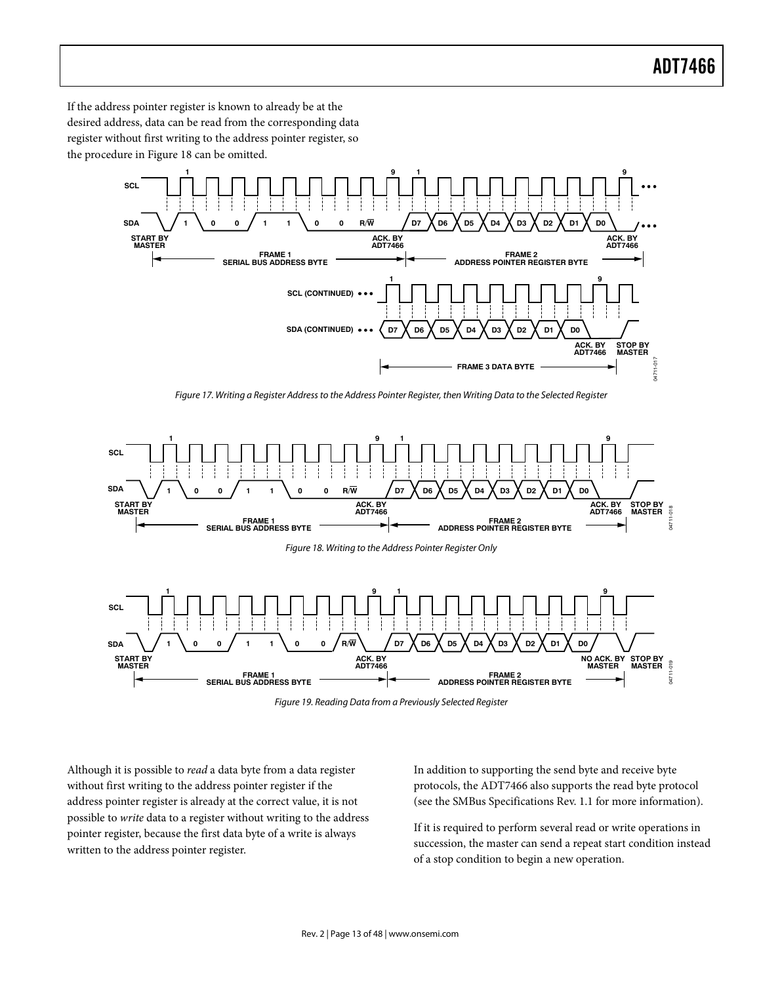If the address pointer register is known to already be at the desired address, data can be read from the corresponding data register without first writing to the address pointer register, so the procedure in Figure 18 can be omitted.



Figure 17. Writing a Register Address to the Address Pointer Register, then Writing Data to the Selected Register



Figure 19. Reading Data from a Previously Selected Register

Although it is possible to read a data byte from a data register without first writing to the address pointer register if the address pointer register is already at the correct value, it is not possible to write data to a register without writing to the address pointer register, because the first data byte of a write is always written to the address pointer register.

In addition to supporting the send byte and receive byte protocols, the ADT7466 also supports the read byte protocol (see the SMBus Specifications Rev. 1.1 for more information).

If it is required to perform several read or write operations in succession, the master can send a repeat start condition instead of a stop condition to begin a new operation.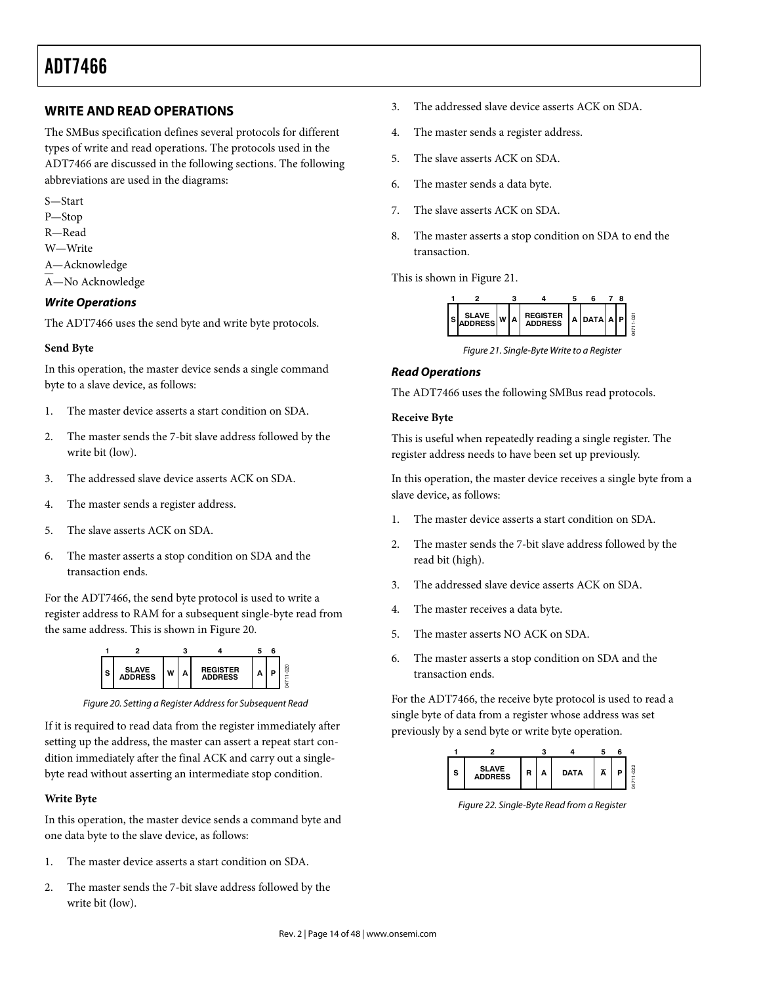### **WRITE AND READ OPERATIONS**

The SMBus specification defines several protocols for different types of write and read operations. The protocols used in the ADT7466 are discussed in the following sections. The following abbreviations are used in the diagrams:

- S—Start
- P—Stop
- R—Read
- W—Write
- A—Acknowledge
- A—No Acknowledge

#### *Write Operations*

The ADT7466 uses the send byte and write byte protocols.

#### **Send Byte**

In this operation, the master device sends a single command byte to a slave device, as follows:

- 1. The master device asserts a start condition on SDA.
- 2. The master sends the 7-bit slave address followed by the write bit (low).
- 3. The addressed slave device asserts ACK on SDA.
- 4. The master sends a register address.
- 5. The slave asserts ACK on SDA.
- 6. The master asserts a stop condition on SDA and the transaction ends.

For the ADT7466, the send byte protocol is used to write a register address to RAM for a subsequent single-byte read from the same address. This is shown in Figure 20.



Figure 20. Setting a Register Address for Subsequent Read

If it is required to read data from the register immediately after setting up the address, the master can assert a repeat start condition immediately after the final ACK and carry out a singlebyte read without asserting an intermediate stop condition.

#### **Write Byte**

In this operation, the master device sends a command byte and one data byte to the slave device, as follows:

- 1. The master device asserts a start condition on SDA.
- 2. The master sends the 7-bit slave address followed by the write bit (low).
- 3. The addressed slave device asserts ACK on SDA.
- 4. The master sends a register address.
- 5. The slave asserts ACK on SDA.
- 6. The master sends a data byte.
- 7. The slave asserts ACK on SDA.
- 8. The master asserts a stop condition on SDA to end the transaction.

This is shown in Figure 21.



Figure 21. Single-Byte Write to a Register

#### *Read Operations*

The ADT7466 uses the following SMBus read protocols.

#### **Receive Byte**

This is useful when repeatedly reading a single register. The register address needs to have been set up previously.

In this operation, the master device receives a single byte from a slave device, as follows:

- 1. The master device asserts a start condition on SDA.
- 2. The master sends the 7-bit slave address followed by the read bit (high).
- 3. The addressed slave device asserts ACK on SDA.
- 4. The master receives a data byte.
- 5. The master asserts NO ACK on SDA.
- 6. The master asserts a stop condition on SDA and the transaction ends.

For the ADT7466, the receive byte protocol is used to read a single byte of data from a register whose address was set previously by a send byte or write byte operation.



Figure 22. Single-Byte Read from a Register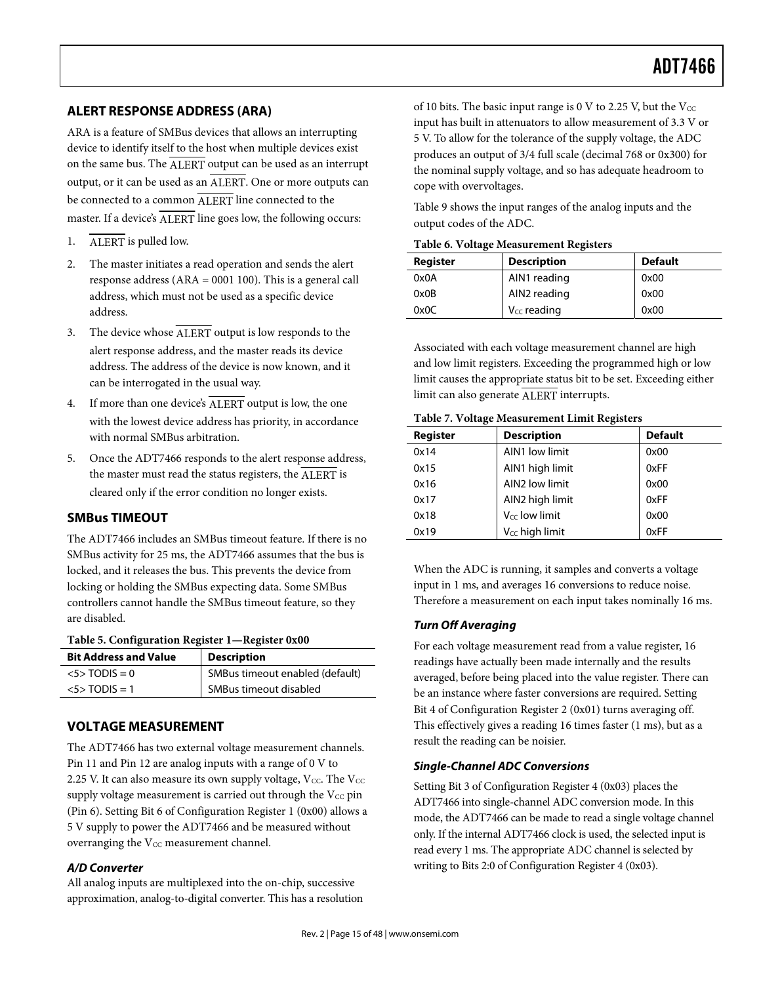#### **ALERT RESPONSE ADDRESS (ARA)**

ARA is a feature of SMBus devices that allows an interrupting device to identify itself to the host when multiple devices exist on the same bus. The ALERT output can be used as an interrupt output, or it can be used as an ALERT. One or more outputs can be connected to a common ALERT line connected to the master. If a device's **ALERT** line goes low, the following occurs:

- 1. ALERT is pulled low.
- 2. The master initiates a read operation and sends the alert response address (ARA = 0001 100). This is a general call address, which must not be used as a specific device address.
- 3. The device whose ALERT output is low responds to the alert response address, and the master reads its device address. The address of the device is now known, and it can be interrogated in the usual way.
- 4. If more than one device's ALERT output is low, the one with the lowest device address has priority, in accordance with normal SMBus arbitration.
- 5. Once the ADT7466 responds to the alert response address, the master must read the status registers, the ALERT is cleared only if the error condition no longer exists.

#### **SMBus TIMEOUT**

The ADT7466 includes an SMBus timeout feature. If there is no SMBus activity for 25 ms, the ADT7466 assumes that the bus is locked, and it releases the bus. This prevents the device from locking or holding the SMBus expecting data. Some SMBus controllers cannot handle the SMBus timeout feature, so they are disabled.

#### **Table 5. Configuration Register 1—Register 0x00**

| <b>Bit Address and Value</b> | <b>Description</b>              |
|------------------------------|---------------------------------|
| $5$ TODIS = 0                | SMBus timeout enabled (default) |
| $<5>$ TODIS = 1              | SMBus timeout disabled          |

# **VOLTAGE MEASUREMENT**

The ADT7466 has two external voltage measurement channels. Pin 11 and Pin 12 are analog inputs with a range of 0 V to 2.25 V. It can also measure its own supply voltage,  $V_{CC}$ . The  $V_{CC}$ supply voltage measurement is carried out through the  $V_{CC}$  pin (Pin 6). Setting Bit 6 of Configuration Register 1 (0x00) allows a 5 V supply to power the ADT7466 and be measured without overranging the  $V_{CC}$  measurement channel.

#### *A/D Converter*

All analog inputs are multiplexed into the on-chip, successive approximation, analog-to-digital converter. This has a resolution of 10 bits. The basic input range is 0 V to 2.25 V, but the  $V_{\text{CC}}$ input has built in attenuators to allow measurement of 3.3 V or 5 V. To allow for the tolerance of the supply voltage, the ADC produces an output of 3/4 full scale (decimal 768 or 0x300) for the nominal supply voltage, and so has adequate headroom to cope with overvoltages.

Table 9 shows the input ranges of the analog inputs and the output codes of the ADC.

|  | Table 6. Voltage Measurement Registers |  |
|--|----------------------------------------|--|
|--|----------------------------------------|--|

| Register | <b>Description</b> | <b>Default</b> |
|----------|--------------------|----------------|
| 0x0A     | AIN1 reading       | 0x00           |
| 0x0B     | AIN2 reading       | 0x00           |
| 0x0C     | $V_{CC}$ reading   | 0x00           |

Associated with each voltage measurement channel are high and low limit registers. Exceeding the programmed high or low limit causes the appropriate status bit to be set. Exceeding either limit can also generate ALERT interrupts.

#### **Table 7. Voltage Measurement Limit Registers**

| <b>Register</b> | <b>Description</b>         | <b>Default</b> |
|-----------------|----------------------------|----------------|
| 0x14            | AIN1 low limit             | 0x00           |
| 0x15            | AIN1 high limit            | 0xFF           |
| 0x16            | AIN2 low limit             | 0x00           |
| 0x17            | AIN2 high limit            | 0xFF           |
| 0x18            | V <sub>cc</sub> low limit  | 0x00           |
| 0x19            | V <sub>CC</sub> high limit | 0xFF           |

When the ADC is running, it samples and converts a voltage input in 1 ms, and averages 16 conversions to reduce noise. Therefore a measurement on each input takes nominally 16 ms.

#### *Turn Off Averaging*

For each voltage measurement read from a value register, 16 readings have actually been made internally and the results averaged, before being placed into the value register. There can be an instance where faster conversions are required. Setting Bit 4 of Configuration Register 2 (0x01) turns averaging off. This effectively gives a reading 16 times faster (1 ms), but as a result the reading can be noisier.

#### *Single-Channel ADC Conversions*

Setting Bit 3 of Configuration Register 4 (0x03) places the ADT7466 into single-channel ADC conversion mode. In this mode, the ADT7466 can be made to read a single voltage channel only. If the internal ADT7466 clock is used, the selected input is read every 1 ms. The appropriate ADC channel is selected by writing to Bits 2:0 of Configuration Register 4 (0x03).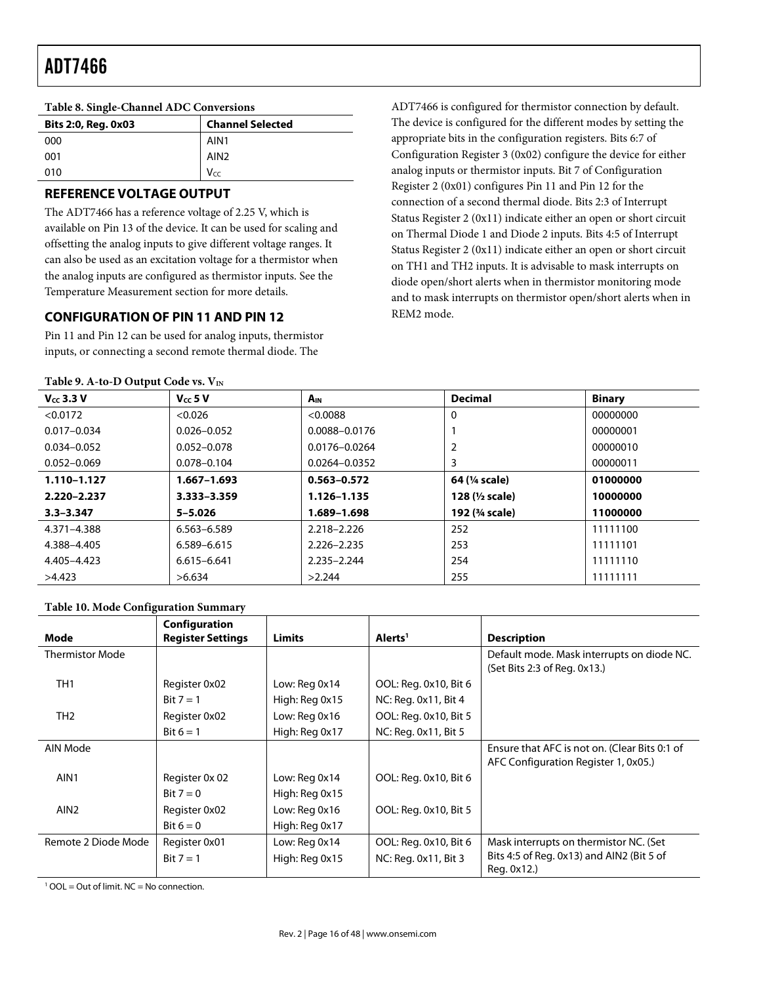| Bits 2:0, Reg. 0x03 | <b>Channel Selected</b> |  |
|---------------------|-------------------------|--|
| 000                 | AIN <sub>1</sub>        |  |
| 001                 | AIN <sub>2</sub>        |  |
| 010                 | Vcc                     |  |

# **REFERENCE VOLTAGE OUTPUT**

**Table 8. Single-Channel ADC Conversions** 

The ADT7466 has a reference voltage of 2.25 V, which is available on Pin 13 of the device. It can be used for scaling and offsetting the analog inputs to give different voltage ranges. It can also be used as an excitation voltage for a thermistor when the analog inputs are configured as thermistor inputs. See the Temperature Measurement section for more details.

# **CONFIGURATION OF PIN 11 AND PIN 12**

Pin 11 and Pin 12 can be used for analog inputs, thermistor inputs, or connecting a second remote thermal diode. The

#### Table 9. A-to-D Output Code vs. V<sub>IN</sub>

ADT7466 is configured for thermistor connection by default. The device is configured for the different modes by setting the appropriate bits in the configuration registers. Bits 6:7 of Configuration Register 3 (0x02) configure the device for either analog inputs or thermistor inputs. Bit 7 of Configuration Register 2 (0x01) configures Pin 11 and Pin 12 for the connection of a second thermal diode. Bits 2:3 of Interrupt Status Register 2 (0x11) indicate either an open or short circuit on Thermal Diode 1 and Diode 2 inputs. Bits 4:5 of Interrupt Status Register 2 (0x11) indicate either an open or short circuit on TH1 and TH2 inputs. It is advisable to mask interrupts on diode open/short alerts when in thermistor monitoring mode and to mask interrupts on thermistor open/short alerts when in REM2 mode.

| $V_{cc}$ 3.3 V  | $V_{cc}$ 5 V    | $A_{IN}$          | <b>Decimal</b>            | <b>Binary</b> |
|-----------------|-----------------|-------------------|---------------------------|---------------|
| < 0.0172        | < 0.026         | < 0.0088          | 0                         | 00000000      |
| $0.017 - 0.034$ | $0.026 - 0.052$ | 0.0088-0.0176     |                           | 00000001      |
| $0.034 - 0.052$ | $0.052 - 0.078$ | $0.0176 - 0.0264$ | 2                         | 00000010      |
| $0.052 - 0.069$ | $0.078 - 0.104$ | $0.0264 - 0.0352$ | 3                         | 00000011      |
| 1.110-1.127     | $1.667 - 1.693$ | $0.563 - 0.572$   | 64 (1/4 scale)            | 01000000      |
| 2.220-2.237     | 3.333-3.359     | 1.126-1.135       | 128 $(y_2 \text{ scale})$ | 10000000      |
| $3.3 - 3.347$   | $5 - 5.026$     | 1.689-1.698       | 192 (3/4 scale)           | 11000000      |
| 4.371-4.388     | 6.563-6.589     | 2.218-2.226       | 252                       | 11111100      |
| 4.388-4.405     | 6.589-6.615     | 2.226-2.235       | 253                       | 11111101      |
| 4.405-4.423     | $6.615 - 6.641$ | 2.235-2.244       | 254                       | 11111110      |
| >4.423          | >6.634          | >2.244            | 255                       | 11111111      |

### **Table 10. Mode Configuration Summary**

|                        | Configuration            |                |                       |                                               |
|------------------------|--------------------------|----------------|-----------------------|-----------------------------------------------|
| Mode                   | <b>Register Settings</b> | <b>Limits</b>  | Alerts <sup>1</sup>   | <b>Description</b>                            |
| <b>Thermistor Mode</b> |                          |                |                       | Default mode. Mask interrupts on diode NC.    |
|                        |                          |                |                       | (Set Bits 2:3 of Reg. 0x13.)                  |
| TH <sub>1</sub>        | Register 0x02            | Low: Reg 0x14  | OOL: Reg. 0x10, Bit 6 |                                               |
|                        | Bit $7 = 1$              | High: Reg 0x15 | NC: Reg. 0x11, Bit 4  |                                               |
| TH <sub>2</sub>        | Register 0x02            | Low: Reg 0x16  | OOL: Reg. 0x10, Bit 5 |                                               |
|                        | Bit $6 = 1$              | High: Reg 0x17 | NC: Reg. 0x11, Bit 5  |                                               |
| AIN Mode               |                          |                |                       | Ensure that AFC is not on. (Clear Bits 0:1 of |
|                        |                          |                |                       | AFC Configuration Register 1, 0x05.)          |
| AIN <sub>1</sub>       | Register 0x 02           | Low: Reg 0x14  | OOL: Reg. 0x10, Bit 6 |                                               |
|                        | Bit $7 = 0$              | High: Reg 0x15 |                       |                                               |
| AIN <sub>2</sub>       | Register 0x02            | Low: Reg 0x16  | OOL: Reg. 0x10, Bit 5 |                                               |
|                        | Bit $6 = 0$              | High: Reg 0x17 |                       |                                               |
| Remote 2 Diode Mode    | Register 0x01            | Low: Reg 0x14  | OOL: Reg. 0x10, Bit 6 | Mask interrupts on thermistor NC. (Set        |
|                        | Bit $7 = 1$              | High: Reg 0x15 | NC: Reg. 0x11, Bit 3  | Bits 4:5 of Reg. 0x13) and AIN2 (Bit 5 of     |
|                        |                          |                |                       | Reg. 0x12.)                                   |

<sup>1</sup> OOL = Out of limit. NC = No connection.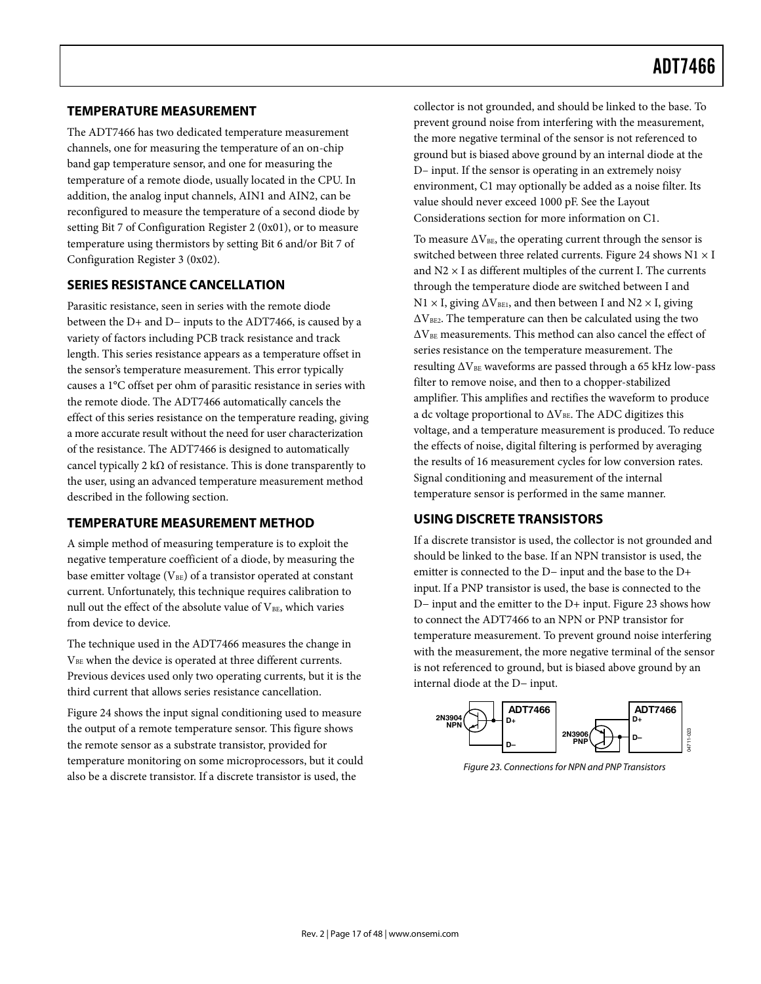#### **TEMPERATURE MEASUREMENT**

The ADT7466 has two dedicated temperature measurement channels, one for measuring the temperature of an on-chip band gap temperature sensor, and one for measuring the temperature of a remote diode, usually located in the CPU. In addition, the analog input channels, AIN1 and AIN2, can be reconfigured to measure the temperature of a second diode by setting Bit 7 of Configuration Register 2 (0x01), or to measure temperature using thermistors by setting Bit 6 and/or Bit 7 of Configuration Register 3 (0x02).

#### **SERIES RESISTANCE CANCELLATION**

Parasitic resistance, seen in series with the remote diode between the D+ and D− inputs to the ADT7466, is caused by a variety of factors including PCB track resistance and track length. This series resistance appears as a temperature offset in the sensor's temperature measurement. This error typically causes a 1°C offset per ohm of parasitic resistance in series with the remote diode. The ADT7466 automatically cancels the effect of this series resistance on the temperature reading, giving a more accurate result without the need for user characterization of the resistance. The ADT7466 is designed to automatically cancel typically 2 k $\Omega$  of resistance. This is done transparently to the user, using an advanced temperature measurement method described in the following section.

#### **TEMPERATURE MEASUREMENT METHOD**

A simple method of measuring temperature is to exploit the negative temperature coefficient of a diode, by measuring the base emitter voltage  $(V_{BE})$  of a transistor operated at constant current. Unfortunately, this technique requires calibration to null out the effect of the absolute value of  $V_{BE}$ , which varies from device to device.

The technique used in the ADT7466 measures the change in VBE when the device is operated at three different currents. Previous devices used only two operating currents, but it is the third current that allows series resistance cancellation.

Figure 24 shows the input signal conditioning used to measure the output of a remote temperature sensor. This figure shows the remote sensor as a substrate transistor, provided for temperature monitoring on some microprocessors, but it could also be a discrete transistor. If a discrete transistor is used, the

collector is not grounded, and should be linked to the base. To prevent ground noise from interfering with the measurement, the more negative terminal of the sensor is not referenced to ground but is biased above ground by an internal diode at the D– input. If the sensor is operating in an extremely noisy environment, C1 may optionally be added as a noise filter. Its value should never exceed 1000 pF. See the Layout Considerations section for more information on C1.

To measure  $\Delta V_{BE}$ , the operating current through the sensor is switched between three related currents. Figure 24 shows  $N1 \times I$ and  $N2 \times I$  as different multiples of the current I. The currents through the temperature diode are switched between I and  $N1 \times I$ , giving  $\Delta V_{BE1}$ , and then between I and  $N2 \times I$ , giving  $\Delta V_{BE2}$ . The temperature can then be calculated using the two  $\Delta V_{BE}$  measurements. This method can also cancel the effect of series resistance on the temperature measurement. The resulting  $\Delta V_{BE}$  waveforms are passed through a 65 kHz low-pass filter to remove noise, and then to a chopper-stabilized amplifier. This amplifies and rectifies the waveform to produce a dc voltage proportional to  $\Delta V_{BE}$ . The ADC digitizes this voltage, and a temperature measurement is produced. To reduce the effects of noise, digital filtering is performed by averaging the results of 16 measurement cycles for low conversion rates. Signal conditioning and measurement of the internal temperature sensor is performed in the same manner.

### **USING DISCRETE TRANSISTORS**

If a discrete transistor is used, the collector is not grounded and should be linked to the base. If an NPN transistor is used, the emitter is connected to the D− input and the base to the D+ input. If a PNP transistor is used, the base is connected to the D− input and the emitter to the D+ input. Figure 23 shows how to connect the ADT7466 to an NPN or PNP transistor for temperature measurement. To prevent ground noise interfering with the measurement, the more negative terminal of the sensor is not referenced to ground, but is biased above ground by an internal diode at the D− input.



Figure 23. Connections for NPN and PNP Transistors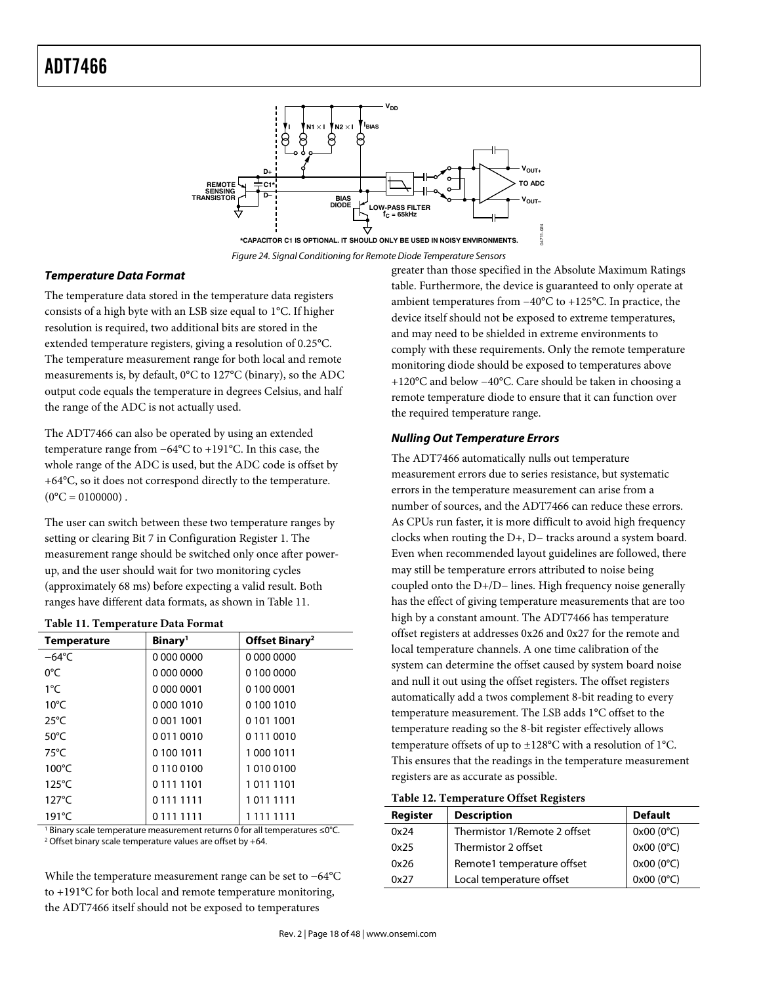

Figure 24. Signal Conditioning for Remote Diode Temperature Sensors

#### *Temperature Data Format*

The temperature data stored in the temperature data registers consists of a high byte with an LSB size equal to 1°C. If higher resolution is required, two additional bits are stored in the extended temperature registers, giving a resolution of 0.25°C. The temperature measurement range for both local and remote measurements is, by default, 0°C to 127°C (binary), so the ADC output code equals the temperature in degrees Celsius, and half the range of the ADC is not actually used.

The ADT7466 can also be operated by using an extended temperature range from −64°C to +191°C. In this case, the whole range of the ADC is used, but the ADC code is offset by +64°C, so it does not correspond directly to the temperature.  $(0^{\circ}C = 0100000)$ .

The user can switch between these two temperature ranges by setting or clearing Bit 7 in Configuration Register 1. The measurement range should be switched only once after powerup, and the user should wait for two monitoring cycles (approximately 68 ms) before expecting a valid result. Both ranges have different data formats, as shown in Table 11.

| Table II. I emperature Data Format |                            |  |  |  |
|------------------------------------|----------------------------|--|--|--|
| Binary <sup>1</sup>                | Offset Binary <sup>2</sup> |  |  |  |
| 0 000 0000                         | 0 000 0000                 |  |  |  |
| 0 000 0000                         | 0 100 0000                 |  |  |  |
| 0 000 0001                         | 0 100 0001                 |  |  |  |
| 00001010                           | 01001010                   |  |  |  |
| 00011001                           | 0 101 1001                 |  |  |  |
| 00110010                           | 01110010                   |  |  |  |
| 01001011                           | 10001011                   |  |  |  |
| 01100100                           | 10100100                   |  |  |  |
| 01111101                           | 10111101                   |  |  |  |
| 01111111                           | 10111111                   |  |  |  |
| 01111111                           | 1 111 1111                 |  |  |  |
|                                    |                            |  |  |  |

#### **Table 11. Temperature Data Format**

1 Binary scale temperature measurement returns 0 for all temperatures ≤0°C. 2 Offset binary scale temperature values are offset by +64.

While the temperature measurement range can be set to −64°C to +191°C for both local and remote temperature monitoring, the ADT7466 itself should not be exposed to temperatures

greater than those specified in the Absolute Maximum Ratings table. Furthermore, the device is guaranteed to only operate at ambient temperatures from −40°C to +125°C. In practice, the device itself should not be exposed to extreme temperatures, and may need to be shielded in extreme environments to comply with these requirements. Only the remote temperature monitoring diode should be exposed to temperatures above +120°C and below −40°C. Care should be taken in choosing a remote temperature diode to ensure that it can function over the required temperature range.

#### *Nulling Out Temperature Errors*

The ADT7466 automatically nulls out temperature measurement errors due to series resistance, but systematic errors in the temperature measurement can arise from a number of sources, and the ADT7466 can reduce these errors. As CPUs run faster, it is more difficult to avoid high frequency clocks when routing the D+, D− tracks around a system board. Even when recommended layout guidelines are followed, there may still be temperature errors attributed to noise being coupled onto the D+/D− lines. High frequency noise generally has the effect of giving temperature measurements that are too high by a constant amount. The ADT7466 has temperature offset registers at addresses 0x26 and 0x27 for the remote and local temperature channels. A one time calibration of the system can determine the offset caused by system board noise and null it out using the offset registers. The offset registers automatically add a twos complement 8-bit reading to every temperature measurement. The LSB adds 1°C offset to the temperature reading so the 8-bit register effectively allows temperature offsets of up to ±128°C with a resolution of 1°C. This ensures that the readings in the temperature measurement registers are as accurate as possible.

| Register | <b>Description</b>           | <b>Default</b>     |
|----------|------------------------------|--------------------|
| 0x24     | Thermistor 1/Remote 2 offset | $0x00(0^{\circ}C)$ |
| 0x25     | Thermistor 2 offset          | 0x00 (0°C)         |
| 0x26     | Remote1 temperature offset   | $0x00(0^{\circ}C)$ |
| 0x27     | Local temperature offset     | $0x00(0^{\circ}C)$ |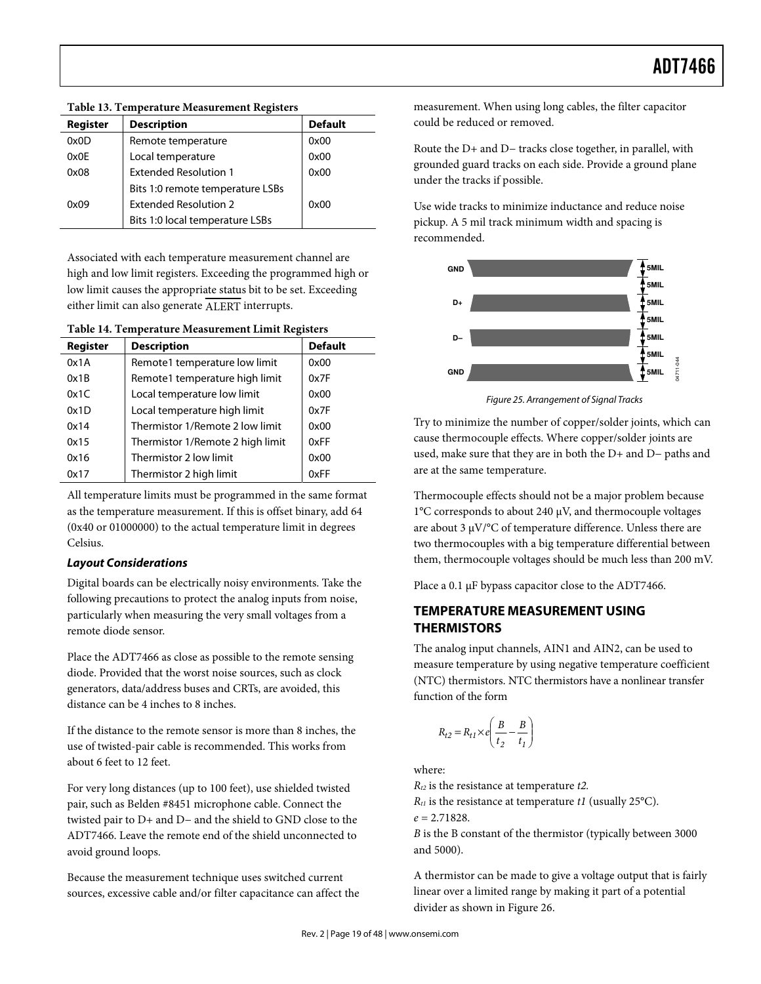| Register | <b>Description</b>               | <b>Default</b> |
|----------|----------------------------------|----------------|
| 0x0D     | Remote temperature               | 0x00           |
| 0x0E     | Local temperature                | 0x00           |
| 0x08     | <b>Extended Resolution 1</b>     | 0x00           |
|          | Bits 1:0 remote temperature LSBs |                |
| 0x09     | <b>Extended Resolution 2</b>     | 0x00           |
|          | Bits 1:0 local temperature LSBs  |                |

**Table 13. Temperature Measurement Registers** 

Associated with each temperature measurement channel are high and low limit registers. Exceeding the programmed high or low limit causes the appropriate status bit to be set. Exceeding either limit can also generate ALERT interrupts.

**Table 14. Temperature Measurement Limit Registers** 

| Register | <b>Description</b>               | <b>Default</b> |
|----------|----------------------------------|----------------|
| 0x1A     | Remote1 temperature low limit    | 0x00           |
| 0x1B     | Remote1 temperature high limit   | 0x7F           |
| 0x1C     | Local temperature low limit      | 0x00           |
| 0x1D     | Local temperature high limit     | 0x7F           |
| 0x14     | Thermistor 1/Remote 2 low limit  | 0x00           |
| 0x15     | Thermistor 1/Remote 2 high limit | 0xFF           |
| 0x16     | Thermistor 2 low limit           | 0x00           |
| 0x17     | Thermistor 2 high limit          | 0xFF           |

All temperature limits must be programmed in the same format as the temperature measurement. If this is offset binary, add 64 (0x40 or 01000000) to the actual temperature limit in degrees Celsius.

# *Layout Considerations*

Digital boards can be electrically noisy environments. Take the following precautions to protect the analog inputs from noise, particularly when measuring the very small voltages from a remote diode sensor.

Place the ADT7466 as close as possible to the remote sensing diode. Provided that the worst noise sources, such as clock generators, data/address buses and CRTs, are avoided, this distance can be 4 inches to 8 inches.

If the distance to the remote sensor is more than 8 inches, the use of twisted-pair cable is recommended. This works from about 6 feet to 12 feet.

For very long distances (up to 100 feet), use shielded twisted pair, such as Belden #8451 microphone cable. Connect the twisted pair to D+ and D− and the shield to GND close to the ADT7466. Leave the remote end of the shield unconnected to avoid ground loops.

Because the measurement technique uses switched current sources, excessive cable and/or filter capacitance can affect the measurement. When using long cables, the filter capacitor could be reduced or removed.

Route the D+ and D− tracks close together, in parallel, with grounded guard tracks on each side. Provide a ground plane under the tracks if possible.

Use wide tracks to minimize inductance and reduce noise pickup. A 5 mil track minimum width and spacing is recommended.



Figure 25. Arrangement of Signal Tracks

Try to minimize the number of copper/solder joints, which can cause thermocouple effects. Where copper/solder joints are used, make sure that they are in both the D+ and D− paths and are at the same temperature.

Thermocouple effects should not be a major problem because 1°C corresponds to about 240 μV, and thermocouple voltages are about 3 μV/°C of temperature difference. Unless there are two thermocouples with a big temperature differential between them, thermocouple voltages should be much less than 200 mV.

Place a 0.1 μF bypass capacitor close to the ADT7466.

# **TEMPERATURE MEASUREMENT USING THERMISTORS**

The analog input channels, AIN1 and AIN2, can be used to measure temperature by using negative temperature coefficient (NTC) thermistors. NTC thermistors have a nonlinear transfer function of the form

$$
R_{t2} = R_{t1} \times e \left(\frac{B}{t_2} - \frac{B}{t_1}\right)
$$

where:

 $R_{t2}$  is the resistance at temperature  $t2$ .

 $R_{t1}$  is the resistance at temperature  $t1$  (usually 25°C).

 $e = 2.71828$ .

B is the B constant of the thermistor (typically between 3000 and 5000).

A thermistor can be made to give a voltage output that is fairly linear over a limited range by making it part of a potential divider as shown in Figure 26.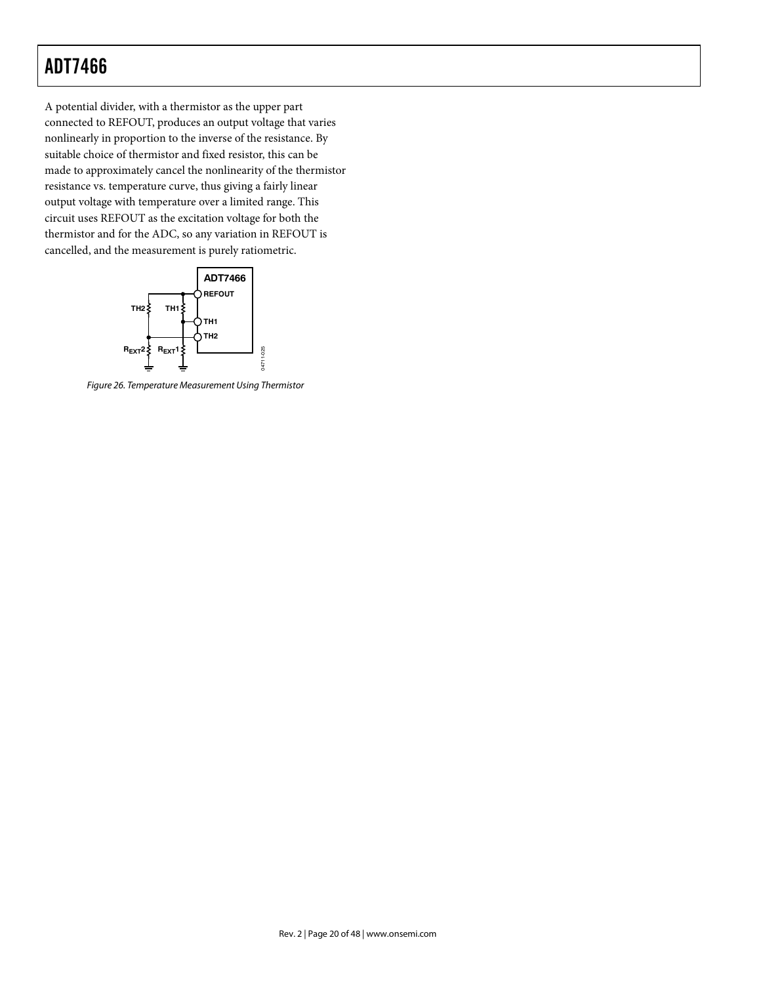A potential divider, with a thermistor as the upper part connected to REFOUT, produces an output voltage that varies nonlinearly in proportion to the inverse of the resistance. By suitable choice of thermistor and fixed resistor, this can be made to approximately cancel the nonlinearity of the thermistor resistance vs. temperature curve, thus giving a fairly linear output voltage with temperature over a limited range. This circuit uses REFOUT as the excitation voltage for both the thermistor and for the ADC, so any variation in REFOUT is cancelled, and the measurement is purely ratiometric.



Figure 26. Temperature Measurement Using Thermistor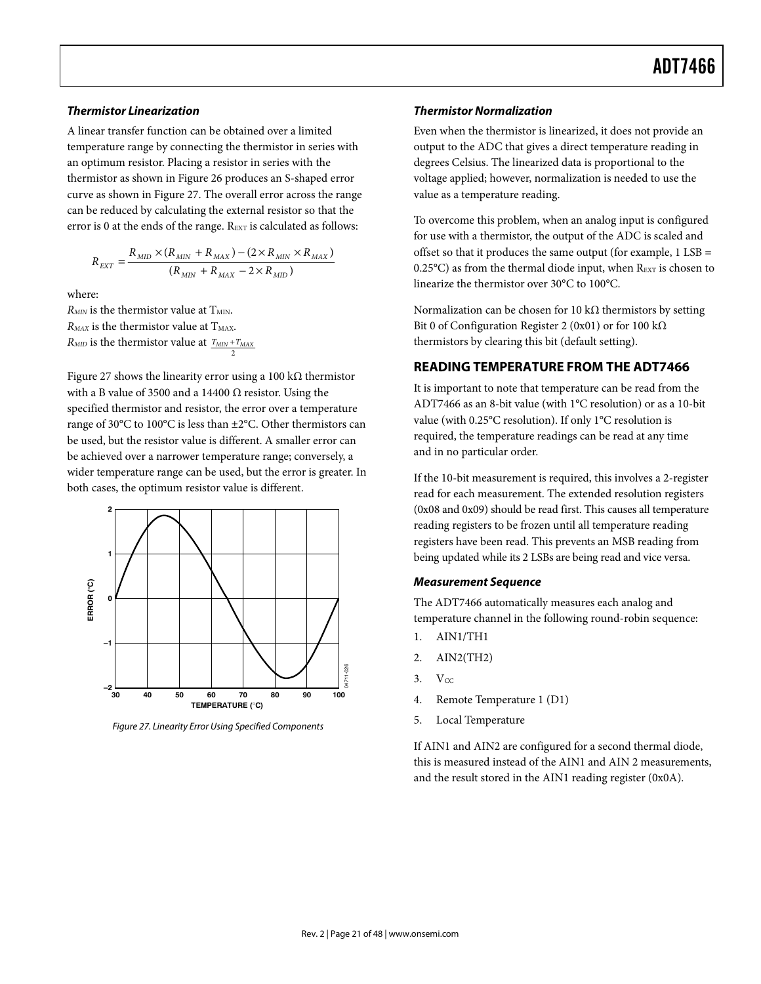#### *Thermistor Linearization*

A linear transfer function can be obtained over a limited temperature range by connecting the thermistor in series with an optimum resistor. Placing a resistor in series with the thermistor as shown in Figure 26 produces an S-shaped error curve as shown in Figure 27. The overall error across the range can be reduced by calculating the external resistor so that the error is 0 at the ends of the range. REXT is calculated as follows:

$$
R_{EXT} = \frac{R_{MID} \times (R_{MIN} + R_{MAX}) - (2 \times R_{MIN} \times R_{MAX})}{(R_{MIN} + R_{MAX} - 2 \times R_{MID})}
$$

where:

 $R_{MIN}$  is the thermistor value at  $T_{MIN}$ .  $R_{MAX}$  is the thermistor value at  $T_{MAX}$ .  $R_{\text{MID}}$  is the thermistor value at  $\frac{T_{\text{MIN}} + T_{\text{MAX}}}{2}$ 

Figure 27 shows the linearity error using a 100 kΩ thermistor with a B value of 3500 and a 14400  $\Omega$  resistor. Using the specified thermistor and resistor, the error over a temperature range of 30°C to 100°C is less than ±2°C. Other thermistors can be used, but the resistor value is different. A smaller error can be achieved over a narrower temperature range; conversely, a wider temperature range can be used, but the error is greater. In both cases, the optimum resistor value is different.



Figure 27. Linearity Error Using Specified Components

#### *Thermistor Normalization*

Even when the thermistor is linearized, it does not provide an output to the ADC that gives a direct temperature reading in degrees Celsius. The linearized data is proportional to the voltage applied; however, normalization is needed to use the value as a temperature reading.

To overcome this problem, when an analog input is configured for use with a thermistor, the output of the ADC is scaled and offset so that it produces the same output (for example, 1 LSB = 0.25 $^{\circ}$ C) as from the thermal diode input, when  $R_{\text{EXT}}$  is chosen to linearize the thermistor over 30°C to 100°C.

Normalization can be chosen for 10 kΩ thermistors by setting Bit 0 of Configuration Register 2 (0x01) or for 100 kΩ thermistors by clearing this bit (default setting).

### **READING TEMPERATURE FROM THE ADT7466**

It is important to note that temperature can be read from the ADT7466 as an 8-bit value (with 1°C resolution) or as a 10-bit value (with 0.25°C resolution). If only 1°C resolution is required, the temperature readings can be read at any time and in no particular order.

If the 10-bit measurement is required, this involves a 2-register read for each measurement. The extended resolution registers (0x08 and 0x09) should be read first. This causes all temperature reading registers to be frozen until all temperature reading registers have been read. This prevents an MSB reading from being updated while its 2 LSBs are being read and vice versa.

#### *Measurement Sequence*

The ADT7466 automatically measures each analog and temperature channel in the following round-robin sequence:

- 1. AIN1/TH1
- 2. AIN2(TH2)
- $3. \quad V_{CC}$
- 4. Remote Temperature 1 (D1)
- 5. Local Temperature

If AIN1 and AIN2 are configured for a second thermal diode, this is measured instead of the AIN1 and AIN 2 measurements, and the result stored in the AIN1 reading register (0x0A).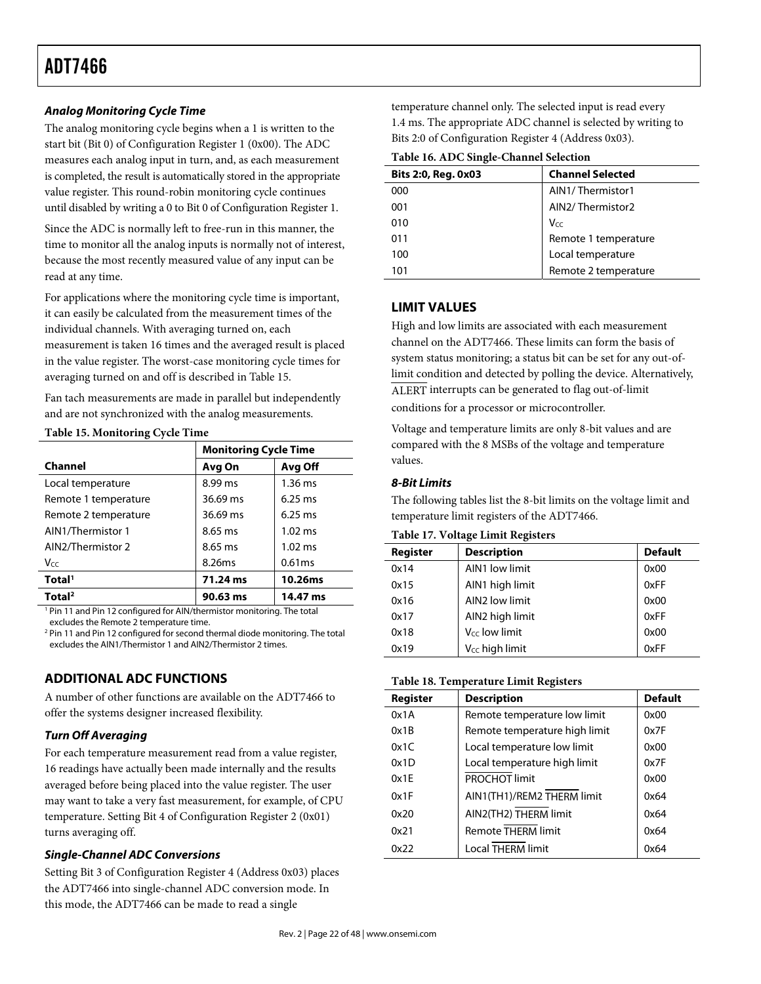### *Analog Monitoring Cycle Time*

The analog monitoring cycle begins when a 1 is written to the start bit (Bit 0) of Configuration Register 1 (0x00). The ADC measures each analog input in turn, and, as each measurement is completed, the result is automatically stored in the appropriate value register. This round-robin monitoring cycle continues until disabled by writing a 0 to Bit 0 of Configuration Register 1.

Since the ADC is normally left to free-run in this manner, the time to monitor all the analog inputs is normally not of interest, because the most recently measured value of any input can be read at any time.

For applications where the monitoring cycle time is important, it can easily be calculated from the measurement times of the individual channels. With averaging turned on, each measurement is taken 16 times and the averaged result is placed in the value register. The worst-case monitoring cycle times for averaging turned on and off is described in Table 15.

Fan tach measurements are made in parallel but independently and are not synchronized with the analog measurements.

#### **Table 15. Monitoring Cycle Time**

|                      | <b>Monitoring Cycle Time</b> |                   |
|----------------------|------------------------------|-------------------|
| Channel              | Avg On                       | Avg Off           |
| Local temperature    | 8.99 ms                      | $1.36$ ms         |
| Remote 1 temperature | 36.69 ms                     | $6.25$ ms         |
| Remote 2 temperature | 36.69 ms                     | $6.25$ ms         |
| AIN1/Thermistor 1    | 8.65 ms                      | $1.02 \text{ ms}$ |
| AIN2/Thermistor 2    | 8.65 ms                      | $1.02$ ms         |
| V <sub>CC</sub>      | 8.26ms                       | 0.61ms            |
| Total <sup>1</sup>   | 71.24 ms                     | 10.26ms           |
| Total <sup>2</sup>   | 90.63 ms                     | 14.47 ms          |

<sup>1</sup> Pin 11 and Pin 12 configured for AIN/thermistor monitoring. The total excludes the Remote 2 temperature time.

<sup>2</sup> Pin 11 and Pin 12 configured for second thermal diode monitoring. The total excludes the AIN1/Thermistor 1 and AIN2/Thermistor 2 times.

# **ADDITIONAL ADC FUNCTIONS**

A number of other functions are available on the ADT7466 to offer the systems designer increased flexibility.

# *Turn Off Averaging*

For each temperature measurement read from a value register, 16 readings have actually been made internally and the results averaged before being placed into the value register. The user may want to take a very fast measurement, for example, of CPU temperature. Setting Bit 4 of Configuration Register 2 (0x01) turns averaging off.

#### *Single-Channel ADC Conversions*

Setting Bit 3 of Configuration Register 4 (Address 0x03) places the ADT7466 into single-channel ADC conversion mode. In this mode, the ADT7466 can be made to read a single

temperature channel only. The selected input is read every 1.4 ms. The appropriate ADC channel is selected by writing to Bits 2:0 of Configuration Register 4 (Address 0x03).

**Table 16. ADC Single-Channel Selection** 

| Bits 2:0, Reg. 0x03 | <b>Channel Selected</b> |
|---------------------|-------------------------|
| 000                 | AIN1/Thermistor1        |
| 001                 | AIN2/Thermistor2        |
| 010                 | $V_{CC}$                |
| 011                 | Remote 1 temperature    |
| 100                 | Local temperature       |
| 101                 | Remote 2 temperature    |
|                     |                         |

# **LIMIT VALUES**

High and low limits are associated with each measurement channel on the ADT7466. These limits can form the basis of system status monitoring; a status bit can be set for any out-oflimit condition and detected by polling the device. Alternatively, ALERT interrupts can be generated to flag out-of-limit

conditions for a processor or microcontroller.

Voltage and temperature limits are only 8-bit values and are compared with the 8 MSBs of the voltage and temperature values.

### *8-Bit Limits*

The following tables list the 8-bit limits on the voltage limit and temperature limit registers of the ADT7466.

**Table 17. Voltage Limit Registers** 

| Register | <b>Description</b>         | <b>Default</b> |
|----------|----------------------------|----------------|
| 0x14     | AIN1 low limit             | 0x00           |
| 0x15     | AIN1 high limit            | 0xFF           |
| 0x16     | AIN2 low limit             | 0x00           |
| 0x17     | AIN2 high limit            | 0xFF           |
| 0x18     | V <sub>cc</sub> low limit  | 0x00           |
| 0x19     | V <sub>CC</sub> high limit | 0xFF           |

#### **Table 18. Temperature Limit Registers**

| Register | <b>Description</b>            | <b>Default</b> |
|----------|-------------------------------|----------------|
| 0x1A     | Remote temperature low limit  | 0x00           |
| 0x1B     | Remote temperature high limit | 0x7F           |
| 0x1C     | Local temperature low limit   | 0x00           |
| 0x1D     | Local temperature high limit  | 0x7F           |
| 0x1E     | PROCHOT limit                 | 0x00           |
| 0x1F     | AIN1(TH1)/REM2 THERM limit    | 0x64           |
| 0x20     | AIN2(TH2) THERM limit         | 0x64           |
| 0x21     | <b>Remote THERM limit</b>     | 0x64           |
| 0x22     | <b>Local THERM limit</b>      | 0x64           |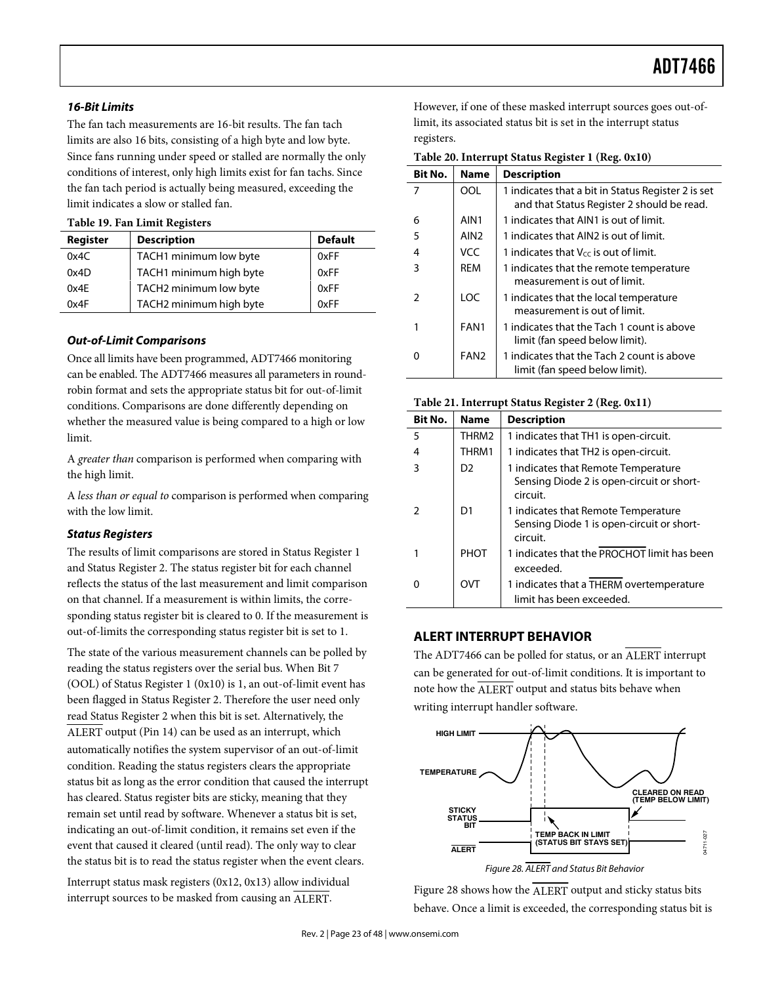#### *16-Bit Limits*

The fan tach measurements are 16-bit results. The fan tach limits are also 16 bits, consisting of a high byte and low byte. Since fans running under speed or stalled are normally the only conditions of interest, only high limits exist for fan tachs. Since the fan tach period is actually being measured, exceeding the limit indicates a slow or stalled fan.

#### **Table 19. Fan Limit Registers**

| Register | <b>Description</b>      | <b>Default</b> |
|----------|-------------------------|----------------|
| 0x4C     | TACH1 minimum low byte  | 0xFF           |
| 0x4D     | TACH1 minimum high byte | 0xFF           |
| 0x4E     | TACH2 minimum low byte  | 0xFF           |
| 0x4F     | TACH2 minimum high byte | 0xFF           |

#### *Out-of-Limit Comparisons*

Once all limits have been programmed, ADT7466 monitoring can be enabled. The ADT7466 measures all parameters in roundrobin format and sets the appropriate status bit for out-of-limit conditions. Comparisons are done differently depending on whether the measured value is being compared to a high or low limit.

A greater than comparison is performed when comparing with the high limit.

A less than or equal to comparison is performed when comparing with the low limit.

#### *Status Registers*

The results of limit comparisons are stored in Status Register 1 and Status Register 2. The status register bit for each channel reflects the status of the last measurement and limit comparison on that channel. If a measurement is within limits, the corresponding status register bit is cleared to 0. If the measurement is out-of-limits the corresponding status register bit is set to 1.

The state of the various measurement channels can be polled by reading the status registers over the serial bus. When Bit 7 (OOL) of Status Register 1 (0x10) is 1, an out-of-limit event has been flagged in Status Register 2. Therefore the user need only read Status Register 2 when this bit is set. Alternatively, the ALERT output (Pin 14) can be used as an interrupt, which

automatically notifies the system supervisor of an out-of-limit condition. Reading the status registers clears the appropriate status bit as long as the error condition that caused the interrupt has cleared. Status register bits are sticky, meaning that they remain set until read by software. Whenever a status bit is set, indicating an out-of-limit condition, it remains set even if the event that caused it cleared (until read). The only way to clear the status bit is to read the status register when the event clears.

Interrupt status mask registers (0x12, 0x13) allow individual interrupt sources to be masked from causing an ALERT.

However, if one of these masked interrupt sources goes out-oflimit, its associated status bit is set in the interrupt status registers.

**Table 20. Interrupt Status Register 1 (Reg. 0x10)** 

| Bit No. | <b>Name</b>      | <b>Description</b>                                                                               |
|---------|------------------|--------------------------------------------------------------------------------------------------|
| 7       | OOL              | 1 indicates that a bit in Status Register 2 is set<br>and that Status Register 2 should be read. |
| 6       | AIN <sub>1</sub> | 1 indicates that AIN1 is out of limit.                                                           |
| 5       | AIN <sub>2</sub> | 1 indicates that AIN2 is out of limit.                                                           |
| 4       | <b>VCC</b>       | 1 indicates that $V_{cc}$ is out of limit.                                                       |
| 3       | <b>REM</b>       | 1 indicates that the remote temperature<br>measurement is out of limit.                          |
| 2       | LOC              | 1 indicates that the local temperature<br>measurement is out of limit.                           |
|         | FAN1             | 1 indicates that the Tach 1 count is above<br>limit (fan speed below limit).                     |
|         | FAN <sub>2</sub> | 1 indicates that the Tach 2 count is above<br>limit (fan speed below limit).                     |

#### **Table 21. Interrupt Status Register 2 (Reg. 0x11)**

| <b>Bit No.</b> | <b>Name</b> | <b>Description</b>                                                                           |
|----------------|-------------|----------------------------------------------------------------------------------------------|
| 5              | THRM2       | 1 indicates that TH1 is open-circuit.                                                        |
| 4              | THRM1       | 1 indicates that TH2 is open-circuit.                                                        |
| 3              | D2          | 1 indicates that Remote Temperature<br>Sensing Diode 2 is open-circuit or short-<br>circuit. |
|                | D1          | 1 indicates that Remote Temperature<br>Sensing Diode 1 is open-circuit or short-<br>circuit. |
|                | PHOT        | 1 indicates that the PROCHOT limit has been<br>exceeded.                                     |
|                | OVT         | 1 indicates that a THERM overtemperature<br>limit has been exceeded.                         |

#### **ALERT INTERRUPT BEHAVIOR**

The ADT7466 can be polled for status, or an ALERT interrupt can be generated for out-of-limit conditions. It is important to note how the ALERT output and status bits behave when writing interrupt handler software.



Figure 28 shows how the ALERT output and sticky status bits behave. Once a limit is exceeded, the corresponding status bit is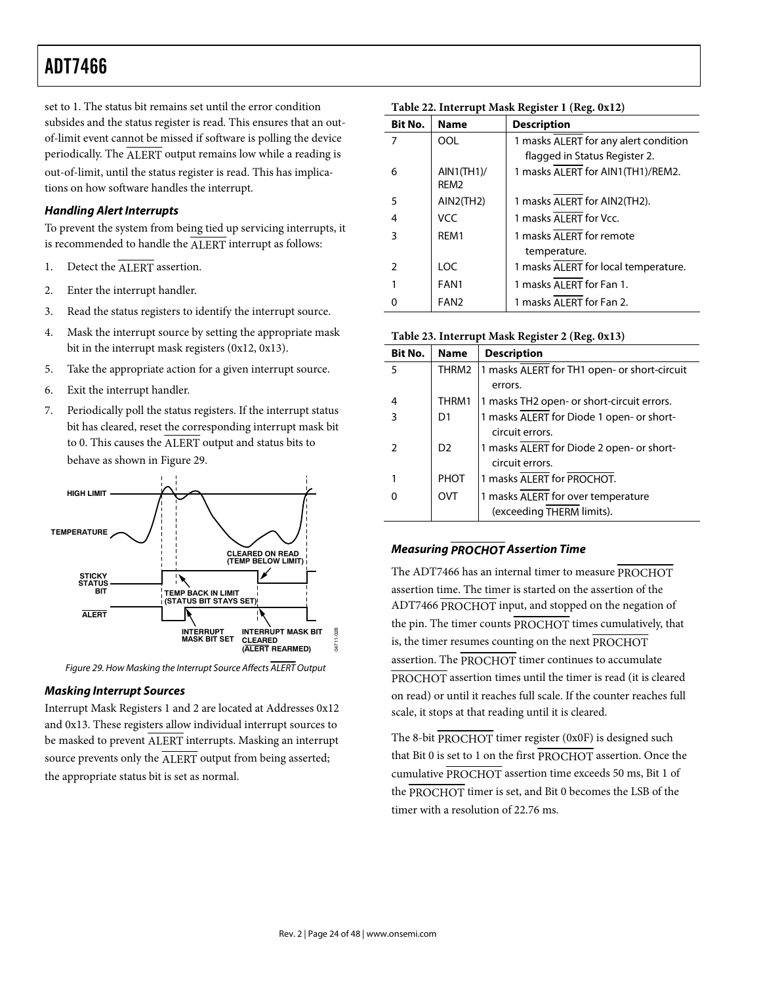set to 1. The status bit remains set until the error condition subsides and the status register is read. This ensures that an outof-limit event cannot be missed if software is polling the device periodically. The ALERT output remains low while a reading is out-of-limit, until the status register is read. This has implications on how software handles the interrupt.

### *Handling Alert Interrupts*

To prevent the system from being tied up servicing interrupts, it is recommended to handle the ALERT interrupt as follows:

- 1. Detect the ALERT assertion.
- 2. Enter the interrupt handler.
- 3. Read the status registers to identify the interrupt source.
- 4. Mask the interrupt source by setting the appropriate mask bit in the interrupt mask registers (0x12, 0x13).
- 5. Take the appropriate action for a given interrupt source.
- 6. Exit the interrupt handler.
- 7. Periodically poll the status registers. If the interrupt status bit has cleared, reset the corresponding interrupt mask bit to 0. This causes the ALERT output and status bits to behave as shown in Figure 29.



Figure 29. How Masking the Interrupt Source Affects ALERT Output

#### *Masking Interrupt Sources*

Interrupt Mask Registers 1 and 2 are located at Addresses 0x12 and 0x13. These registers allow individual interrupt sources to be masked to prevent ALERT interrupts. Masking an interrupt source prevents only the ALERT output from being asserted; the appropriate status bit is set as normal.

| Table 22. Interrupt Mask Register 1 (Reg. 0x12) |  |  |  |
|-------------------------------------------------|--|--|--|
|-------------------------------------------------|--|--|--|

| <b>Bit No.</b> | <b>Name</b>                           | <b>Description</b>                    |
|----------------|---------------------------------------|---------------------------------------|
| 7              | OOL                                   | 1 masks ALERT for any alert condition |
|                |                                       | flagged in Status Register 2.         |
| 6              | $AIN1$ (TH $1$ )/<br>REM <sub>2</sub> | 1 masks ALERT for AIN1(TH1)/REM2.     |
| 5              | AIN2(TH2)                             | 1 masks ALERT for AIN2(TH2).          |
| 4              | VCC                                   | 1 masks ALERT for Vcc.                |
| 3              | REM1                                  | 1 masks ALERT for remote              |
|                |                                       | temperature.                          |
| $\mathcal{P}$  | LOC                                   | 1 masks ALERT for local temperature.  |
|                | FAN1                                  | 1 masks ALERT for Fan 1.              |
|                | FAN <sub>2</sub>                      | 1 masks AI FRT for Fan 2.             |

**Table 23. Interrupt Mask Register 2 (Reg. 0x13)** 

| Bit No. | <b>Name</b>    | <b>Description</b>                                              |
|---------|----------------|-----------------------------------------------------------------|
| 5       | THRM2          | 1 masks ALERT for TH1 open- or short-circuit                    |
|         |                | errors.                                                         |
| 4       | THRM1          | 1 masks TH2 open- or short-circuit errors.                      |
| 3       | D1             | 1 masks ALERT for Diode 1 open- or short-<br>circuit errors.    |
| 2       | D <sub>2</sub> | 1 masks ALERT for Diode 2 open- or short-<br>circuit errors.    |
|         | PHOT           | 1 masks ALERT for PROCHOT.                                      |
| 0       | OVT            | 1 masks ALERT for over temperature<br>(exceeding THERM limits). |

#### *Measuring PROCHOT Assertion Time*

The ADT7466 has an internal timer to measure PROCHOT assertion time. The timer is started on the assertion of the ADT7466 PROCHOT input, and stopped on the negation of the pin. The timer counts PROCHOT times cumulatively, that is, the timer resumes counting on the next PROCHOT assertion. The PROCHOT timer continues to accumulate PROCHOT assertion times until the timer is read (it is cleared on read) or until it reaches full scale. If the counter reaches full scale, it stops at that reading until it is cleared.

The 8-bit PROCHOT timer register (0x0F) is designed such that Bit 0 is set to 1 on the first PROCHOT assertion. Once the cumulative PROCHOT assertion time exceeds 50 ms, Bit 1 of the PROCHOT timer is set, and Bit 0 becomes the LSB of the timer with a resolution of 22.76 ms.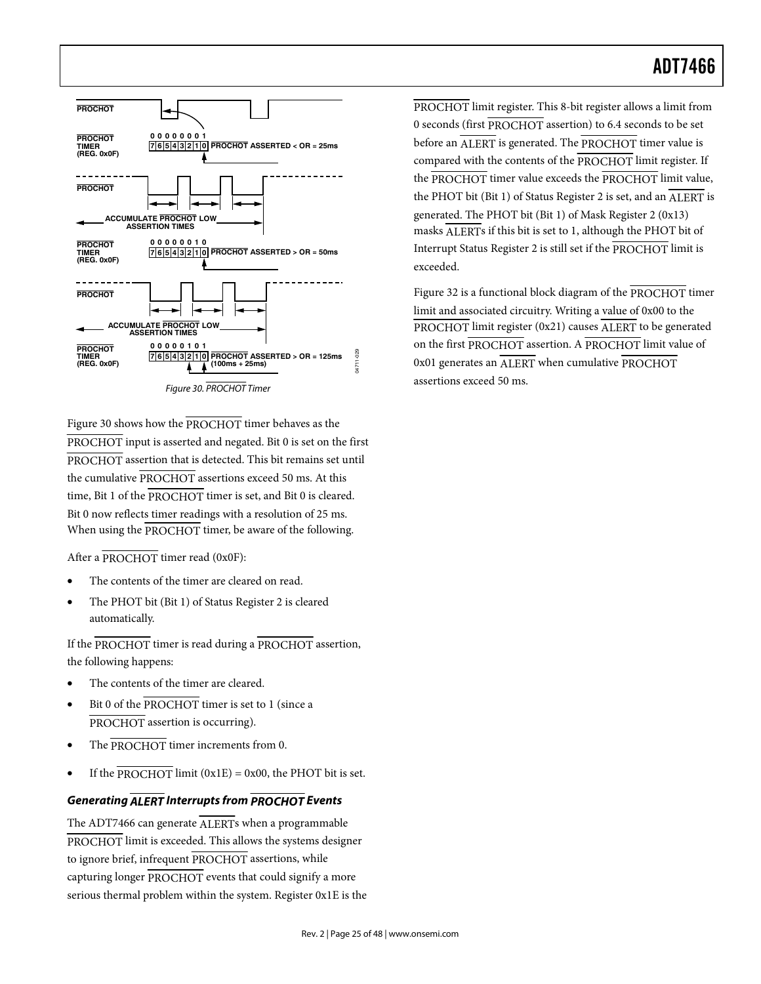

FIRENTIFIPIONENT Therefore Assemented by the procedure theorem assembles on  $P_{\text{BQUE}}$  and  $P_{\text{BQUE}}$  assertions  $P_{\text{BQUE}}$  assertions  $P_{\text{BQUE}}$  assertion the procedure of  $P_{\text{ROC}}$  in the second method method metho Figure 30 shows how the PROCHOT timer behaves as the PROCHOT input is asserted and negated. Bit 0 is set on the first PROCHOT assertion that is detected. This bit remains set until the cumulative PROCHOT assertions exceed 50 ms. At this time, Bit 1 of the PROCHOT timer is set, and Bit 0 is cleared. Bit 0 now reflects timer readings with a resolution of 25 ms. When using the PROCHOT timer, be aware of the following.

After a PROCHOT timer read (0x0F):

- The contents of the timer are cleared on read.
- The PHOT bit (Bit 1) of Status Register 2 is cleared automatically.

If the PROCHOT timer is read during a PROCHOT assertion, the following happens:

- The contents of the timer are cleared.
- Bit 0 of the PROCHOT timer is set to 1 (since a PROCHOT assertion is occurring).
- The PROCHOT timer increments from 0.
- If the PROCHOT limit  $(0x1E) = 0x00$ , the PHOT bit is set.

#### *Generating ALERT Interrupts from PROCHOT Events*

The ADT7466 can generate ALERTs when a programmable PROCHOT limit is exceeded. This allows the systems designer to ignore brief, infrequent PROCHOT assertions, while capturing longer PROCHOT events that could signify a more serious thermal problem within the system. Register 0x1E is the PROCHOT limit register. This 8-bit register allows a limit from 0 seconds (first PROCHOT assertion) to 6.4 seconds to be set before an ALERT is generated. The PROCHOT timer value is compared with the contents of the PROCHOT limit register. If the PROCHOT timer value exceeds the PROCHOT limit value, the PHOT bit (Bit 1) of Status Register 2 is set, and an  $\overline{\text{ALERT}}$  is generated. The PHOT bit (Bit 1) of Mask Register 2 (0x13) masks ALERTs if this bit is set to 1, although the PHOT bit of Interrupt Status Register 2 is still set if the PROCHOT limit is exceeded.

Figure 32 is a functional block diagram of the PROCHOT timer limit and associated circuitry. Writing a value of 0x00 to the PROCHOT limit register  $(0x21)$  causes ALERT to be generated on the first PROCHOT assertion. A PROCHOT limit value of 0x01 generates an ALERT when cumulative PROCHOT assertions exceed 50 ms.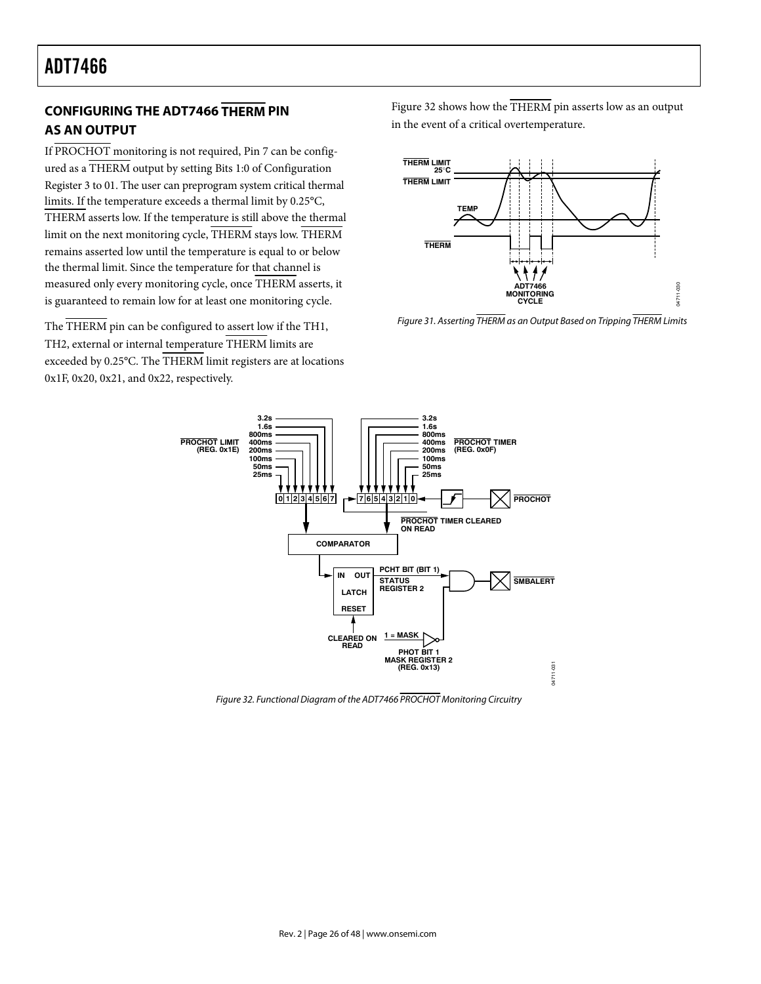# **CONFIGURING THE ADT7466 THERM PIN AS AN OUTPUT**

If PROCHOT monitoring is not required, Pin 7 can be configured as a THERM output by setting Bits 1:0 of Configuration Register 3 to 01. The user can preprogram system critical thermal limits. If the temperature exceeds a thermal limit by 0.25°C, THERM asserts low. If the temperature is still above the thermal limit on the next monitoring cycle, THERM stays low. THERM remains asserted low until the temperature is equal to or below the thermal limit. Since the temperature for that channel is measured only every monitoring cycle, once THERM asserts, it is guaranteed to remain low for at least one monitoring cycle.

The THERM pin can be configured to assert low if the TH1, TH2, external or internal temperature THERM limits are exceeded by 0.25°C. The THERM limit registers are at locations 0x1F, 0x20, 0x21, and 0x22, respectively.

Figure 32 shows how the THERM pin asserts low as an output in the event of a critical overtemperature.



Figure 31. Asserting THERM as an Output Based on Tripping THERM Limits



Figure 32. Functional Diagram of the ADT7466 PROCHOT Monitoring Circuitry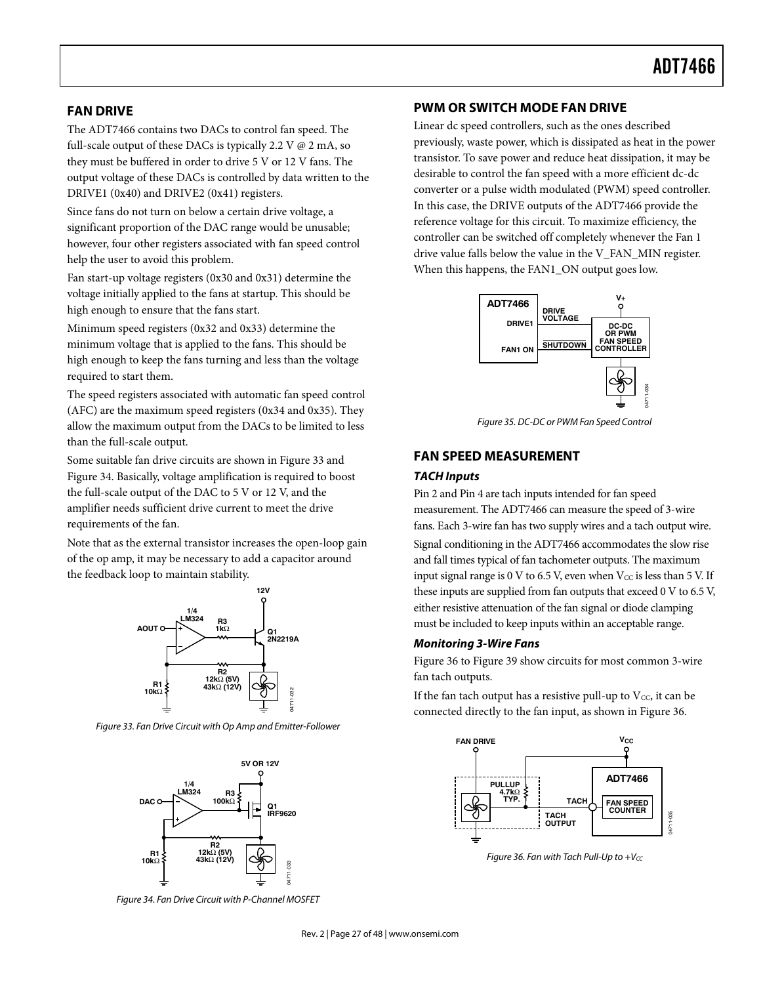### **FAN DRIVE**

The ADT7466 contains two DACs to control fan speed. The full-scale output of these DACs is typically 2.2 V  $\varnothing$  2 mA, so they must be buffered in order to drive 5 V or 12 V fans. The output voltage of these DACs is controlled by data written to the DRIVE1 (0x40) and DRIVE2 (0x41) registers.

Since fans do not turn on below a certain drive voltage, a significant proportion of the DAC range would be unusable; however, four other registers associated with fan speed control help the user to avoid this problem.

Fan start-up voltage registers (0x30 and 0x31) determine the voltage initially applied to the fans at startup. This should be high enough to ensure that the fans start.

Minimum speed registers (0x32 and 0x33) determine the minimum voltage that is applied to the fans. This should be high enough to keep the fans turning and less than the voltage required to start them.

The speed registers associated with automatic fan speed control (AFC) are the maximum speed registers (0x34 and 0x35). They allow the maximum output from the DACs to be limited to less than the full-scale output.

Some suitable fan drive circuits are shown in Figure 33 and Figure 34. Basically, voltage amplification is required to boost the full-scale output of the DAC to 5 V or 12 V, and the amplifier needs sufficient drive current to meet the drive requirements of the fan.

Note that as the external transistor increases the open-loop gain of the op amp, it may be necessary to add a capacitor around the feedback loop to maintain stability.



Figure 33. Fan Drive Circuit with Op Amp and Emitter-Follower



Figure 34. Fan Drive Circuit with P-Channel MOSFET

#### **PWM OR SWITCH MODE FAN DRIVE**

Linear dc speed controllers, such as the ones described previously, waste power, which is dissipated as heat in the power transistor. To save power and reduce heat dissipation, it may be desirable to control the fan speed with a more efficient dc-dc converter or a pulse width modulated (PWM) speed controller. In this case, the DRIVE outputs of the ADT7466 provide the reference voltage for this circuit. To maximize efficiency, the controller can be switched off completely whenever the Fan 1 drive value falls below the value in the V\_FAN\_MIN register. When this happens, the FAN1\_ON output goes low.



Figure 35. DC-DC or PWM Fan Speed Control

#### **FAN SPEED MEASUREMENT**

#### *TACH Inputs*

Pin 2 and Pin 4 are tach inputs intended for fan speed measurement. The ADT7466 can measure the speed of 3-wire fans. Each 3-wire fan has two supply wires and a tach output wire.

Signal conditioning in the ADT7466 accommodates the slow rise and fall times typical of fan tachometer outputs. The maximum input signal range is 0 V to 6.5 V, even when  $V_{CC}$  is less than 5 V. If these inputs are supplied from fan outputs that exceed 0 V to 6.5 V, either resistive attenuation of the fan signal or diode clamping must be included to keep inputs within an acceptable range.

#### *Monitoring 3-Wire Fans*

Figure 36 to Figure 39 show circuits for most common 3-wire fan tach outputs.

If the fan tach output has a resistive pull-up to  $V_{CC}$ , it can be connected directly to the fan input, as shown in Figure 36.



Figure 36. Fan with Tach Pull-Up to  $+V_{CC}$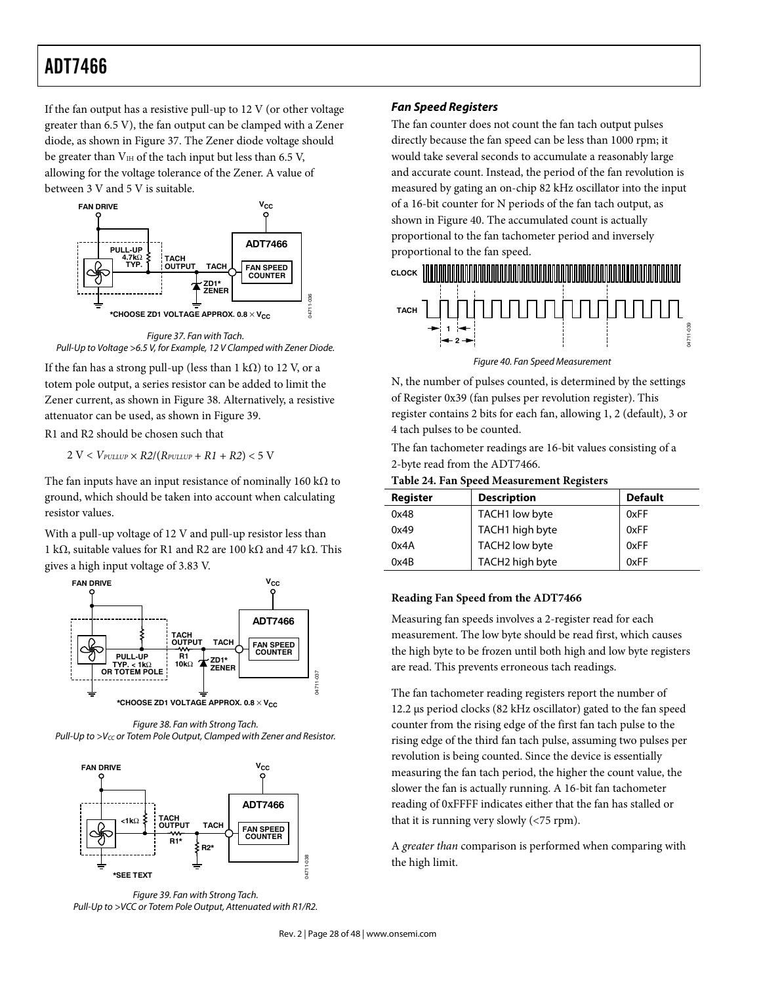If the fan output has a resistive pull-up to 12 V (or other voltage greater than 6.5 V), the fan output can be clamped with a Zener diode, as shown in Figure 37. The Zener diode voltage should be greater than  $V_{\text{IH}}$  of the tach input but less than 6.5 V, allowing for the voltage tolerance of the Zener. A value of between 3 V and 5 V is suitable.



Figure 37. Fan with Tach. Pull-Up to Voltage >6.5 V, for Example, 12 V Clamped with Zener Diode.

If the fan has a strong pull-up (less than 1 k $\Omega$ ) to 12 V, or a totem pole output, a series resistor can be added to limit the Zener current, as shown in Figure 38. Alternatively, a resistive attenuator can be used, as shown in Figure 39.

R1 and R2 should be chosen such that

 $2 V < V_{PULUP} \times R2/(R_{PULUP} + R1 + R2) < 5 V$ 

The fan inputs have an input resistance of nominally 160 k $\Omega$  to ground, which should be taken into account when calculating resistor values.

With a pull-up voltage of 12 V and pull-up resistor less than 1 kΩ, suitable values for R1 and R2 are 100 kΩ and 47 kΩ. This gives a high input voltage of 3.83 V.







Figure 39. Fan with Strong Tach. Pull-Up to >VCC or Totem Pole Output, Attenuated with R1/R2.

#### *Fan Speed Registers*

The fan counter does not count the fan tach output pulses directly because the fan speed can be less than 1000 rpm; it would take several seconds to accumulate a reasonably large and accurate count. Instead, the period of the fan revolution is measured by gating an on-chip 82 kHz oscillator into the input of a 16-bit counter for N periods of the fan tach output, as shown in Figure 40. The accumulated count is actually proportional to the fan tachometer period and inversely proportional to the fan speed.



Figure 40. Fan Speed Measurement

N, the number of pulses counted, is determined by the settings of Register 0x39 (fan pulses per revolution register). This register contains 2 bits for each fan, allowing 1, 2 (default), 3 or 4 tach pulses to be counted.

The fan tachometer readings are 16-bit values consisting of a 2-byte read from the ADT7466.

**Table 24. Fan Speed Measurement Registers** 

| Register | <b>Description</b> | <b>Default</b> |  |  |
|----------|--------------------|----------------|--|--|
| 0x48     | TACH1 low byte     | 0xFF           |  |  |
| 0x49     | TACH1 high byte    | 0xFF           |  |  |
| 0x4A     | TACH2 low byte     | 0xFF           |  |  |
| 0x4B     | TACH2 high byte    | 0xFF           |  |  |

#### **Reading Fan Speed from the ADT7466**

Measuring fan speeds involves a 2-register read for each measurement. The low byte should be read first, which causes the high byte to be frozen until both high and low byte registers are read. This prevents erroneous tach readings.

The fan tachometer reading registers report the number of 12.2 μs period clocks (82 kHz oscillator) gated to the fan speed counter from the rising edge of the first fan tach pulse to the rising edge of the third fan tach pulse, assuming two pulses per revolution is being counted. Since the device is essentially measuring the fan tach period, the higher the count value, the slower the fan is actually running. A 16-bit fan tachometer reading of 0xFFFF indicates either that the fan has stalled or that it is running very slowly (<75 rpm).

A greater than comparison is performed when comparing with the high limit.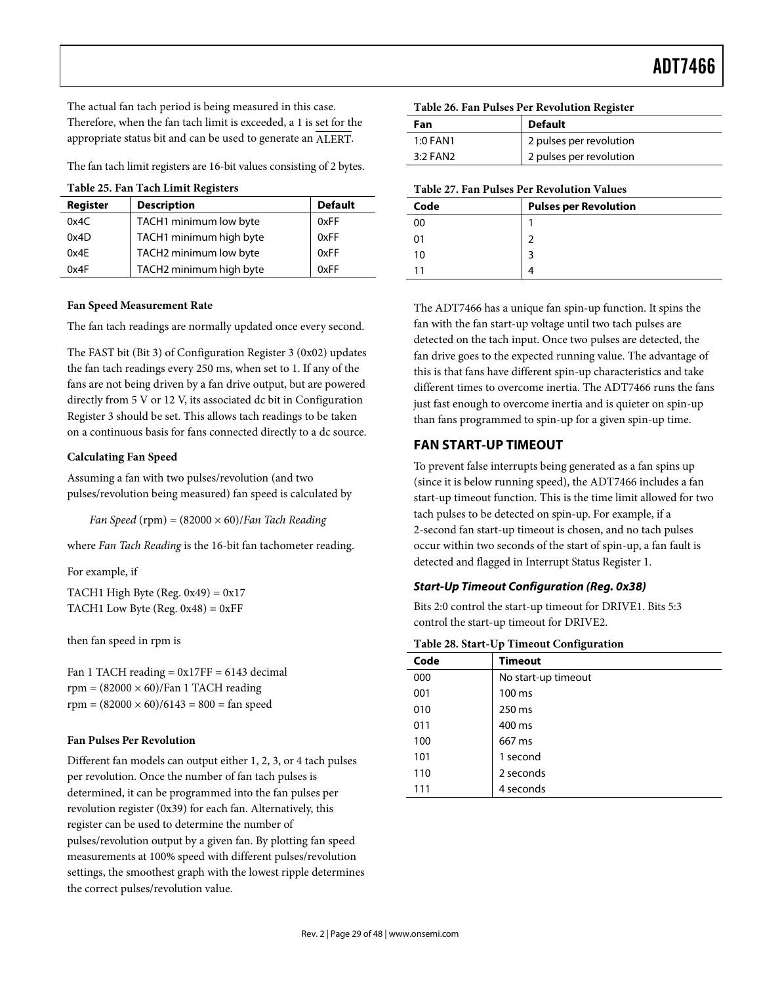The actual fan tach period is being measured in this case. Therefore, when the fan tach limit is exceeded, a 1 is set for the appropriate status bit and can be used to generate an ALERT.

The fan tach limit registers are 16-bit values consisting of 2 bytes.

| Register | <b>Description</b>      | <b>Default</b> |
|----------|-------------------------|----------------|
| 0x4C     | TACH1 minimum low byte  | 0xFF           |
| 0x4D     | TACH1 minimum high byte | 0xFF           |
| 0x4E     | TACH2 minimum low byte  | 0xFF           |
| 0x4F     | TACH2 minimum high byte | 0xFF           |

#### **Fan Speed Measurement Rate**

The fan tach readings are normally updated once every second.

The FAST bit (Bit 3) of Configuration Register 3 (0x02) updates the fan tach readings every 250 ms, when set to 1. If any of the fans are not being driven by a fan drive output, but are powered directly from 5 V or 12 V, its associated dc bit in Configuration Register 3 should be set. This allows tach readings to be taken on a continuous basis for fans connected directly to a dc source.

#### **Calculating Fan Speed**

Assuming a fan with two pulses/revolution (and two pulses/revolution being measured) fan speed is calculated by

Fan Speed (rpm) =  $(82000 \times 60)/F$ an Tach Reading

where Fan Tach Reading is the 16-bit fan tachometer reading.

For example, if

TACH1 High Byte (Reg.  $0x49$ ) =  $0x17$ TACH1 Low Byte (Reg.  $0x48$ ) =  $0xFF$ 

then fan speed in rpm is

Fan 1 TACH reading  $= 0x17FF = 6143$  decimal  $rpm = (82000 \times 60)/Fan 1 TACH reading$  $rpm = (82000 \times 60)/6143 = 800 = fan speed$ 

#### **Fan Pulses Per Revolution**

Different fan models can output either 1, 2, 3, or 4 tach pulses per revolution. Once the number of fan tach pulses is determined, it can be programmed into the fan pulses per revolution register (0x39) for each fan. Alternatively, this register can be used to determine the number of pulses/revolution output by a given fan. By plotting fan speed measurements at 100% speed with different pulses/revolution settings, the smoothest graph with the lowest ripple determines the correct pulses/revolution value.

| Table 26. Fan Pulses Per Revolution Register |  |  |  |  |  |  |
|----------------------------------------------|--|--|--|--|--|--|
|----------------------------------------------|--|--|--|--|--|--|

| Fan      | <b>Default</b>          |
|----------|-------------------------|
| 1:0 FAN1 | 2 pulses per revolution |
| 3:2 FAN2 | 2 pulses per revolution |

**Table 27. Fan Pulses Per Revolution Values** 

| Code | <b>Pulses per Revolution</b> |
|------|------------------------------|
| 00   |                              |
| 01   |                              |
| 10   | ર                            |
|      |                              |

The ADT7466 has a unique fan spin-up function. It spins the fan with the fan start-up voltage until two tach pulses are detected on the tach input. Once two pulses are detected, the fan drive goes to the expected running value. The advantage of this is that fans have different spin-up characteristics and take different times to overcome inertia. The ADT7466 runs the fans just fast enough to overcome inertia and is quieter on spin-up than fans programmed to spin-up for a given spin-up time.

# **FAN START-UP TIMEOUT**

To prevent false interrupts being generated as a fan spins up (since it is below running speed), the ADT7466 includes a fan start-up timeout function. This is the time limit allowed for two tach pulses to be detected on spin-up. For example, if a 2-second fan start-up timeout is chosen, and no tach pulses occur within two seconds of the start of spin-up, a fan fault is detected and flagged in Interrupt Status Register 1.

#### *Start-Up Timeout Configuration (Reg. 0x38)*

Bits 2:0 control the start-up timeout for DRIVE1. Bits 5:3 control the start-up timeout for DRIVE2.

**Table 28. Start-Up Timeout Configuration** 

| ັ                   |
|---------------------|
| <b>Timeout</b>      |
| No start-up timeout |
| 100 ms              |
| 250 ms              |
| 400 ms              |
| 667 ms              |
| 1 second            |
| 2 seconds           |
| 4 seconds           |
|                     |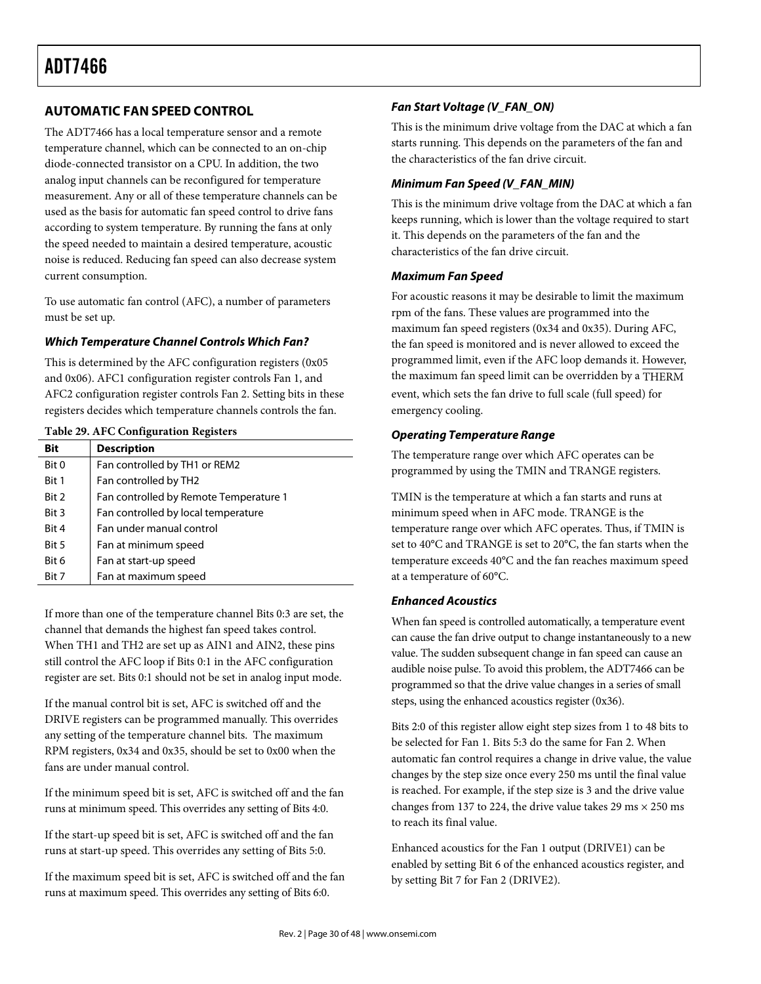# **AUTOMATIC FAN SPEED CONTROL**

The ADT7466 has a local temperature sensor and a remote temperature channel, which can be connected to an on-chip diode-connected transistor on a CPU. In addition, the two analog input channels can be reconfigured for temperature measurement. Any or all of these temperature channels can be used as the basis for automatic fan speed control to drive fans according to system temperature. By running the fans at only the speed needed to maintain a desired temperature, acoustic noise is reduced. Reducing fan speed can also decrease system current consumption.

To use automatic fan control (AFC), a number of parameters must be set up.

#### *Which Temperature Channel Controls Which Fan?*

This is determined by the AFC configuration registers (0x05 and 0x06). AFC1 configuration register controls Fan 1, and AFC2 configuration register controls Fan 2. Setting bits in these registers decides which temperature channels controls the fan.

**Table 29. AFC Configuration Registers** 

| Bit   | <b>Description</b>                     |
|-------|----------------------------------------|
| Bit 0 | Fan controlled by TH1 or REM2          |
| Bit 1 | Fan controlled by TH2                  |
| Bit 2 | Fan controlled by Remote Temperature 1 |
| Bit 3 | Fan controlled by local temperature    |
| Bit 4 | Fan under manual control               |
| Bit 5 | Fan at minimum speed                   |
| Bit 6 | Fan at start-up speed                  |
| Bit 7 | Fan at maximum speed                   |

If more than one of the temperature channel Bits 0:3 are set, the channel that demands the highest fan speed takes control. When TH1 and TH2 are set up as AIN1 and AIN2, these pins still control the AFC loop if Bits 0:1 in the AFC configuration register are set. Bits 0:1 should not be set in analog input mode.

If the manual control bit is set, AFC is switched off and the DRIVE registers can be programmed manually. This overrides any setting of the temperature channel bits. The maximum RPM registers, 0x34 and 0x35, should be set to 0x00 when the fans are under manual control.

If the minimum speed bit is set, AFC is switched off and the fan runs at minimum speed. This overrides any setting of Bits 4:0.

If the start-up speed bit is set, AFC is switched off and the fan runs at start-up speed. This overrides any setting of Bits 5:0.

If the maximum speed bit is set, AFC is switched off and the fan runs at maximum speed. This overrides any setting of Bits 6:0.

# *Fan Start Voltage (V\_FAN\_ON)*

This is the minimum drive voltage from the DAC at which a fan starts running. This depends on the parameters of the fan and the characteristics of the fan drive circuit.

# *Minimum Fan Speed (V\_FAN\_MIN)*

This is the minimum drive voltage from the DAC at which a fan keeps running, which is lower than the voltage required to start it. This depends on the parameters of the fan and the characteristics of the fan drive circuit.

### *Maximum Fan Speed*

For acoustic reasons it may be desirable to limit the maximum rpm of the fans. These values are programmed into the maximum fan speed registers (0x34 and 0x35). During AFC, the fan speed is monitored and is never allowed to exceed the programmed limit, even if the AFC loop demands it. However, the maximum fan speed limit can be overridden by a THERM event, which sets the fan drive to full scale (full speed) for emergency cooling.

#### *Operating Temperature Range*

The temperature range over which AFC operates can be programmed by using the TMIN and TRANGE registers.

TMIN is the temperature at which a fan starts and runs at minimum speed when in AFC mode. TRANGE is the temperature range over which AFC operates. Thus, if TMIN is set to 40°C and TRANGE is set to 20°C, the fan starts when the temperature exceeds 40°C and the fan reaches maximum speed at a temperature of 60°C.

# *Enhanced Acoustics*

When fan speed is controlled automatically, a temperature event can cause the fan drive output to change instantaneously to a new value. The sudden subsequent change in fan speed can cause an audible noise pulse. To avoid this problem, the ADT7466 can be programmed so that the drive value changes in a series of small steps, using the enhanced acoustics register (0x36).

Bits 2:0 of this register allow eight step sizes from 1 to 48 bits to be selected for Fan 1. Bits 5:3 do the same for Fan 2. When automatic fan control requires a change in drive value, the value changes by the step size once every 250 ms until the final value is reached. For example, if the step size is 3 and the drive value changes from 137 to 224, the drive value takes 29 ms  $\times$  250 ms to reach its final value.

Enhanced acoustics for the Fan 1 output (DRIVE1) can be enabled by setting Bit 6 of the enhanced acoustics register, and by setting Bit 7 for Fan 2 (DRIVE2).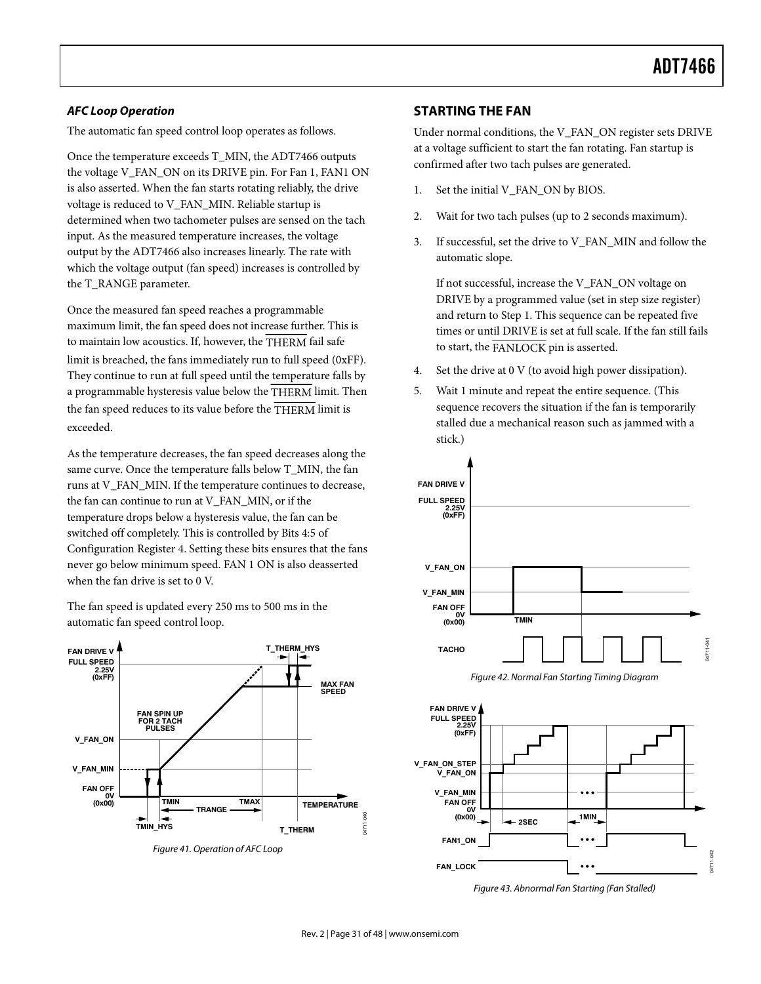#### *AFC Loop Operation*

The automatic fan speed control loop operates as follows.

Once the temperature exceeds T\_MIN, the ADT7466 outputs the voltage V\_FAN\_ON on its DRIVE pin. For Fan 1, FAN1 ON is also asserted. When the fan starts rotating reliably, the drive voltage is reduced to V\_FAN\_MIN. Reliable startup is determined when two tachometer pulses are sensed on the tach input. As the measured temperature increases, the voltage output by the ADT7466 also increases linearly. The rate with which the voltage output (fan speed) increases is controlled by the T\_RANGE parameter.

Once the measured fan speed reaches a programmable maximum limit, the fan speed does not increase further. This is to maintain low acoustics. If, however, the THERM fail safe limit is breached, the fans immediately run to full speed (0xFF). They continue to run at full speed until the temperature falls by a programmable hysteresis value below the THERM limit. Then the fan speed reduces to its value before the THERM limit is exceeded.

As the temperature decreases, the fan speed decreases along the same curve. Once the temperature falls below T\_MIN, the fan runs at V\_FAN\_MIN. If the temperature continues to decrease, the fan can continue to run at V\_FAN\_MIN, or if the temperature drops below a hysteresis value, the fan can be switched off completely. This is controlled by Bits 4:5 of Configuration Register 4. Setting these bits ensures that the fans never go below minimum speed. FAN 1 ON is also deasserted when the fan drive is set to 0 V.

The fan speed is updated every 250 ms to 500 ms in the automatic fan speed control loop.



Figure 41. Operation of AFC Loop

#### **STARTING THE FAN**

Under normal conditions, the V\_FAN\_ON register sets DRIVE at a voltage sufficient to start the fan rotating. Fan startup is confirmed after two tach pulses are generated.

- 1. Set the initial V\_FAN\_ON by BIOS.
- 2. Wait for two tach pulses (up to 2 seconds maximum).
- 3. If successful, set the drive to V\_FAN\_MIN and follow the automatic slope.

If not successful, increase the V\_FAN\_ON voltage on DRIVE by a programmed value (set in step size register) and return to Step 1. This sequence can be repeated five times or until DRIVE is set at full scale. If the fan still fails to start, the FANLOCK pin is asserted.

- 4. Set the drive at 0 V (to avoid high power dissipation).
- 5. Wait 1 minute and repeat the entire sequence. (This sequence recovers the situation if the fan is temporarily stalled due a mechanical reason such as jammed with a stick.)



Figure 42. Normal Fan Starting Timing Diagram



Figure 43. Abnormal Fan Starting (Fan Stalled)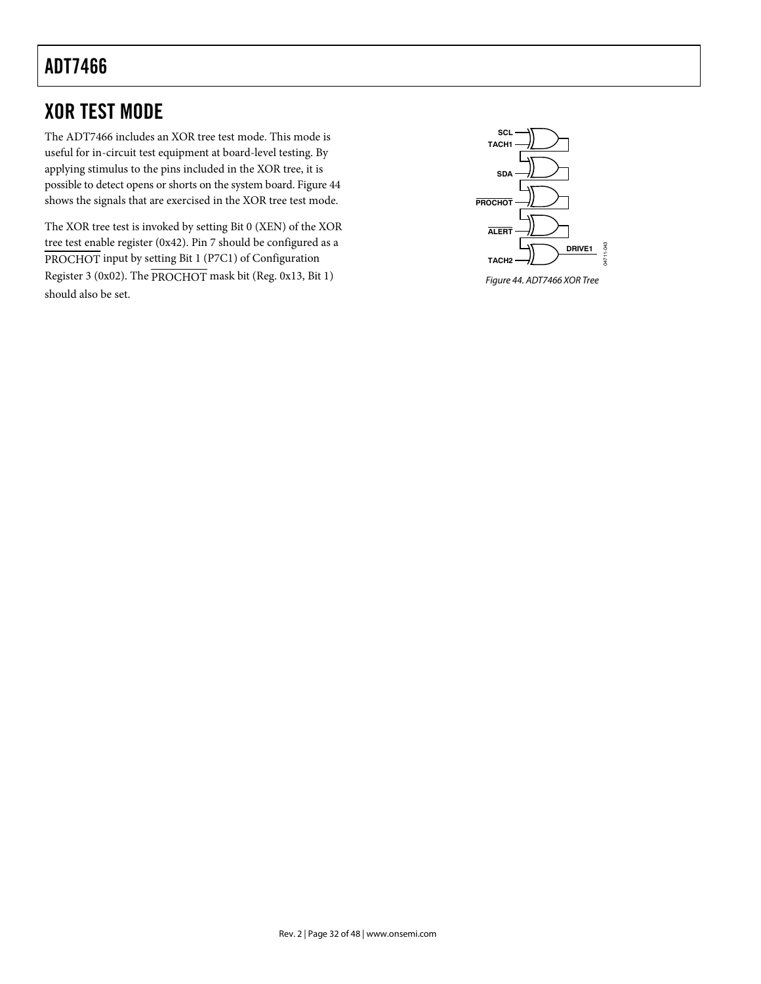# XOR TEST MODE

The ADT7466 includes an XOR tree test mode. This mode is useful for in-circuit test equipment at board-level testing. By applying stimulus to the pins included in the XOR tree, it is possible to detect opens or shorts on the system board. Figure 44 shows the signals that are exercised in the XOR tree test mode.

The XOR tree test is invoked by setting Bit 0 (XEN) of the XOR tree test enable register (0x42). Pin 7 should be configured as a PROCHOT input by setting Bit 1 (P7C1) of Configuration Register 3 (0x02). The PROCHOT mask bit (Reg. 0x13, Bit 1) should also be set.



Figure 44. ADT7466 XOR Tree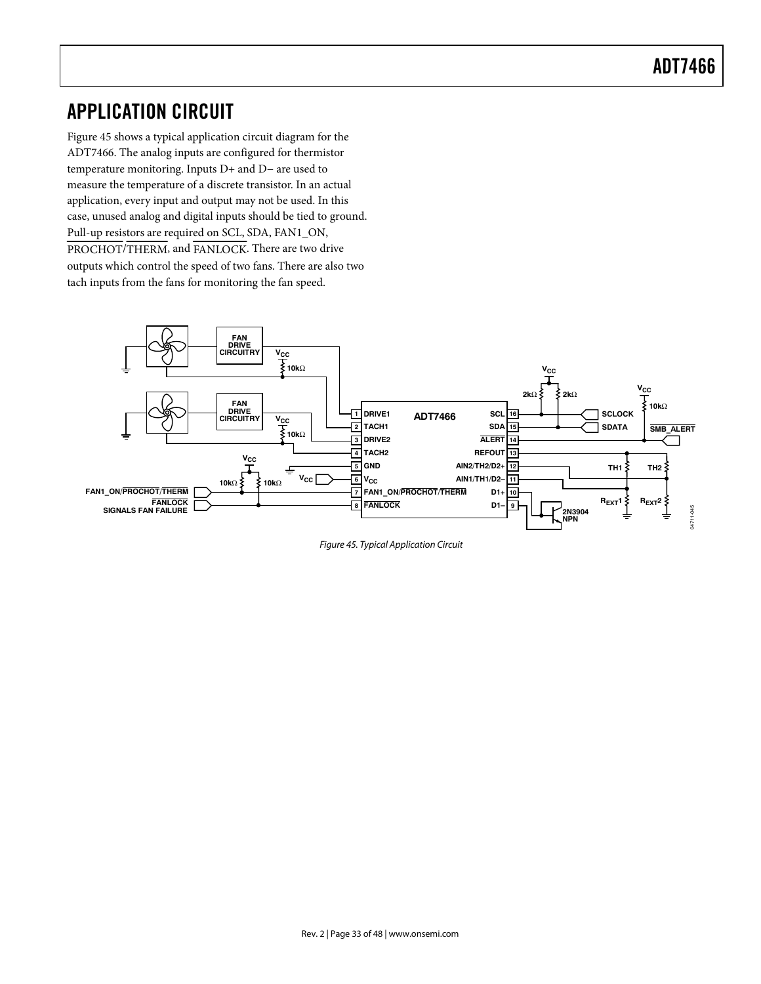# APPLICATION CIRCUIT

Figure 45 shows a typical application circuit diagram for the ADT7466. The analog inputs are configured for thermistor temperature monitoring. Inputs D+ and D− are used to measure the temperature of a discrete transistor. In an actual application, every input and output may not be used. In this case, unused analog and digital inputs should be tied to ground. Pull-up resistors are required on SCL, SDA, FAN1\_ON, PROCHOT/THERM, and FANLOCK. There are two drive outputs which control the speed of two fans. There are also two tach inputs from the fans for monitoring the fan speed.



Figure 45. Typical Application Circuit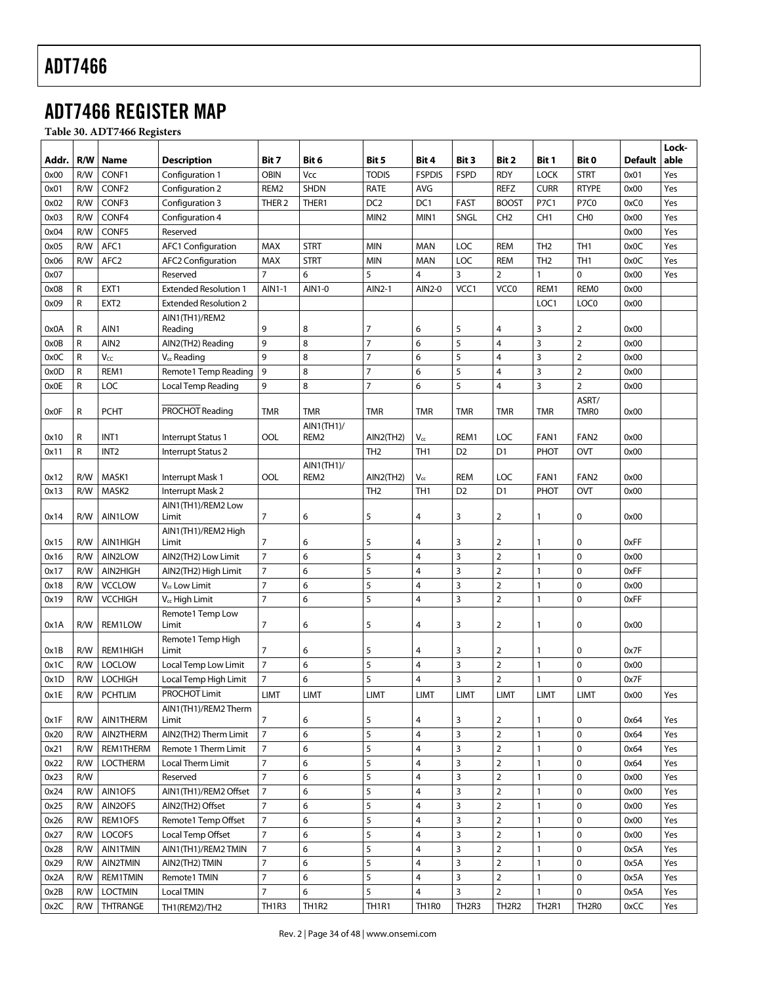# ADT7466 REGISTER MAP

**Table 30. ADT7466 Registers** 

|              |              |                   |                                   |                                |                                |                                |                                |                   |                                |                   |                                |         | Lock- |
|--------------|--------------|-------------------|-----------------------------------|--------------------------------|--------------------------------|--------------------------------|--------------------------------|-------------------|--------------------------------|-------------------|--------------------------------|---------|-------|
| Addr.        | R/W          | Name              | <b>Description</b>                | Bit 7                          | Bit 6                          | Bit 5                          | Bit 4                          | Bit 3             | Bit 2                          | Bit 1             | Bit 0                          | Default | able  |
| 0x00         | R/W          | CONF1             | Configuration 1                   | <b>OBIN</b>                    | Vcc                            | <b>TODIS</b>                   | <b>FSPDIS</b>                  | <b>FSPD</b>       | <b>RDY</b>                     | <b>LOCK</b>       | <b>STRT</b>                    | 0x01    | Yes   |
| 0x01         | R/W          | CONF <sub>2</sub> | Configuration 2                   | REM2                           | <b>SHDN</b>                    | RATE                           | AVG                            |                   | <b>REFZ</b>                    | <b>CURR</b>       | <b>RTYPE</b>                   | 0x00    | Yes   |
| 0x02         | R/W          | CONF3             | Configuration 3                   | THER <sub>2</sub>              | THER1                          | DC <sub>2</sub>                | DC1                            | <b>FAST</b>       | <b>BOOST</b>                   | P7C1              | <b>P7C0</b>                    | 0xC0    | Yes   |
| 0x03         | R/W          | CONF4             | Configuration 4                   |                                |                                | MIN <sub>2</sub>               | MIN1                           | <b>SNGL</b>       | CH <sub>2</sub>                | CH <sub>1</sub>   | CH <sub>0</sub>                | 0x00    | Yes   |
| 0x04         | R/W          | CONF5             | Reserved                          |                                |                                |                                |                                |                   |                                |                   |                                | 0x00    | Yes   |
| 0x05         | R/W          | AFC1              | AFC1 Configuration                | MAX                            | <b>STRT</b>                    | <b>MIN</b>                     | <b>MAN</b>                     | LOC               | <b>REM</b>                     | TH <sub>2</sub>   | TH <sub>1</sub>                | 0x0C    | Yes   |
| 0x06         | R/W          | AFC <sub>2</sub>  | <b>AFC2 Configuration</b>         | MAX                            | <b>STRT</b>                    | <b>MIN</b>                     | <b>MAN</b>                     | LOC               | <b>REM</b>                     | TH <sub>2</sub>   | TH <sub>1</sub>                | 0x0C    | Yes   |
| 0x07         |              |                   | Reserved                          | $\overline{7}$                 | 6                              | 5                              | 4                              | 3                 | $\overline{2}$                 | 1                 | 0                              | 0x00    | Yes   |
| 0x08         | R            | EXT <sub>1</sub>  | <b>Extended Resolution 1</b>      | AIN1-1                         | AIN1-0                         | AIN2-1                         | AIN2-0                         | VCC1              | VCC <sub>0</sub>               | REM1              | <b>REMO</b>                    | 0x00    |       |
| 0x09         | $\mathsf R$  | EXT <sub>2</sub>  | <b>Extended Resolution 2</b>      |                                |                                |                                |                                |                   |                                | LOC1              | LOC <sub>0</sub>               | 0x00    |       |
|              |              |                   | AIN1(TH1)/REM2                    |                                |                                |                                |                                |                   |                                |                   |                                |         |       |
| 0x0A         | R            | AIN1              | Reading                           | 9                              | 8                              | 7                              | 6                              | 5                 | 4                              | 3                 | 2                              | 0x00    |       |
| 0x0B         | R            | AIN <sub>2</sub>  | AIN2(TH2) Reading                 | 9                              | 8                              | $\overline{7}$                 | 6                              | 5                 | $\overline{\mathbf{4}}$        | 3                 | $\overline{2}$                 | 0x00    |       |
| 0x0C         | R            | $V_{CC}$          | $V_{cc}$ Reading                  | 9                              | 8                              | $\overline{7}$                 | 6                              | 5                 | $\overline{4}$                 | 3                 | $\overline{2}$                 | 0x00    |       |
| 0x0D         | R            | REM1              | Remote1 Temp Reading              | 9                              | 8                              | $\overline{7}$                 | 6                              | 5                 | $\overline{4}$                 | 3                 | $\overline{2}$                 | 0x00    |       |
| 0x0E         | $\mathsf{R}$ | LOC               | Local Temp Reading                | 9                              | 8                              | $\overline{7}$                 | 6                              | 5                 | $\overline{4}$                 | 3                 | $\overline{2}$                 | 0x00    |       |
|              |              |                   |                                   |                                |                                |                                |                                |                   |                                |                   | ASRT/                          |         |       |
| 0x0F         | R            | <b>PCHT</b>       | PROCHOT Reading                   | <b>TMR</b>                     | <b>TMR</b>                     | <b>TMR</b>                     | <b>TMR</b>                     | <b>TMR</b>        | <b>TMR</b>                     | <b>TMR</b>        | <b>TMR0</b>                    | 0x00    |       |
|              |              |                   |                                   |                                | $AlN1$ (TH1)/                  |                                |                                |                   |                                |                   |                                |         |       |
| 0x10         | R            | INT <sub>1</sub>  | Interrupt Status 1                | OOL                            | REM2                           | $AlN2$ (TH2)                   | $V_{cc}$                       | REM1              | <b>LOC</b>                     | FAN1              | FAN <sub>2</sub>               | 0x00    |       |
| 0x11         | $\mathsf{R}$ | INT <sub>2</sub>  | Interrupt Status 2                |                                |                                | TH <sub>2</sub>                | TH <sub>1</sub>                | D <sub>2</sub>    | D <sub>1</sub>                 | PHOT              | OVT                            | 0x00    |       |
| 0x12         | R/W          | MASK1             | Interrupt Mask 1                  | OOL                            | AIN1(TH1)<br>REM2              | AIN2(TH2)                      | $V_{cc}$                       | <b>REM</b>        | <b>LOC</b>                     | FAN1              | FAN <sub>2</sub>               | 0x00    |       |
| 0x13         | R/W          | MASK2             | Interrupt Mask 2                  |                                |                                | TH <sub>2</sub>                | TH <sub>1</sub>                | D <sub>2</sub>    | D <sub>1</sub>                 | PHOT              | <b>OVT</b>                     | 0x00    |       |
|              |              |                   | AIN1(TH1)/REM2 Low                |                                |                                |                                |                                |                   |                                |                   |                                |         |       |
| 0x14         | R/W          | AIN1LOW           | Limit                             | $\overline{7}$                 | 6                              | 5                              | 4                              | 3                 | $\overline{2}$                 | 1                 | 0                              | 0x00    |       |
|              |              |                   | AIN1(TH1)/REM2 High               |                                |                                |                                |                                |                   |                                |                   |                                |         |       |
| 0x15         | R/W          | AIN1HIGH          | Limit                             | 7                              | 6                              | 5                              | 4                              | 3                 | $\overline{2}$                 | 1                 | 0                              | 0xFF    |       |
| 0x16         | R/W          | AIN2LOW           | AIN2(TH2) Low Limit               | $\overline{7}$                 | 6                              | 5                              | 4                              | 3                 | $\overline{2}$                 | $\mathbf{1}$      | 0                              | 0x00    |       |
| 0x17         | R/W          | AIN2HIGH          | AIN2(TH2) High Limit              | $\overline{7}$                 | 6                              | 5                              | 4                              | 3                 | $\mathbf 2$                    | 1                 | 0                              | 0xFF    |       |
| 0x18         | R/W          | <b>VCCLOW</b>     | V <sub>cc</sub> Low Limit         | 7                              | 6                              | 5                              | 4                              | 3                 | $\mathbf 2$                    | 1                 | 0                              | 0x00    |       |
| 0x19         | R/W          | <b>VCCHIGH</b>    | V <sub>cc</sub> High Limit        | $\overline{7}$                 | 6                              | 5                              | 4                              | 3                 | $\overline{2}$                 | $\mathbf{1}$      | 0                              | 0xFF    |       |
|              |              |                   | Remote1 Temp Low                  |                                |                                |                                |                                |                   |                                |                   |                                |         |       |
| 0x1A         | R/W          | REM1LOW           | Limit                             | 7                              | 6                              | 5                              | 4                              | 3                 | $\overline{2}$                 | 1                 | 0                              | 0x00    |       |
|              |              |                   | Remote1 Temp High                 |                                |                                |                                |                                |                   |                                |                   |                                |         |       |
| 0x1B         | R/W          | REM1HIGH          | Limit                             | 7                              | 6                              | 5                              | 4                              | 3                 | $\overline{2}$                 | 1                 | 0                              | 0x7F    |       |
| 0x1C         | R/W          | <b>LOCLOW</b>     | Local Temp Low Limit              | $\overline{7}$                 | 6                              | 5                              | 4                              | 3                 | $\overline{2}$                 | $\mathbf{1}$      | 0                              | 0x00    |       |
| 0x1D         | R/W          | <b>LOCHIGH</b>    | Local Temp High Limit             | 7                              | 6                              | 5                              | 4                              | 3                 | $\overline{2}$                 | 1                 | 0                              | 0x7F    |       |
| 0x1E         | R/W          | <b>PCHTLIM</b>    | PROCHOT Limit                     | <b>LIMT</b>                    | <b>LIMT</b>                    | <b>LIMT</b>                    | <b>LIMT</b>                    | <b>LIMT</b>       | <b>LIMT</b>                    | <b>LIMT</b>       | <b>LIMT</b>                    | 0x00    | Yes   |
| 0x1F         | R/W          | AIN1THERM         | AIN1(TH1)/REM2 Therm<br>Limit     | 7                              | 6                              | 5                              | 4                              | 3                 | $\overline{2}$                 | 1                 | 0                              | 0x64    | Yes   |
| 0x20         | R/W          | AIN2THERM         | AIN2(TH2) Therm Limit             | $\overline{7}$                 | 6                              | 5                              | 4                              | 3                 | $\overline{2}$                 | $\mathbf{1}$      | 0                              | 0x64    | Yes   |
| 0x21         | R/W          | REM1THERM         | Remote 1 Therm Limit              | 7                              | 6                              | 5                              | 4                              | 3                 | $\overline{2}$                 | $\mathbf{1}$      | 0                              | 0x64    | Yes   |
|              | R/W          | <b>LOCTHERM</b>   | Local Therm Limit                 | 7                              | 6                              | 5                              | 4                              | 3                 | $\overline{2}$                 | $\mathbf{1}$      | 0                              |         |       |
| 0x22         |              |                   |                                   | $\overline{7}$                 | 6                              | 5                              | 4                              | 3                 | $\overline{2}$                 |                   | 0                              | 0x64    | Yes   |
| 0x23<br>0x24 | R/W<br>R/W   | AIN1OFS           | Reserved<br>AIN1(TH1)/REM2 Offset | $\overline{7}$                 | 6                              | 5                              | 4                              | 3                 | $\overline{2}$                 | 1<br>$\mathbf{1}$ | 0                              | 0x00    | Yes   |
|              |              | AIN2OFS           |                                   | 7                              |                                | 5                              | 4                              | 3                 | $\overline{2}$                 |                   |                                | 0x00    | Yes   |
| 0x25         | R/W          |                   | AIN2(TH2) Offset                  |                                | 6                              | 5                              |                                |                   |                                | 1                 | 0                              | 0x00    | Yes   |
| 0x26         | R/W          | REM1OFS           | Remote1 Temp Offset               | $\overline{7}$                 | 6                              |                                | 4                              | 3                 | $\overline{2}$                 | $\mathbf{1}$      | 0                              | 0x00    | Yes   |
| 0x27         | R/W          | <b>LOCOFS</b>     | Local Temp Offset                 | $\overline{7}$                 | 6                              | 5                              | 4                              | 3                 | $\overline{2}$                 | $\mathbf{1}$      | 0                              | 0x00    | Yes   |
| 0x28         | R/W          | AIN1TMIN          | AIN1(TH1)/REM2 TMIN               | $\overline{7}$                 | 6                              | 5                              | 4                              | 3                 | $\overline{2}$                 | $\mathbf{1}$      | 0                              | 0x5A    | Yes   |
| 0x29         | R/W          | AIN2TMIN          | AIN2(TH2) TMIN                    | $\overline{7}$                 | 6                              | 5                              | 4                              | 3                 | $\overline{2}$                 | $\mathbf{1}$      | $\mathbf 0$                    | 0x5A    | Yes   |
| 0x2A         | R/W          | <b>REM1TMIN</b>   | Remote1 TMIN                      | $\overline{7}$                 | 6                              | 5                              | 4                              | 3                 | $\overline{2}$                 | $\mathbf{1}$      | $\mathbf 0$                    | 0x5A    | Yes   |
| 0x2B         | R/W          | <b>LOCTMIN</b>    | Local TMIN                        | 7                              | 6                              | 5                              | 4                              | 3                 | $\overline{2}$                 | $\mathbf{1}$      | $\mathbf 0$                    | 0x5A    | Yes   |
| 0x2C         | R/W          | THTRANGE          | TH1(REM2)/TH2                     | TH <sub>1</sub> R <sub>3</sub> | TH <sub>1</sub> R <sub>2</sub> | TH <sub>1</sub> R <sub>1</sub> | TH <sub>1</sub> R <sub>0</sub> | TH <sub>2R3</sub> | TH <sub>2</sub> R <sub>2</sub> | TH <sub>2R1</sub> | TH <sub>2</sub> R <sub>0</sub> | 0xCC    | Yes   |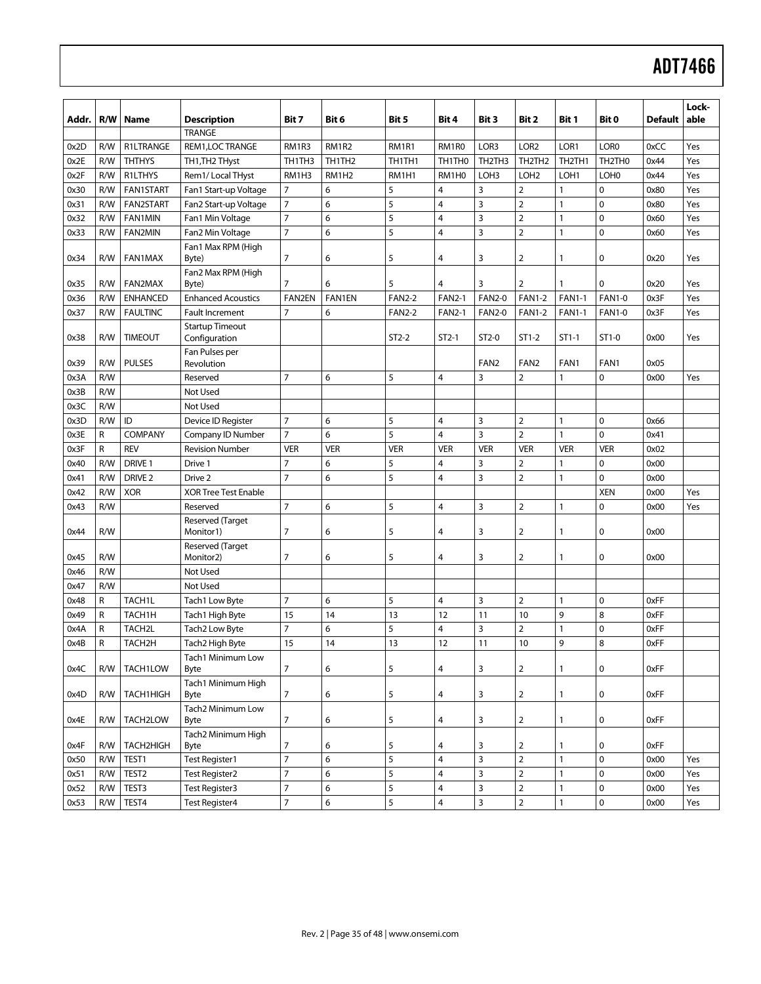| Addr. | R/W | Name                | <b>Description</b>                      | Bit 7                            | Bit 6              | Bit 5         | Bit 4          | Bit 3            | Bit 2            | Bit 1                           | Bit 0            | <b>Default</b> | Lock-<br>able |
|-------|-----|---------------------|-----------------------------------------|----------------------------------|--------------------|---------------|----------------|------------------|------------------|---------------------------------|------------------|----------------|---------------|
|       |     |                     | <b>TRANGE</b>                           |                                  |                    |               |                |                  |                  |                                 |                  |                |               |
| 0x2D  | R/W | R1LTRANGE           | REM1, LOC TRANGE                        | RM1R3                            | <b>RM1R2</b>       | RM1R1         | RM1R0          | LOR3             | LOR <sub>2</sub> | LOR <sub>1</sub>                | LOR <sub>0</sub> | 0xCC           | Yes           |
| 0x2E  | R/W | <b>THTHYS</b>       | TH1, TH2 THyst                          | TH1TH3                           | TH1TH <sub>2</sub> | TH1TH1        | TH1TH0         | TH2TH3           | TH2TH2           | TH <sub>2</sub> TH <sub>1</sub> | TH2TH0           | 0x44           | Yes           |
| 0x2F  | R/W | R1LTHYS             | Rem1/Local THyst                        | RM1H3                            | RM1H <sub>2</sub>  | RM1H1         | RM1H0          | LOH <sub>3</sub> | LOH <sub>2</sub> | LOH <sub>1</sub>                | LOH <sub>0</sub> | 0x44           | Yes           |
| 0x30  | R/W | <b>FAN1START</b>    | Fan1 Start-up Voltage                   | $\overline{7}$                   | 6                  | 5             | $\overline{4}$ | 3                | $\overline{2}$   | 1                               | 0                | 0x80           | Yes           |
| 0x31  | R/W | <b>FAN2START</b>    | Fan2 Start-up Voltage                   | $\overline{7}$                   | 6                  | 5             | 4              | 3                | $\overline{2}$   | $\mathbf{1}$                    | $\mathbf 0$      | 0x80           | Yes           |
| 0x32  | R/W | <b>FAN1MIN</b>      | Fan1 Min Voltage                        | $\overline{7}$                   | 6                  | 5             | 4              | 3                | $\overline{2}$   | 1                               | $\pmb{0}$        | 0x60           | Yes           |
| 0x33  | R/W | <b>FAN2MIN</b>      | Fan2 Min Voltage                        | $\overline{7}$                   | 6                  | 5             | 4              | $\overline{3}$   | $\overline{2}$   | $\mathbf{1}$                    | $\mathbf 0$      | 0x60           | Yes           |
| 0x34  | R/W | <b>FAN1MAX</b>      | Fan1 Max RPM (High<br>Byte)             | 7                                | 6                  | 5             | 4              | 3                | $\overline{2}$   | 1                               | 0                | 0x20           | Yes           |
|       |     |                     | Fan2 Max RPM (High                      |                                  |                    |               |                |                  |                  |                                 |                  |                |               |
| 0x35  | R/W | FAN2MAX             | Byte)                                   | 7                                | 6                  | 5             | $\overline{4}$ | 3                | $\overline{2}$   | 1                               | $\mathbf 0$      | 0x20           | Yes           |
| 0x36  | R/W | <b>ENHANCED</b>     | <b>Enhanced Acoustics</b>               | FAN2EN                           | FAN1EN             | <b>FAN2-2</b> | <b>FAN2-1</b>  | <b>FAN2-0</b>    | <b>FAN1-2</b>    | <b>FAN1-1</b>                   | <b>FAN1-0</b>    | 0x3F           | Yes           |
| 0x37  | R/W | <b>FAULTINC</b>     | Fault Increment                         | $\overline{7}$                   | 6                  | <b>FAN2-2</b> | <b>FAN2-1</b>  | <b>FAN2-0</b>    | <b>FAN1-2</b>    | <b>FAN1-1</b>                   | <b>FAN1-0</b>    | 0x3F           | Yes           |
| 0x38  | R/W | <b>TIMEOUT</b>      | <b>Startup Timeout</b><br>Configuration |                                  |                    | $ST2-2$       | $ST2-1$        | $ST2-0$          | $ST1-2$          | $ST1-1$                         | $ST1-0$          | 0x00           | Yes           |
| 0x39  | R/W | <b>PULSES</b>       | Fan Pulses per<br>Revolution            |                                  |                    |               |                | FAN <sub>2</sub> | FAN <sub>2</sub> | FAN1                            | FAN1             | 0x05           |               |
| 0x3A  | R/W |                     | Reserved                                | $\overline{7}$                   | 6                  | 5             | $\overline{4}$ | 3                | 2                | 1                               | $\pmb{0}$        | 0x00           | Yes           |
| 0x3B  | R/W |                     | Not Used                                |                                  |                    |               |                |                  |                  |                                 |                  |                |               |
| 0x3C  | R/W |                     | Not Used                                |                                  |                    |               |                |                  |                  |                                 |                  |                |               |
| 0x3D  | R/W | ID                  | Device ID Register                      | $\overline{7}$                   | 6                  | 5             | $\overline{4}$ | 3                | $\overline{2}$   | 1                               | 0                | 0x66           |               |
| 0x3E  | R   | COMPANY             | Company ID Number                       | $\overline{7}$                   | 6                  | 5             | $\overline{4}$ | 3                | $\overline{2}$   | 1                               | $\mathbf 0$      | 0x41           |               |
| 0x3F  | R   | <b>REV</b>          | <b>Revision Number</b>                  | <b>VER</b>                       | VER                | <b>VER</b>    | <b>VER</b>     | <b>VER</b>       | <b>VER</b>       | <b>VER</b>                      | <b>VER</b>       | 0x02           |               |
| 0x40  | R/W | DRIVE 1             | Drive 1                                 | $\overline{7}$                   | 6                  | 5             | $\overline{4}$ | 3                | $\overline{2}$   | 1                               | $\mathbf 0$      | 0x00           |               |
| 0x41  | R/W | DRIVE <sub>2</sub>  | Drive 2                                 | $\overline{7}$                   | 6                  | 5             | $\overline{4}$ | $\overline{3}$   | $\overline{2}$   | 1                               | $\mathbf 0$      | 0x00           |               |
| 0x42  | R/W | <b>XOR</b>          | <b>XOR Tree Test Enable</b>             |                                  |                    |               |                |                  |                  |                                 | <b>XEN</b>       | 0x00           | Yes           |
| 0x43  | R/W |                     | Reserved                                | $\overline{7}$                   | 6                  | 5             | $\overline{4}$ | 3                | $\overline{2}$   | 1                               | $\mathbf 0$      | 0x00           | Yes           |
| 0x44  | R/W |                     | Reserved (Target<br>Monitor1)           | 7                                | 6                  | 5             | 4              | 3                | $\overline{2}$   | 1                               | 0                | 0x00           |               |
| 0x45  | R/W |                     | Reserved (Target<br>Monitor2)           | $\overline{7}$                   | 6                  | 5             | 4              | 3                | $\overline{2}$   | 1                               | $\mathbf 0$      | 0x00           |               |
| 0x46  | R/W |                     | Not Used                                |                                  |                    |               |                |                  |                  |                                 |                  |                |               |
| 0x47  | R/W |                     | Not Used                                |                                  |                    |               |                |                  |                  |                                 |                  |                |               |
| 0x48  | R   | TACH1L              | Tach1 Low Byte                          | $\overline{7}$                   | 6                  | 5             | $\overline{4}$ | 3                | $\overline{2}$   | $\mathbf{1}$                    | 0                | 0xFF           |               |
| 0x49  | R   | TACH1H              | Tach1 High Byte                         | 15                               | 14                 | 13            | 12             | 11               | 10               | 9                               | 8                | 0xFF           |               |
| 0x4A  | R   | TACH2L              | Tach2 Low Byte                          | $\overline{7}$                   | 6                  | 5             | 4              | 3                | $\overline{2}$   | 1                               | $\pmb{0}$        | 0xFF           |               |
| 0x4B  | R   | TACH <sub>2</sub> H | Tach2 High Byte                         | 15                               | 14                 | 13            | 12             | 11               | 10               | 9                               | 8                | 0xFF           |               |
| 0x4C  | R/W | TACH1LOW            | Tach1 Minimum Low<br>Byte               | $\overline{7}$                   | 6                  | 5             | 4              | 3                | $\overline{2}$   | $\mathbf{1}$                    | 0                | 0xFF           |               |
| 0x4D  | R/W | TACH1HIGH           | Tach1 Minimum High<br>Byte              | $\overline{7}$                   | 6                  | 5             | 4              | 3                | $\overline{2}$   | 1                               | 0                | 0xFF           |               |
| 0x4E  | R/W | TACH2LOW            | Tach2 Minimum Low<br>Byte               | $\overline{7}$                   | 6                  | 5             | 4              | 3                | $\overline{2}$   | 1                               | 0                | 0xFF           |               |
| 0x4F  | R/W | TACH2HIGH           | Tach2 Minimum High<br>Byte              | 7                                | 6                  | 5             | 4              | 3                | $\overline{2}$   | 1                               | 0                | 0xFF           |               |
| 0x50  | R/W | TEST1               | <b>Test Register1</b>                   | $\overline{7}$                   | 6                  | 5             | 4              | $\overline{3}$   | $\overline{2}$   | 1                               | $\pmb{0}$        | 0x00           | Yes           |
| 0x51  | R/W | TEST <sub>2</sub>   | <b>Test Register2</b>                   | $\overline{7}$                   | 6                  | 5             | 4              | $\mathsf 3$      | $\mathbf 2$      | 1                               | 0                | 0x00           | Yes           |
| 0x52  | R/W | TEST3               | Test Register3                          | $\overline{7}$<br>$\overline{7}$ | 6                  | $\sqrt{5}$    | 4              | $\overline{3}$   | $\mathbf 2$      | 1                               | $\pmb{0}$        | 0x00           | Yes           |
| 0x53  | R/W | TEST4               | <b>Test Register4</b>                   |                                  | 6                  | 5             | 4              | $\overline{3}$   | $\mathbf 2$      | 1                               | $\pmb{0}$        | 0x00           | Yes           |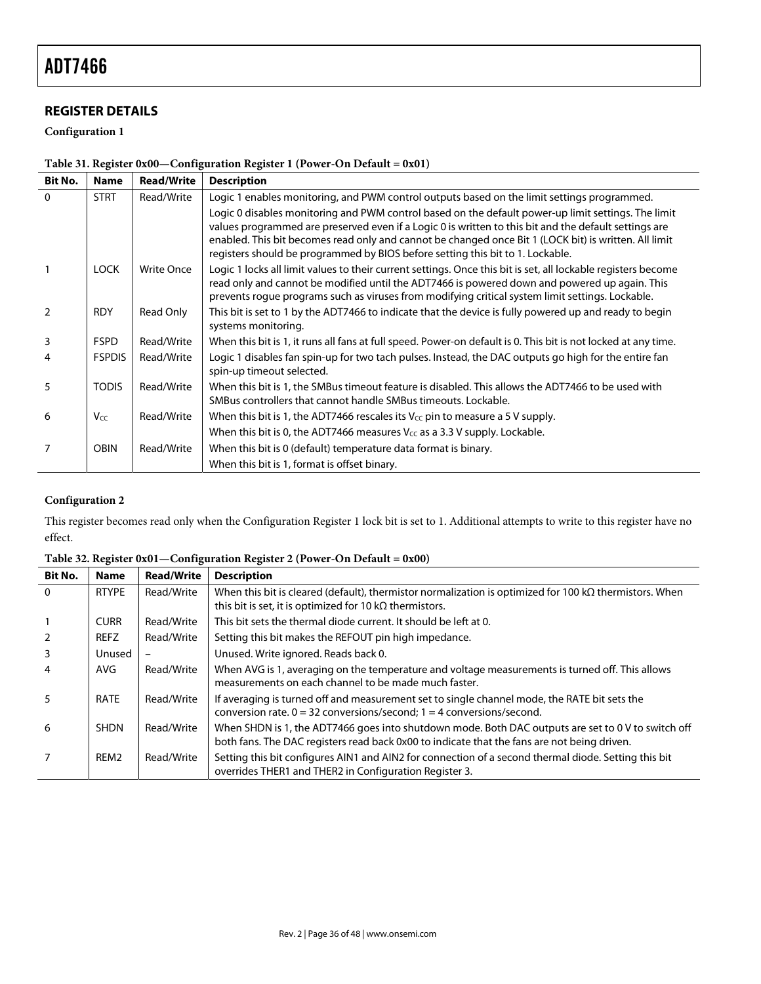# **REGISTER DETAILS**

**Configuration 1** 

|  | Table 31. Register 0x00-Configuration Register 1 (Power-On Default = 0x01) |  |
|--|----------------------------------------------------------------------------|--|
|  |                                                                            |  |

| <b>Bit No.</b> | <b>Name</b>   | <b>Read/Write</b> | <b>Description</b>                                                                                                                                                                                                                                                                                                                                                                                      |
|----------------|---------------|-------------------|---------------------------------------------------------------------------------------------------------------------------------------------------------------------------------------------------------------------------------------------------------------------------------------------------------------------------------------------------------------------------------------------------------|
| $\Omega$       | <b>STRT</b>   | Read/Write        | Logic 1 enables monitoring, and PWM control outputs based on the limit settings programmed.                                                                                                                                                                                                                                                                                                             |
|                |               |                   | Logic 0 disables monitoring and PWM control based on the default power-up limit settings. The limit<br>values programmed are preserved even if a Logic 0 is written to this bit and the default settings are<br>enabled. This bit becomes read only and cannot be changed once Bit 1 (LOCK bit) is written. All limit<br>registers should be programmed by BIOS before setting this bit to 1. Lockable. |
|                | <b>LOCK</b>   | Write Once        | Logic 1 locks all limit values to their current settings. Once this bit is set, all lockable registers become<br>read only and cannot be modified until the ADT7466 is powered down and powered up again. This<br>prevents rogue programs such as viruses from modifying critical system limit settings. Lockable.                                                                                      |
| $\mathcal{P}$  | <b>RDY</b>    | Read Only         | This bit is set to 1 by the ADT7466 to indicate that the device is fully powered up and ready to begin<br>systems monitoring.                                                                                                                                                                                                                                                                           |
| 3              | <b>FSPD</b>   | Read/Write        | When this bit is 1, it runs all fans at full speed. Power-on default is 0. This bit is not locked at any time.                                                                                                                                                                                                                                                                                          |
|                | <b>FSPDIS</b> | Read/Write        | Logic 1 disables fan spin-up for two tach pulses. Instead, the DAC outputs go high for the entire fan<br>spin-up timeout selected.                                                                                                                                                                                                                                                                      |
| 5              | <b>TODIS</b>  | Read/Write        | When this bit is 1, the SMBus timeout feature is disabled. This allows the ADT7466 to be used with<br>SMBus controllers that cannot handle SMBus timeouts. Lockable.                                                                                                                                                                                                                                    |
| 6              | Vcc           | Read/Write        | When this bit is 1, the ADT7466 rescales its $V_{CC}$ pin to measure a 5 V supply.                                                                                                                                                                                                                                                                                                                      |
|                |               |                   | When this bit is 0, the ADT7466 measures $V_{CC}$ as a 3.3 V supply. Lockable.                                                                                                                                                                                                                                                                                                                          |
| 7              | <b>OBIN</b>   | Read/Write        | When this bit is 0 (default) temperature data format is binary.                                                                                                                                                                                                                                                                                                                                         |
|                |               |                   | When this bit is 1, format is offset binary.                                                                                                                                                                                                                                                                                                                                                            |

# **Configuration 2**

This register becomes read only when the Configuration Register 1 lock bit is set to 1. Additional attempts to write to this register have no effect.

| <b>Name</b>      | <b>Read/Write</b> | <b>Description</b>                                                                                                                                                                                |
|------------------|-------------------|---------------------------------------------------------------------------------------------------------------------------------------------------------------------------------------------------|
| <b>RTYPE</b>     | Read/Write        | When this bit is cleared (default), thermistor normalization is optimized for 100 kQ thermistors. When<br>this bit is set, it is optimized for 10 $k\Omega$ thermistors.                          |
| <b>CURR</b>      | Read/Write        | This bit sets the thermal diode current. It should be left at 0.                                                                                                                                  |
| REFZ             | Read/Write        | Setting this bit makes the REFOUT pin high impedance.                                                                                                                                             |
| Unused           |                   | Unused. Write ignored. Reads back 0.                                                                                                                                                              |
| AVG.             | Read/Write        | When AVG is 1, averaging on the temperature and voltage measurements is turned off. This allows<br>measurements on each channel to be made much faster.                                           |
| <b>RATE</b>      | Read/Write        | If averaging is turned off and measurement set to single channel mode, the RATE bit sets the<br>conversion rate. $0 = 32$ conversions/second; $1 = 4$ conversions/second.                         |
| <b>SHDN</b>      | Read/Write        | When SHDN is 1, the ADT7466 goes into shutdown mode. Both DAC outputs are set to 0 V to switch off<br>both fans. The DAC registers read back 0x00 to indicate that the fans are not being driven. |
| REM <sub>2</sub> | Read/Write        | Setting this bit configures AIN1 and AIN2 for connection of a second thermal diode. Setting this bit<br>overrides THER1 and THER2 in Configuration Register 3.                                    |
|                  |                   |                                                                                                                                                                                                   |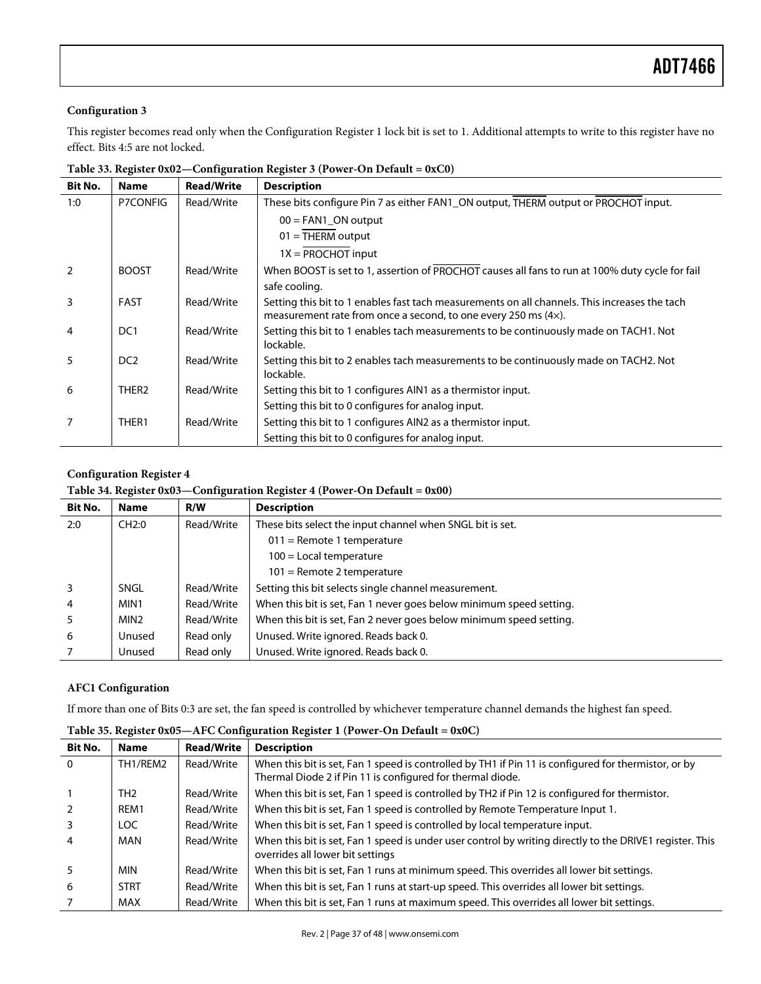### **Configuration 3**

This register becomes read only when the Configuration Register 1 lock bit is set to 1. Additional attempts to write to this register have no effect. Bits 4:5 are not locked.

| Bit No. | <b>Name</b>       | <b>Read/Write</b> | <b>Description</b>                                                                                 |
|---------|-------------------|-------------------|----------------------------------------------------------------------------------------------------|
| 1:0     | P7CONFIG          | Read/Write        | These bits configure Pin 7 as either FAN1_ON output, THERM output or PROCHOT input.                |
|         |                   |                   | $00 = FAN1$ ON output                                                                              |
|         |                   |                   | $01 = THERM$ output                                                                                |
|         |                   |                   | $1X = PROCHOT input$                                                                               |
| 2       | <b>BOOST</b>      | Read/Write        | When BOOST is set to 1, assertion of PROCHOT causes all fans to run at 100% duty cycle for fail    |
|         |                   |                   | safe cooling.                                                                                      |
| 3       | <b>FAST</b>       | Read/Write        | Setting this bit to 1 enables fast tach measurements on all channels. This increases the tach      |
|         |                   |                   | measurement rate from once a second, to one every 250 ms (4x).                                     |
| 4       | DC <sub>1</sub>   | Read/Write        | Setting this bit to 1 enables tach measurements to be continuously made on TACH1. Not<br>lockable. |
| 5       | DC <sub>2</sub>   | Read/Write        | Setting this bit to 2 enables tach measurements to be continuously made on TACH2. Not              |
|         |                   |                   | lockable.                                                                                          |
| 6       | THER <sub>2</sub> | Read/Write        | Setting this bit to 1 configures AIN1 as a thermistor input.                                       |
|         |                   |                   | Setting this bit to 0 configures for analog input.                                                 |
|         | THER <sub>1</sub> | Read/Write        | Setting this bit to 1 configures AIN2 as a thermistor input.                                       |
|         |                   |                   | Setting this bit to 0 configures for analog input.                                                 |

**Table 33. Register 0x02—Configuration Register 3 (Power-On Default = 0xC0)** 

### **Configuration Register 4**

#### **Table 34. Register 0x03—Configuration Register 4 (Power-On Default = 0x00)**

| <b>Bit No.</b> | <b>Name</b>      | R/W        | <b>Description</b>                                                  |
|----------------|------------------|------------|---------------------------------------------------------------------|
| 2:0            | CH2:0            | Read/Write | These bits select the input channel when SNGL bit is set.           |
|                |                  |            | $011$ = Remote 1 temperature                                        |
|                |                  |            | $100$ = Local temperature                                           |
|                |                  |            | $101$ = Remote 2 temperature                                        |
| $\overline{3}$ | SNGL             | Read/Write | Setting this bit selects single channel measurement.                |
| $\overline{4}$ | MIN1             | Read/Write | When this bit is set, Fan 1 never goes below minimum speed setting. |
| -5             | MIN <sub>2</sub> | Read/Write | When this bit is set, Fan 2 never goes below minimum speed setting. |
| 6              | Unused           | Read only  | Unused. Write ignored. Reads back 0.                                |
|                | Unused           | Read only  | Unused. Write ignored. Reads back 0.                                |

#### **AFC1 Configuration**

If more than one of Bits 0:3 are set, the fan speed is controlled by whichever temperature channel demands the highest fan speed.

| <b>Bit No.</b> | <b>Name</b>     | <b>Read/Write</b> | <b>Description</b>                                                                                                                                                 |
|----------------|-----------------|-------------------|--------------------------------------------------------------------------------------------------------------------------------------------------------------------|
| $\overline{0}$ | TH1/REM2        | Read/Write        | When this bit is set, Fan 1 speed is controlled by TH1 if Pin 11 is configured for thermistor, or by<br>Thermal Diode 2 if Pin 11 is configured for thermal diode. |
| $\mathbf{1}$   | TH <sub>2</sub> | Read/Write        | When this bit is set, Fan 1 speed is controlled by TH2 if Pin 12 is configured for thermistor.                                                                     |
| 2              | REM1            | Read/Write        | When this bit is set, Fan 1 speed is controlled by Remote Temperature Input 1.                                                                                     |
| $\overline{3}$ | LOC.            | Read/Write        | When this bit is set, Fan 1 speed is controlled by local temperature input.                                                                                        |
| $\overline{4}$ | MAN             | Read/Write        | When this bit is set, Fan 1 speed is under user control by writing directly to the DRIVE1 register. This<br>overrides all lower bit settings                       |
| 5              | <b>MIN</b>      | Read/Write        | When this bit is set, Fan 1 runs at minimum speed. This overrides all lower bit settings.                                                                          |
| 6              | <b>STRT</b>     | Read/Write        | When this bit is set, Fan 1 runs at start-up speed. This overrides all lower bit settings.                                                                         |
|                | <b>MAX</b>      | Read/Write        | When this bit is set, Fan 1 runs at maximum speed. This overrides all lower bit settings.                                                                          |

**Table 35. Register 0x05—AFC Configuration Register 1 (Power-On Default = 0x0C)**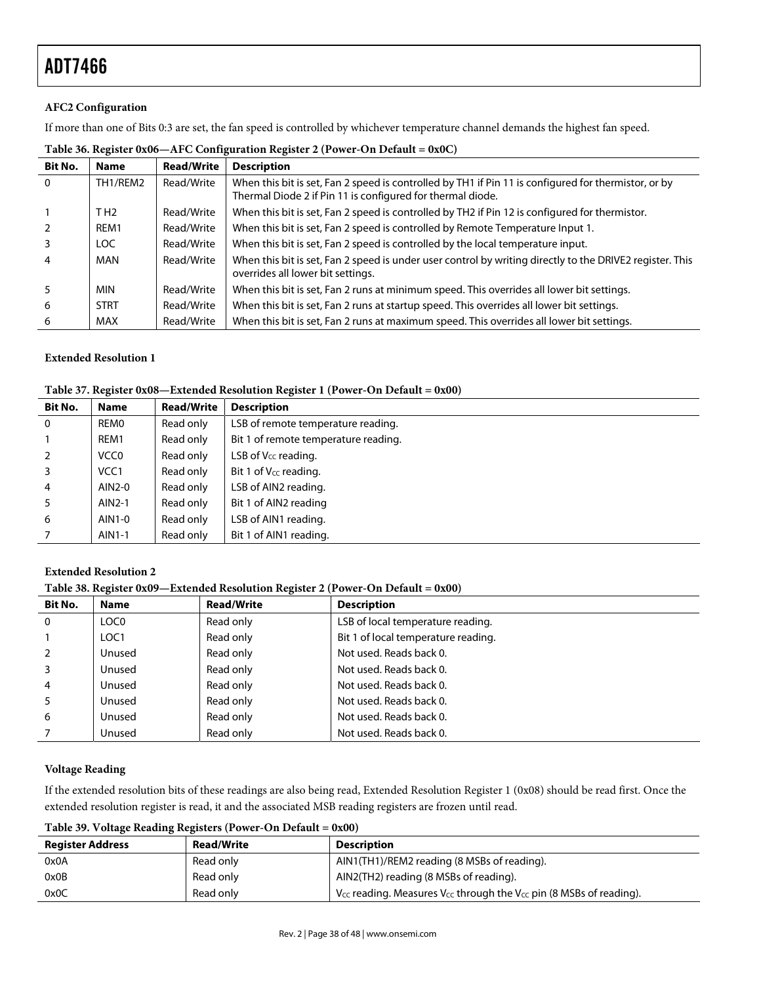#### **AFC2 Configuration**

If more than one of Bits 0:3 are set, the fan speed is controlled by whichever temperature channel demands the highest fan speed.

| <b>Bit No.</b> | <b>Name</b>      | <b>Read/Write</b> | <b>Description</b>                                                                                                                                                 |
|----------------|------------------|-------------------|--------------------------------------------------------------------------------------------------------------------------------------------------------------------|
| $\Omega$       | TH1/REM2         | Read/Write        | When this bit is set, Fan 2 speed is controlled by TH1 if Pin 11 is configured for thermistor, or by<br>Thermal Diode 2 if Pin 11 is configured for thermal diode. |
| $\mathbf{1}$   | T H <sub>2</sub> | Read/Write        | When this bit is set, Fan 2 speed is controlled by TH2 if Pin 12 is configured for thermistor.                                                                     |
| 2              | REM1             | Read/Write        | When this bit is set, Fan 2 speed is controlled by Remote Temperature Input 1.                                                                                     |
| 3              | LOC.             | Read/Write        | When this bit is set, Fan 2 speed is controlled by the local temperature input.                                                                                    |
| $\overline{4}$ | MAN              | Read/Write        | When this bit is set, Fan 2 speed is under user control by writing directly to the DRIVE2 register. This<br>overrides all lower bit settings.                      |
| 5              | <b>MIN</b>       | Read/Write        | When this bit is set, Fan 2 runs at minimum speed. This overrides all lower bit settings.                                                                          |
| 6              | <b>STRT</b>      | Read/Write        | When this bit is set, Fan 2 runs at startup speed. This overrides all lower bit settings.                                                                          |
| 6              | MAX              | Read/Write        | When this bit is set, Fan 2 runs at maximum speed. This overrides all lower bit settings.                                                                          |

#### **Table 36. Register 0x06—AFC Configuration Register 2 (Power-On Default = 0x0C)**

#### **Extended Resolution 1**

#### **Table 37. Register 0x08—Extended Resolution Register 1 (Power-On Default = 0x00)**

| <b>Bit No.</b> | <b>Name</b>      | <b>Read/Write</b> | <b>Description</b>                   |
|----------------|------------------|-------------------|--------------------------------------|
| $\Omega$       | REMO             | Read only         | LSB of remote temperature reading.   |
|                | REM1             | Read only         | Bit 1 of remote temperature reading. |
| 2              | VCC <sub>0</sub> | Read only         | LSB of $V_{CC}$ reading.             |
| 3              | VCC <sub>1</sub> | Read only         | Bit 1 of V <sub>cc</sub> reading.    |
| $\overline{4}$ | AIN2-0           | Read only         | LSB of AIN2 reading.                 |
| 5              | AIN2-1           | Read only         | Bit 1 of AIN2 reading                |
| 6              | AIN1-0           | Read only         | LSB of AIN1 reading.                 |
|                | AIN1-1           | Read only         | Bit 1 of AIN1 reading.               |

#### **Extended Resolution 2**

**Table 38. Register 0x09—Extended Resolution Register 2 (Power-On Default = 0x00)** 

| <b>Bit No.</b> | <b>Name</b>      | <b>Read/Write</b> | <b>Description</b>                  |
|----------------|------------------|-------------------|-------------------------------------|
| $\Omega$       | LOC <sub>0</sub> | Read only         | LSB of local temperature reading.   |
|                | LOC <sub>1</sub> | Read only         | Bit 1 of local temperature reading. |
|                | Unused           | Read only         | Not used. Reads back 0.             |
|                | Unused           | Read only         | Not used. Reads back 0.             |
| $\overline{4}$ | Unused           | Read only         | Not used. Reads back 0.             |
|                | Unused           | Read only         | Not used. Reads back 0.             |
| 6              | Unused           | Read only         | Not used. Reads back 0.             |
|                | Unused           | Read only         | Not used. Reads back 0.             |

#### **Voltage Reading**

If the extended resolution bits of these readings are also being read, Extended Resolution Register 1 (0x08) should be read first. Once the extended resolution register is read, it and the associated MSB reading registers are frozen until read.

**Table 39. Voltage Reading Registers (Power-On Default = 0x00)** 

| <b>Register Address</b> | <b>Read/Write</b> | <b>Description</b>                                                                |  |  |  |
|-------------------------|-------------------|-----------------------------------------------------------------------------------|--|--|--|
| 0x0A                    | Read only         | AIN1(TH1)/REM2 reading (8 MSBs of reading).                                       |  |  |  |
| 0x0B                    | Read only         | AIN2(TH2) reading (8 MSBs of reading).                                            |  |  |  |
| 0x0C                    | Read only         | $V_{CC}$ reading. Measures $V_{CC}$ through the $V_{CC}$ pin (8 MSBs of reading). |  |  |  |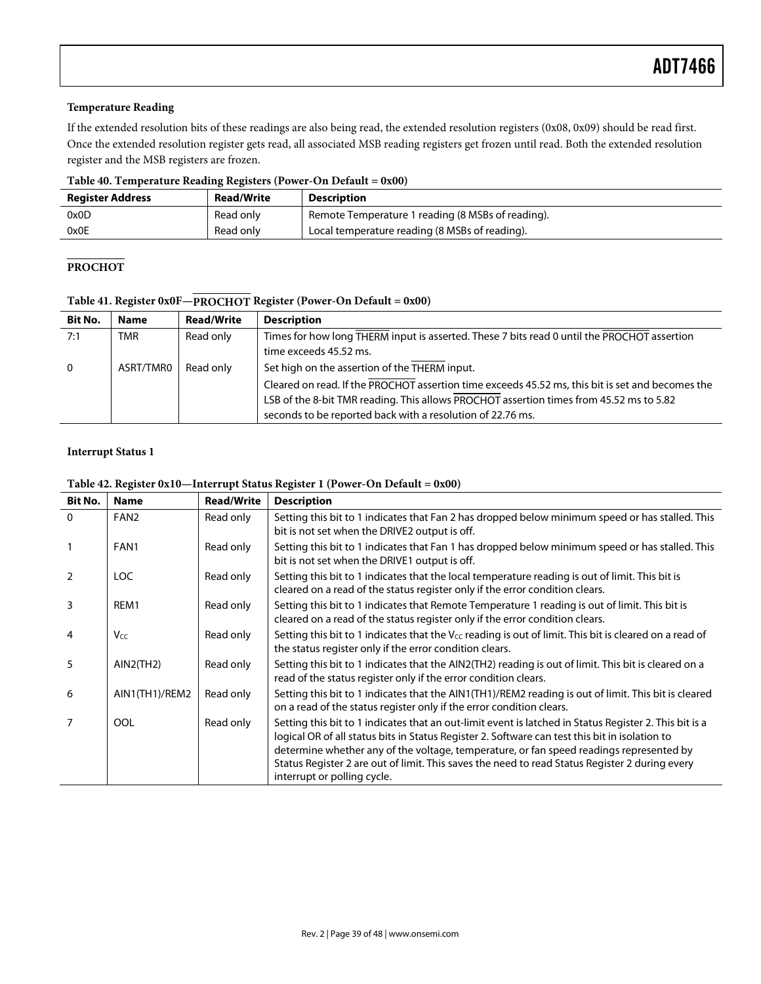#### **Temperature Reading**

If the extended resolution bits of these readings are also being read, the extended resolution registers (0x08, 0x09) should be read first. Once the extended resolution register gets read, all associated MSB reading registers get frozen until read. Both the extended resolution register and the MSB registers are frozen.

**Table 40. Temperature Reading Registers (Power-On Default = 0x00)** 

| <b>Register Address</b> | <b>Read/Write</b> | <b>Description</b>                                |
|-------------------------|-------------------|---------------------------------------------------|
| 0x0D                    | Read only         | Remote Temperature 1 reading (8 MSBs of reading). |
| 0x0E                    | Read only         | Local temperature reading (8 MSBs of reading).    |

# **PROCHOT**

| Table 41. Register 0x0F-PROCHOT Register (Power-On Default = 0x00) |
|--------------------------------------------------------------------|
|--------------------------------------------------------------------|

| <b>Bit No.</b> | <b>Name</b> | <b>Read/Write</b> | <b>Description</b>                                                                                                                                                                                                                                        |  |
|----------------|-------------|-------------------|-----------------------------------------------------------------------------------------------------------------------------------------------------------------------------------------------------------------------------------------------------------|--|
| 7:1            | <b>TMR</b>  | Read only         | Times for how long THERM input is asserted. These 7 bits read 0 until the PROCHOT assertion                                                                                                                                                               |  |
|                |             |                   | time exceeds 45.52 ms.                                                                                                                                                                                                                                    |  |
| $\overline{0}$ | ASRT/TMR0   | Read only         | Set high on the assertion of the THERM input.                                                                                                                                                                                                             |  |
|                |             |                   | Cleared on read. If the PROCHOT assertion time exceeds 45.52 ms, this bit is set and becomes the<br>LSB of the 8-bit TMR reading. This allows PROCHOT assertion times from 45.52 ms to 5.82<br>seconds to be reported back with a resolution of 22.76 ms. |  |

#### **Interrupt Status 1**

#### **Table 42. Register 0x10—Interrupt Status Register 1 (Power-On Default = 0x00)**

| <b>Bit No.</b> | <b>Name</b>      | <b>Read/Write</b> | <b>Description</b>                                                                                                                                                                                                                                                                                                                                                                                                                   |  |
|----------------|------------------|-------------------|--------------------------------------------------------------------------------------------------------------------------------------------------------------------------------------------------------------------------------------------------------------------------------------------------------------------------------------------------------------------------------------------------------------------------------------|--|
| $\Omega$       | FAN <sub>2</sub> | Read only         | Setting this bit to 1 indicates that Fan 2 has dropped below minimum speed or has stalled. This<br>bit is not set when the DRIVE2 output is off.                                                                                                                                                                                                                                                                                     |  |
|                | FAN1             | Read only         | Setting this bit to 1 indicates that Fan 1 has dropped below minimum speed or has stalled. This<br>bit is not set when the DRIVE1 output is off.                                                                                                                                                                                                                                                                                     |  |
| $\overline{2}$ | LOC.             | Read only         | Setting this bit to 1 indicates that the local temperature reading is out of limit. This bit is<br>cleared on a read of the status register only if the error condition clears.                                                                                                                                                                                                                                                      |  |
| 3              | REM1             | Read only         | Setting this bit to 1 indicates that Remote Temperature 1 reading is out of limit. This bit is<br>cleared on a read of the status register only if the error condition clears.                                                                                                                                                                                                                                                       |  |
| 4              | Vcc              | Read only         | Setting this bit to 1 indicates that the $V_{CC}$ reading is out of limit. This bit is cleared on a read of<br>the status register only if the error condition clears.                                                                                                                                                                                                                                                               |  |
| 5              | AIN2(TH2)        | Read only         | Setting this bit to 1 indicates that the AIN2(TH2) reading is out of limit. This bit is cleared on a<br>read of the status register only if the error condition clears.                                                                                                                                                                                                                                                              |  |
| 6              | AIN1(TH1)/REM2   | Read only         | Setting this bit to 1 indicates that the AIN1(TH1)/REM2 reading is out of limit. This bit is cleared<br>on a read of the status register only if the error condition clears.                                                                                                                                                                                                                                                         |  |
|                | OOL              | Read only         | Setting this bit to 1 indicates that an out-limit event is latched in Status Register 2. This bit is a<br>logical OR of all status bits in Status Register 2. Software can test this bit in isolation to<br>determine whether any of the voltage, temperature, or fan speed readings represented by<br>Status Register 2 are out of limit. This saves the need to read Status Register 2 during every<br>interrupt or polling cycle. |  |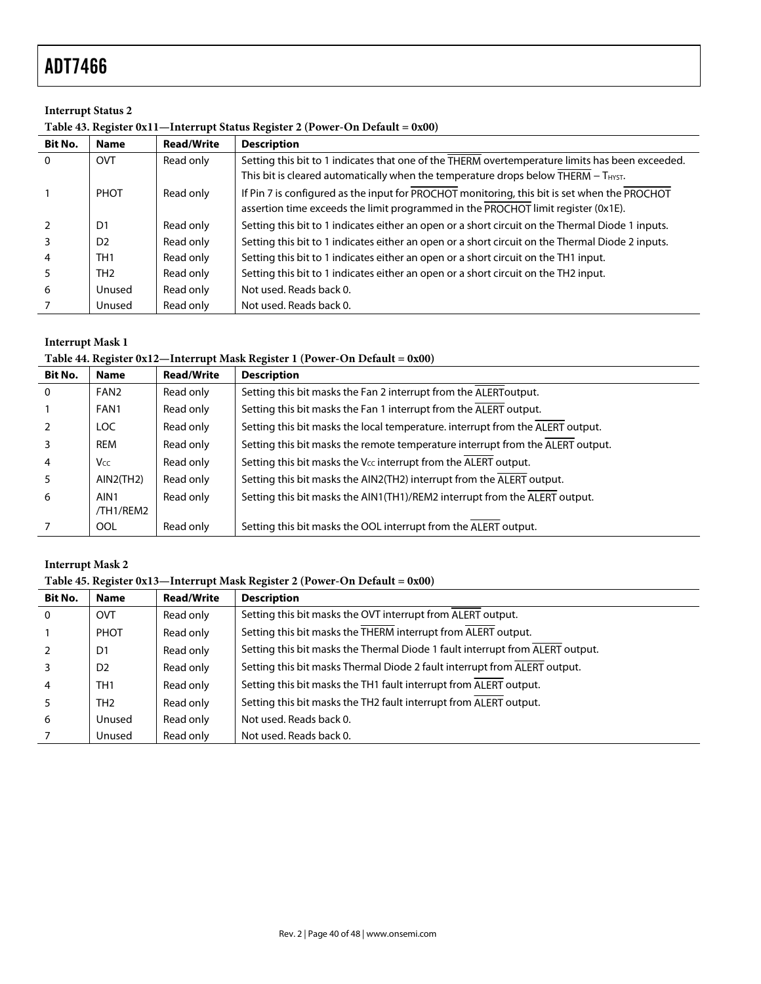# **Interrupt Status 2**

|  |  | Table 43. Register 0x11-Interrupt Status Register 2 (Power-On Default = 0x00) |
|--|--|-------------------------------------------------------------------------------|
|  |  |                                                                               |

| <b>Bit No.</b> | <b>Name</b>     | <b>Read/Write</b> | <b>Description</b>                                                                               |
|----------------|-----------------|-------------------|--------------------------------------------------------------------------------------------------|
| $\overline{0}$ | <b>OVT</b>      | Read only         | Setting this bit to 1 indicates that one of the THERM overtemperature limits has been exceeded.  |
|                |                 |                   | This bit is cleared automatically when the temperature drops below THERM - THYST.                |
|                | <b>PHOT</b>     | Read only         | If Pin 7 is configured as the input for PROCHOT monitoring, this bit is set when the PROCHOT     |
|                |                 |                   | assertion time exceeds the limit programmed in the PROCHOT limit register (0x1E).                |
| $\overline{2}$ | D <sub>1</sub>  | Read only         | Setting this bit to 1 indicates either an open or a short circuit on the Thermal Diode 1 inputs. |
| 3              | D <sub>2</sub>  | Read only         | Setting this bit to 1 indicates either an open or a short circuit on the Thermal Diode 2 inputs. |
| $\overline{4}$ | TH <sub>1</sub> | Read only         | Setting this bit to 1 indicates either an open or a short circuit on the TH1 input.              |
| 5              | TH <sub>2</sub> | Read only         | Setting this bit to 1 indicates either an open or a short circuit on the TH2 input.              |
| -6             | Unused          | Read only         | Not used. Reads back 0.                                                                          |
|                | Unused          | Read only         | Not used. Reads back 0.                                                                          |

# **Interrupt Mask 1**

#### **Table 44. Register 0x12—Interrupt Mask Register 1 (Power-On Default = 0x00)**

| <b>Bit No.</b> | <b>Name</b>       | <b>Read/Write</b> | <b>Description</b>                                                             |
|----------------|-------------------|-------------------|--------------------------------------------------------------------------------|
| $\overline{0}$ | FAN <sub>2</sub>  | Read only         | Setting this bit masks the Fan 2 interrupt from the ALERT output.              |
|                | FAN1              | Read only         | Setting this bit masks the Fan 1 interrupt from the ALERT output.              |
| $\mathcal{P}$  | LOC.              | Read only         | Setting this bit masks the local temperature. interrupt from the ALERT output. |
|                | REM               | Read only         | Setting this bit masks the remote temperature interrupt from the ALERT output. |
| $\overline{4}$ | <b>Vcc</b>        | Read only         | Setting this bit masks the V <sub>cc</sub> interrupt from the ALERT output.    |
| 5              | AIN2(TH2)         | Read only         | Setting this bit masks the AIN2(TH2) interrupt from the ALERT output.          |
| -6             | AIN1<br>/TH1/REM2 | Read only         | Setting this bit masks the AIN1(TH1)/REM2 interrupt from the ALERT output.     |
|                | <b>OOL</b>        | Read only         | Setting this bit masks the OOL interrupt from the ALERT output.                |

### **Interrupt Mask 2**

#### **Table 45. Register 0x13—Interrupt Mask Register 2 (Power-On Default = 0x00)**

| <b>Bit No.</b> | <b>Name</b>     | <b>Read/Write</b> | <b>Description</b>                                                            |
|----------------|-----------------|-------------------|-------------------------------------------------------------------------------|
| 0              | <b>OVT</b>      | Read only         | Setting this bit masks the OVT interrupt from ALERT output.                   |
|                | <b>PHOT</b>     | Read only         | Setting this bit masks the THERM interrupt from ALERT output.                 |
|                | D1              | Read only         | Setting this bit masks the Thermal Diode 1 fault interrupt from ALERT output. |
|                | D <sub>2</sub>  | Read only         | Setting this bit masks Thermal Diode 2 fault interrupt from ALERT output.     |
|                | TH1             | Read only         | Setting this bit masks the TH1 fault interrupt from ALERT output.             |
|                | TH <sub>2</sub> | Read only         | Setting this bit masks the TH2 fault interrupt from ALERT output.             |
| 6              | Unused          | Read only         | Not used. Reads back 0.                                                       |
|                | Unused          | Read only         | Not used. Reads back 0.                                                       |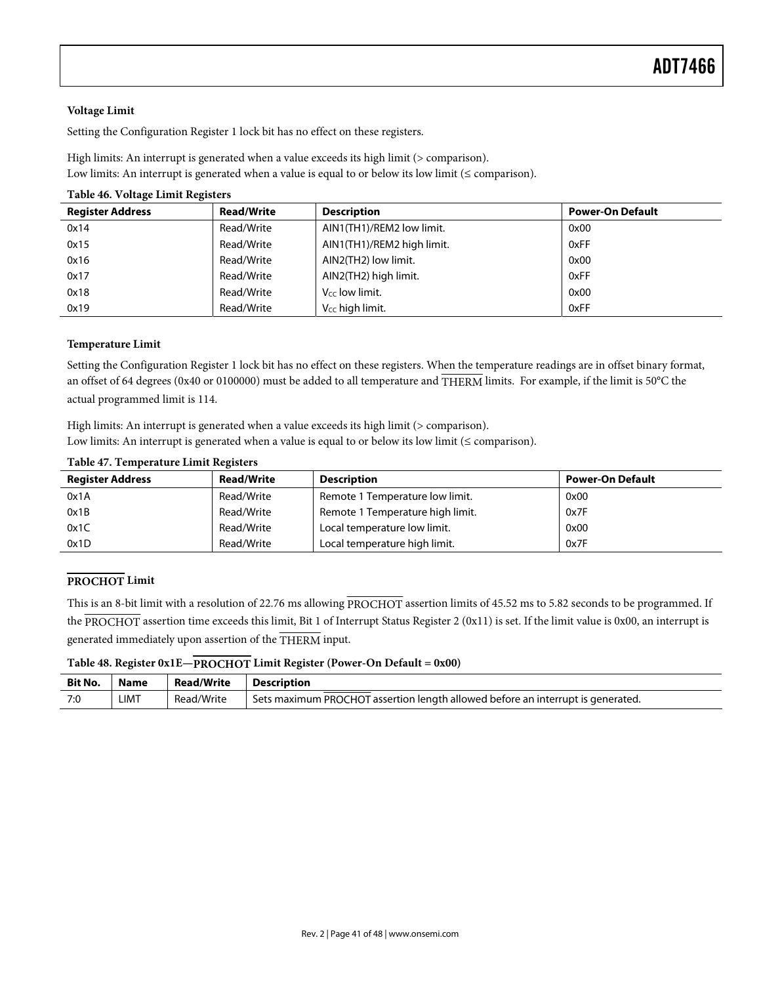#### **Voltage Limit**

Setting the Configuration Register 1 lock bit has no effect on these registers.

High limits: An interrupt is generated when a value exceeds its high limit (> comparison). Low limits: An interrupt is generated when a value is equal to or below its low limit ( $\leq$  comparison).

#### **Table 46. Voltage Limit Registers**

| <b>Register Address</b> | <b>Read/Write</b> | <b>Description</b>          | <b>Power-On Default</b> |
|-------------------------|-------------------|-----------------------------|-------------------------|
| 0x14                    | Read/Write        | AIN1(TH1)/REM2 low limit.   | 0x00                    |
| 0x15                    | Read/Write        | AIN1(TH1)/REM2 high limit.  | 0xFF                    |
| 0x16                    | Read/Write        | AIN2(TH2) low limit.        | 0x00                    |
| 0x17                    | Read/Write        | AIN2(TH2) high limit.       | 0xFF                    |
| 0x18                    | Read/Write        | V <sub>cc</sub> low limit.  | 0x00                    |
| 0x19                    | Read/Write        | V <sub>CC</sub> high limit. | 0xFF                    |

#### **Temperature Limit**

Setting the Configuration Register 1 lock bit has no effect on these registers. When the temperature readings are in offset binary format, an offset of 64 degrees (0x40 or 0100000) must be added to all temperature and THERM limits. For example, if the limit is 50°C the actual programmed limit is 114.

High limits: An interrupt is generated when a value exceeds its high limit (> comparison). Low limits: An interrupt is generated when a value is equal to or below its low limit (≤ comparison).

| <b>Register Address</b> | <b>Read/Write</b> | <b>Description</b>               | <b>Power-On Default</b> |
|-------------------------|-------------------|----------------------------------|-------------------------|
| 0x1A                    | Read/Write        | Remote 1 Temperature low limit.  | 0x00                    |
| 0x1B                    | Read/Write        | Remote 1 Temperature high limit. | 0x7F                    |
| 0x1C                    | Read/Write        | Local temperature low limit.     | 0x00                    |
| 0x1D                    | Read/Write        | Local temperature high limit.    | 0x7F                    |

#### **Table 47. Temperature Limit Registers**

#### **PROCHOT Limit**

This is an 8-bit limit with a resolution of 22.76 ms allowing PROCHOT assertion limits of 45.52 ms to 5.82 seconds to be programmed. If the PROCHOT assertion time exceeds this limit, Bit 1 of Interrupt Status Register 2 (0x11) is set. If the limit value is 0x00, an interrupt is generated immediately upon assertion of the THERM input.

#### **Table 48. Register 0x1E—PROCHOT Limit Register (Power-On Default = 0x00)**

| Bit No. | <b>Name</b> | <b>Read/Write</b> | <b>Description</b>                                                              |
|---------|-------------|-------------------|---------------------------------------------------------------------------------|
| 7:0     | LIMT        | Read/Write        | Sets maximum PROCHOT assertion length allowed before an interrupt is generated. |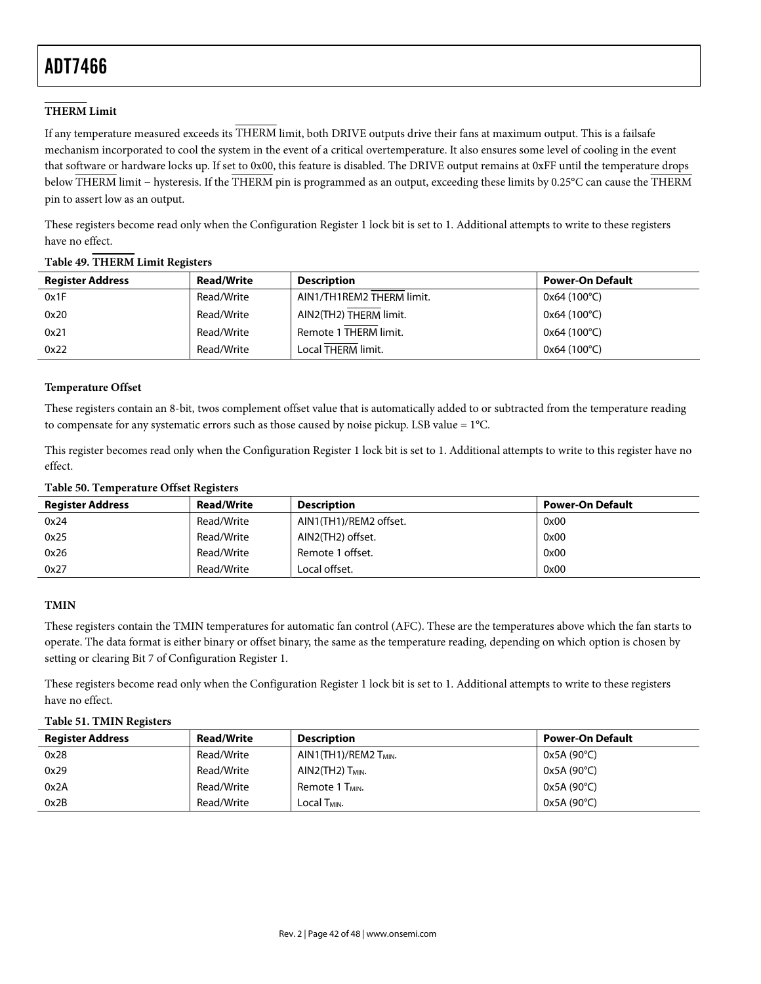### **THERM Limit**

If any temperature measured exceeds its THERM limit, both DRIVE outputs drive their fans at maximum output. This is a failsafe mechanism incorporated to cool the system in the event of a critical overtemperature. It also ensures some level of cooling in the event that software or hardware locks up. If set to 0x00, this feature is disabled. The DRIVE output remains at 0xFF until the temperature drops below THERM limit − hysteresis. If the THERM pin is programmed as an output, exceeding these limits by 0.25°C can cause the THERM pin to assert low as an output.

These registers become read only when the Configuration Register 1 lock bit is set to 1. Additional attempts to write to these registers have no effect.

| <b>Register Address</b> | <b>Read/Write</b> | <b>Description</b>        | <b>Power-On Default</b> |
|-------------------------|-------------------|---------------------------|-------------------------|
| 0x1F                    | Read/Write        | AIN1/TH1REM2 THERM limit. | $0x64(100^{\circ}C)$    |
| 0x20                    | Read/Write        | AIN2(TH2) THERM limit.    | $0x64(100^{\circ}C)$    |
| 0x21                    | Read/Write        | Remote 1 THERM limit.     | $0x64(100^{\circ}C)$    |
| 0x22                    | Read/Write        | Local THERM limit.        | 0x64 (100°C)            |

#### **Table 49. THERM Limit Registers**

#### **Temperature Offset**

These registers contain an 8-bit, twos complement offset value that is automatically added to or subtracted from the temperature reading to compensate for any systematic errors such as those caused by noise pickup. LSB value = 1°C.

This register becomes read only when the Configuration Register 1 lock bit is set to 1. Additional attempts to write to this register have no effect.

#### **Table 50. Temperature Offset Registers**

| <b>Register Address</b> | <b>Read/Write</b> | <b>Description</b>     | <b>Power-On Default</b> |
|-------------------------|-------------------|------------------------|-------------------------|
| 0x24                    | Read/Write        | AIN1(TH1)/REM2 offset. | 0x00                    |
| 0x25                    | Read/Write        | AIN2(TH2) offset.      | 0x00                    |
| 0x26                    | Read/Write        | Remote 1 offset.       | 0x00                    |
| 0x27                    | Read/Write        | Local offset.          | 0x00                    |

#### **TMIN**

These registers contain the TMIN temperatures for automatic fan control (AFC). These are the temperatures above which the fan starts to operate. The data format is either binary or offset binary, the same as the temperature reading, depending on which option is chosen by setting or clearing Bit 7 of Configuration Register 1.

These registers become read only when the Configuration Register 1 lock bit is set to 1. Additional attempts to write to these registers have no effect.

#### **Table 51. TMIN Registers**

| <b>Register Address</b> | <b>Read/Write</b> | <b>Description</b>           | Power-On Default    |
|-------------------------|-------------------|------------------------------|---------------------|
| 0x28                    | Read/Write        | $AIN1(TH1)/REM2$ $T_{MIN}$ . | $0x5A(90^{\circ}C)$ |
| 0x29                    | Read/Write        | $AlN2$ (TH $2$ ) $TMIN$ .    | 0x5A (90°C)         |
| 0x2A                    | Read/Write        | Remote 1 T <sub>MIN</sub> .  | $0x5A(90^{\circ}C)$ |
| 0x2B                    | Read/Write        | Local Тмм.                   | $0x5A(90^{\circ}C)$ |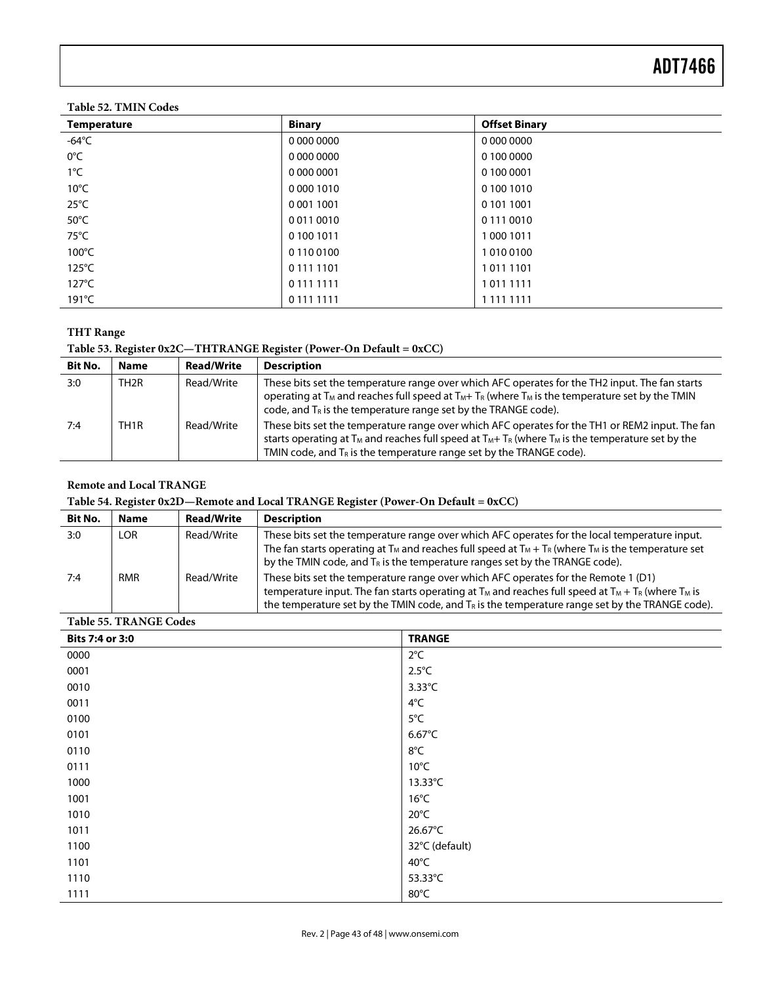### **Table 52. TMIN Codes**

| <b>Temperature</b> | <b>Binary</b> | <b>Offset Binary</b> |
|--------------------|---------------|----------------------|
| -64 $^{\circ}$ C   | 0 000 0000    | 0 000 0000           |
| $0^{\circ}$ C      | 0 000 0000    | 0 100 0000           |
| $1^{\circ}$ C      | 0 000 0001    | 0 100 0001           |
| $10^{\circ}$ C     | 0 000 1010    | 01001010             |
| $25^{\circ}$ C     | 0 001 1001    | 0 101 1001           |
| $50^{\circ}$ C     | 00110010      | 0 111 0010           |
| $75^{\circ}$ C     | 0 100 1011    | 10001011             |
| $100^{\circ}$ C    | 0 110 0100    | 10100100             |
| $125^{\circ}$ C    | 0 111 1101    | 10111101             |
| $127^{\circ}$ C    | 0 111 1111    | 10111111             |
| $191^{\circ}$ C    | 0 111 1111    | 1 1 1 1 1 1 1 1 1    |

### **THT Range**

# **Table 53. Register 0x2C—THTRANGE Register (Power-On Default = 0xCC)**

| <b>Bit No.</b> | <b>Name</b>       | <b>Read/Write</b> | <b>Description</b>                                                                                                                                                                                                                                                                                                    |
|----------------|-------------------|-------------------|-----------------------------------------------------------------------------------------------------------------------------------------------------------------------------------------------------------------------------------------------------------------------------------------------------------------------|
| 3:0            | TH <sub>2</sub> R | Read/Write        | These bits set the temperature range over which AFC operates for the TH2 input. The fan starts<br>operating at T <sub>M</sub> and reaches full speed at T <sub>M</sub> + T <sub>R</sub> (where T <sub>M</sub> is the temperature set by the TMIN<br>code, and $T_R$ is the temperature range set by the TRANGE code). |
| 7:4            | TH <sub>1</sub> R | Read/Write        | These bits set the temperature range over which AFC operates for the TH1 or REM2 input. The fan<br>starts operating at $T_M$ and reaches full speed at $T_M + T_R$ (where $T_M$ is the temperature set by the<br>TMIN code, and $T_R$ is the temperature range set by the TRANGE code).                               |

### **Remote and Local TRANGE**

### **Table 54. Register 0x2D—Remote and Local TRANGE Register (Power-On Default = 0xCC)**

| <b>Bit No.</b> | <b>Name</b> | <b>Read/Write</b> | <b>Description</b>                                                                                                                                                                                                                                                                                                                   |
|----------------|-------------|-------------------|--------------------------------------------------------------------------------------------------------------------------------------------------------------------------------------------------------------------------------------------------------------------------------------------------------------------------------------|
| 3:0            | LOR         | Read/Write        | These bits set the temperature range over which AFC operates for the local temperature input.<br>The fan starts operating at T <sub>M</sub> and reaches full speed at T <sub>M</sub> + T <sub>R</sub> (where T <sub>M</sub> is the temperature set<br>by the TMIN code, and $T_R$ is the temperature ranges set by the TRANGE code). |
| 7:4            | <b>RMR</b>  | Read/Write        | These bits set the temperature range over which AFC operates for the Remote 1 (D1)<br>temperature input. The fan starts operating at $T_M$ and reaches full speed at $T_M + T_R$ (where $T_M$ is<br>the temperature set by the TMIN code, and $T_R$ is the temperature range set by the TRANGE code).                                |

#### **Table 55. TRANGE Codes**

| Bits 7:4 or 3:0 | <b>TRANGE</b>    |
|-----------------|------------------|
| 0000            | $2^{\circ}$ C    |
| 0001            | $2.5^{\circ}$ C  |
| 0010            | $3.33^{\circ}$ C |
| 0011            | $4^{\circ}$ C    |
| 0100            | 5°C              |
| 0101            | $6.67^{\circ}$ C |
| 0110            | 8°C              |
| 0111            | $10^{\circ}$ C   |
| 1000            | 13.33°C          |
| 1001            | $16^{\circ}$ C   |
| 1010            | $20^{\circ}$ C   |
| 1011            | 26.67°C          |
| 1100            | 32°C (default)   |
| 1101            | $40^{\circ}$ C   |
| 1110            | 53.33°C          |
| 1111            | 80°C             |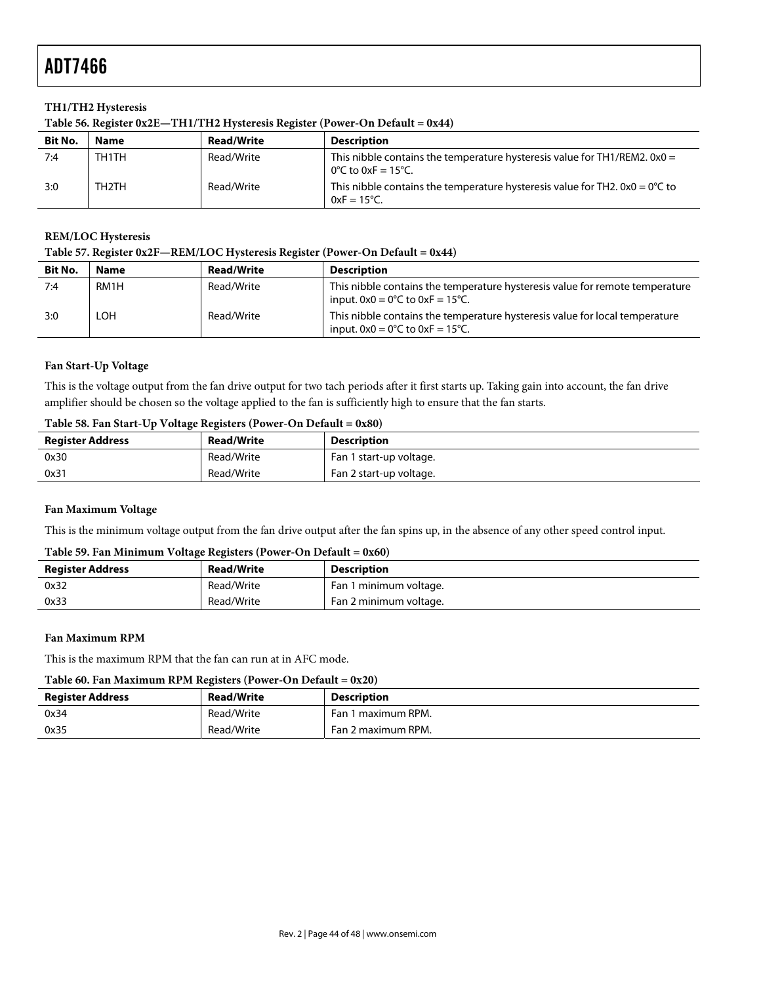#### **TH1/TH2 Hysteresis**

| Table 56. Register 0x2E-TH1/TH2 Hysteresis Register (Power-On Default = 0x44) |  |  |
|-------------------------------------------------------------------------------|--|--|
|                                                                               |  |  |

| <b>Bit No.</b> | Name  | <b>Read/Write</b> | <b>Description</b>                                                                                            |
|----------------|-------|-------------------|---------------------------------------------------------------------------------------------------------------|
| 7:4            | TH1TH | Read/Write        | This nibble contains the temperature hysteresis value for TH1/REM2. $0x0 =$<br>0°C to 0xF = 15°C.             |
| 3:0            | TH2TH | Read/Write        | This nibble contains the temperature hysteresis value for TH2. $0x0 = 0^{\circ}C$ to<br>$0xF = 15^{\circ}C$ . |

#### **REM/LOC Hysteresis**

#### **Table 57. Register 0x2F—REM/LOC Hysteresis Register (Power-On Default = 0x44)**

| <b>Bit No.</b> | <b>Name</b> | <b>Read/Write</b> | <b>Description</b>                                                                                                                  |
|----------------|-------------|-------------------|-------------------------------------------------------------------------------------------------------------------------------------|
| 7:4            | RM1H        | Read/Write        | This nibble contains the temperature hysteresis value for remote temperature<br>input. $0x0 = 0^{\circ}$ C to $0xF = 15^{\circ}$ C. |
| 3:0            | LOH         | Read/Write        | This nibble contains the temperature hysteresis value for local temperature<br>input. $0x0 = 0^{\circ}$ C to $0xF = 15^{\circ}$ C.  |

#### **Fan Start-Up Voltage**

This is the voltage output from the fan drive output for two tach periods after it first starts up. Taking gain into account, the fan drive amplifier should be chosen so the voltage applied to the fan is sufficiently high to ensure that the fan starts.

#### **Table 58. Fan Start-Up Voltage Registers (Power-On Default = 0x80)**

| <b>Register Address</b> | <b>Read/Write</b> | <b>Description</b>      |
|-------------------------|-------------------|-------------------------|
| 0x30                    | Read/Write        | Fan 1 start-up voltage. |
| 0x31                    | Read/Write        | Fan 2 start-up voltage. |

#### **Fan Maximum Voltage**

This is the minimum voltage output from the fan drive output after the fan spins up, in the absence of any other speed control input.

### **Table 59. Fan Minimum Voltage Registers (Power-On Default = 0x60)**

| Register Address | <b>Read/Write</b> | <b>Description</b>     |
|------------------|-------------------|------------------------|
| 0x32             | Read/Write        | Fan 1 minimum voltage. |
| 0x33             | Read/Write        | Fan 2 minimum voltage. |

#### **Fan Maximum RPM**

This is the maximum RPM that the fan can run at in AFC mode.

#### **Table 60. Fan Maximum RPM Registers (Power-On Default = 0x20)**

| Register Address | <b>Read/Write</b> | <b>Description</b>    |
|------------------|-------------------|-----------------------|
| 0x34             | Read/Write        | 1 maximum RPM.<br>Fan |
| 0x35             | Read/Write        | Fan 2 maximum RPM.    |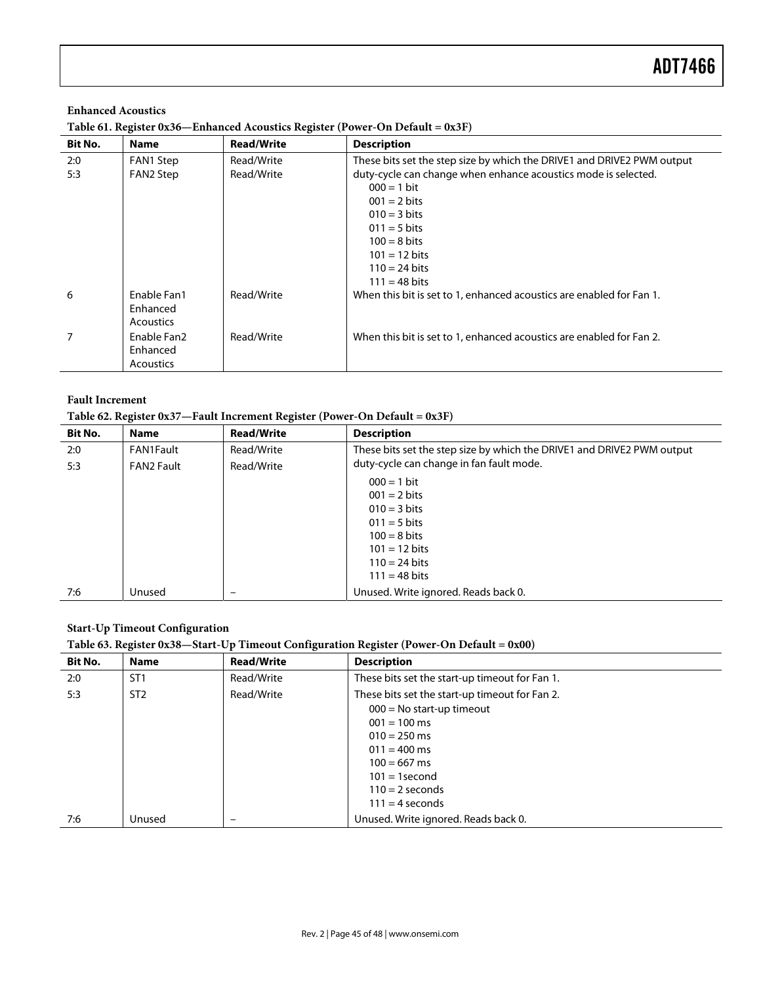# **Enhanced Acoustics Table 61. Register 0x36—Enhanced Acoustics Register (Power-On Default = 0x3F)**

| <b>Bit No.</b> | <b>Name</b>                                 | <b>Read/Write</b>        | <b>Description</b>                                                                                                                                                                                                                                                                           |
|----------------|---------------------------------------------|--------------------------|----------------------------------------------------------------------------------------------------------------------------------------------------------------------------------------------------------------------------------------------------------------------------------------------|
| 2:0<br>5:3     | FAN1 Step<br>FAN2 Step                      | Read/Write<br>Read/Write | These bits set the step size by which the DRIVE1 and DRIVE2 PWM output<br>duty-cycle can change when enhance acoustics mode is selected.<br>$000 = 1$ bit<br>$001 = 2 \text{ bits}$<br>$010 = 3 \text{ bits}$<br>$011 = 5 \text{ bits}$<br>$100 = 8 \text{ bits}$<br>$101 = 12 \text{ bits}$ |
|                |                                             |                          | $110 = 24 \text{ bits}$<br>$111 = 48 \text{ bits}$                                                                                                                                                                                                                                           |
| 6              | Enable Fan1<br>Enhanced<br><b>Acoustics</b> | Read/Write               | When this bit is set to 1, enhanced acoustics are enabled for Fan 1.                                                                                                                                                                                                                         |
| 7              | Enable Fan2<br>Enhanced<br><b>Acoustics</b> | Read/Write               | When this bit is set to 1, enhanced acoustics are enabled for Fan 2.                                                                                                                                                                                                                         |

#### **Fault Increment**

#### **Table 62. Register 0x37—Fault Increment Register (Power-On Default = 0x3F)**

| <b>Bit No.</b> | <b>Name</b>       | <b>Read/Write</b> | <b>Description</b>                                                     |
|----------------|-------------------|-------------------|------------------------------------------------------------------------|
| 2:0            | FAN1Fault         | Read/Write        | These bits set the step size by which the DRIVE1 and DRIVE2 PWM output |
| 5:3            | <b>FAN2 Fault</b> | Read/Write        | duty-cycle can change in fan fault mode.                               |
|                |                   |                   | $000 = 1$ bit                                                          |
|                |                   |                   | $001 = 2 \text{ bits}$                                                 |
|                |                   |                   | $010 = 3 \text{ bits}$                                                 |
|                |                   |                   | $011 = 5 \text{ bits}$                                                 |
|                |                   |                   | $100 = 8 \text{ bits}$                                                 |
|                |                   |                   | $101 = 12 \text{ bits}$                                                |
|                |                   |                   | $110 = 24 \text{ bits}$                                                |
|                |                   |                   | $111 = 48 \text{ bits}$                                                |
| 7:6            | Unused            | -                 | Unused. Write ignored. Reads back 0.                                   |

#### **Start-Up Timeout Configuration**

### **Table 63. Register 0x38—Start-Up Timeout Configuration Register (Power-On Default = 0x00)**

| <b>Bit No.</b> | <b>Name</b>     | <b>Read/Write</b> | <b>Description</b>                             |
|----------------|-----------------|-------------------|------------------------------------------------|
| 2:0            | ST <sub>1</sub> | Read/Write        | These bits set the start-up timeout for Fan 1. |
| 5:3            | ST <sub>2</sub> | Read/Write        | These bits set the start-up timeout for Fan 2. |
|                |                 |                   | $000 = No start-up$ timeout                    |
|                |                 |                   | $001 = 100$ ms                                 |
|                |                 |                   | $010 = 250$ ms                                 |
|                |                 |                   | $011 = 400$ ms                                 |
|                |                 |                   | $100 = 667$ ms                                 |
|                |                 |                   | $101 = 1$ second                               |
|                |                 |                   | $110 = 2$ seconds                              |
|                |                 |                   | $111 = 4$ seconds                              |
| 7:6            | Unused          | -                 | Unused. Write ignored. Reads back 0.           |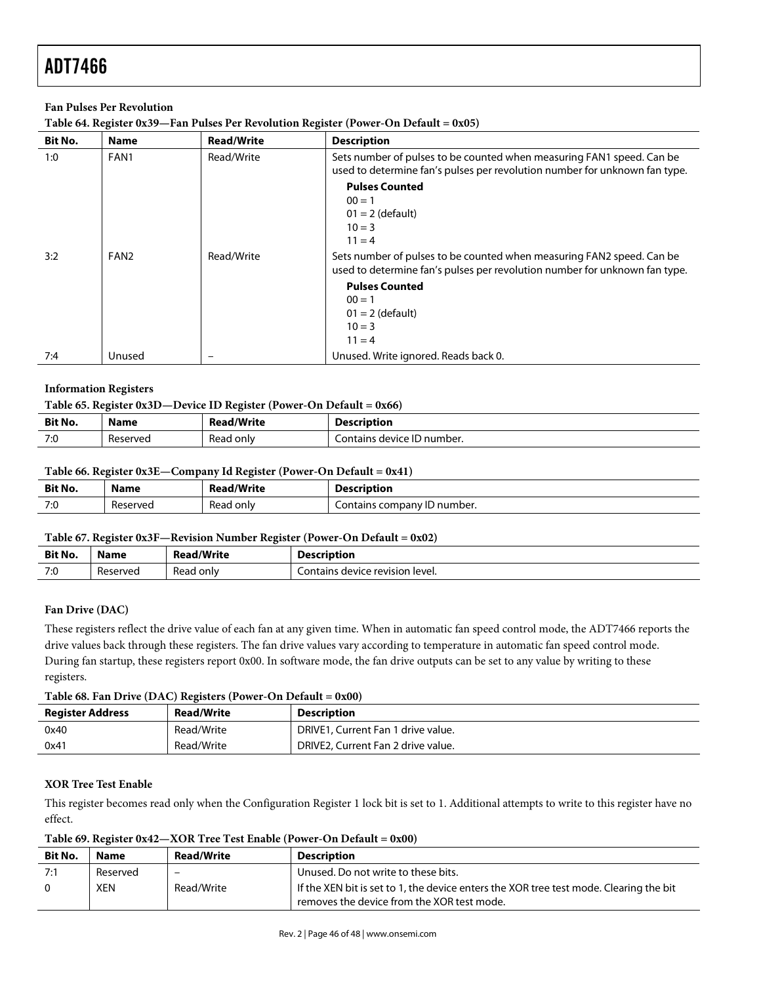#### **Fan Pulses Per Revolution**

| Table 64. Register 0x39—Fan Pulses Per Revolution Register (Power-On Default = 0x05) |  |  |
|--------------------------------------------------------------------------------------|--|--|
|                                                                                      |  |  |

| Bit No. | <b>Name</b>      | <b>Read/Write</b> | <b>Description</b>                                                                                                                                  |
|---------|------------------|-------------------|-----------------------------------------------------------------------------------------------------------------------------------------------------|
| 1:0     | FAN1             | Read/Write        | Sets number of pulses to be counted when measuring FAN1 speed. Can be<br>used to determine fan's pulses per revolution number for unknown fan type. |
|         |                  |                   | <b>Pulses Counted</b><br>$00 = 1$<br>$01 = 2$ (default)<br>$10 = 3$<br>$11 = 4$                                                                     |
| 3:2     | FAN <sub>2</sub> | Read/Write        | Sets number of pulses to be counted when measuring FAN2 speed. Can be<br>used to determine fan's pulses per revolution number for unknown fan type. |
|         |                  |                   | <b>Pulses Counted</b><br>$00 = 1$<br>$01 = 2$ (default)<br>$10 = 3$<br>$11 = 4$                                                                     |
| 7:4     | Unused           |                   | Unused. Write ignored. Reads back 0.                                                                                                                |

#### **Information Registers**

|         | Table 65. Register $0x3D$ —Device ID Register (Power-On Default = $0x66$ ) |                   |                            |  |  |
|---------|----------------------------------------------------------------------------|-------------------|----------------------------|--|--|
| Bit No. | Name                                                                       | <b>Read/Write</b> | <b>Description</b>         |  |  |
| 7:0     | Reserved                                                                   | Read only         | Contains device ID number. |  |  |

### **Table 66. Register 0x3E—Company Id Register (Power-On Default = 0x41)**

| <b>Bit No.</b> | Name     | <b>Read/Write</b> | <b>Description</b>          |
|----------------|----------|-------------------|-----------------------------|
| 7:0            | Reserved | Read only         | Contains company ID number. |

#### **Table 67. Register 0x3F—Revision Number Register (Power-On Default = 0x02)**

| Bit No. | Name     | ad/Write       | <b>Description</b>                                |
|---------|----------|----------------|---------------------------------------------------|
| 7:0     | Reserved | Reag<br>، onlv | $\bar{\gamma}$ device revision level.<br>_ontains |

#### **Fan Drive (DAC)**

These registers reflect the drive value of each fan at any given time. When in automatic fan speed control mode, the ADT7466 reports the drive values back through these registers. The fan drive values vary according to temperature in automatic fan speed control mode. During fan startup, these registers report 0x00. In software mode, the fan drive outputs can be set to any value by writing to these registers.

#### **Table 68. Fan Drive (DAC) Registers (Power-On Default = 0x00)**

| <b>Register Address</b> | <b>Read/Write</b> | <b>Description</b>                 |
|-------------------------|-------------------|------------------------------------|
| 0x40                    | Read/Write        | DRIVE1, Current Fan 1 drive value. |
| 0x41                    | Read/Write        | DRIVE2, Current Fan 2 drive value. |

#### **XOR Tree Test Enable**

This register becomes read only when the Configuration Register 1 lock bit is set to 1. Additional attempts to write to this register have no effect.

**Table 69. Register 0x42—XOR Tree Test Enable (Power-On Default = 0x00)** 

| <b>Bit No.</b> | <b>Name</b> | <b>Read/Write</b> | <b>Description</b>                                                                                                                   |
|----------------|-------------|-------------------|--------------------------------------------------------------------------------------------------------------------------------------|
| 7:1            | Reserved    | -                 | Unused. Do not write to these bits.                                                                                                  |
|                | XEN         | Read/Write        | If the XEN bit is set to 1, the device enters the XOR tree test mode. Clearing the bit<br>removes the device from the XOR test mode. |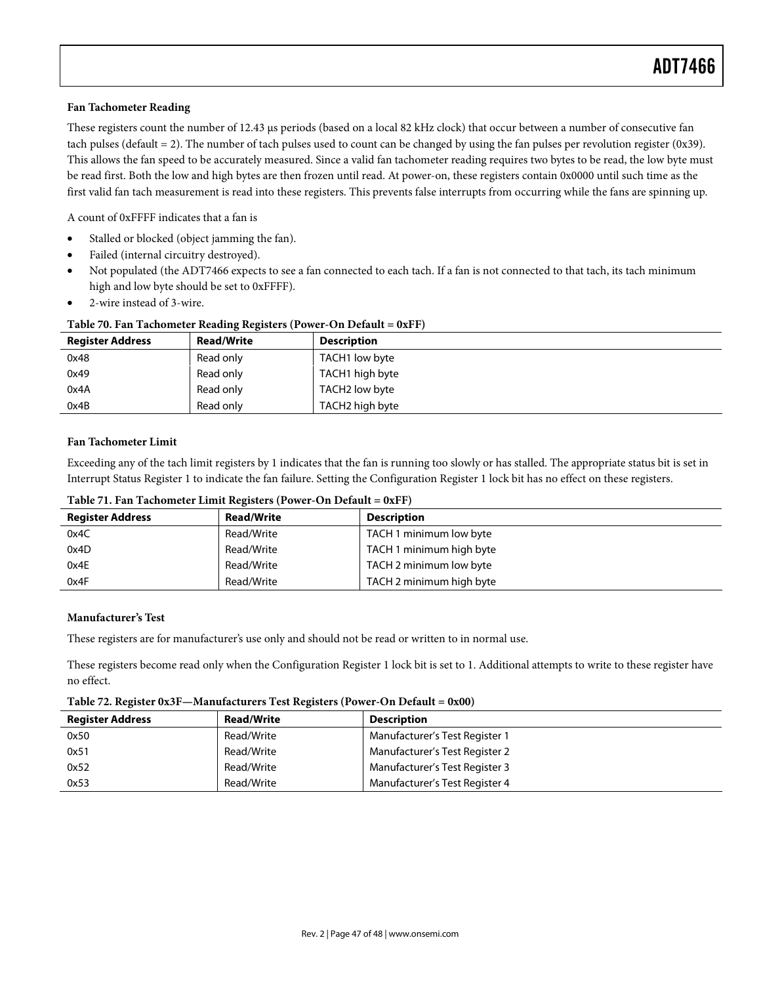#### **Fan Tachometer Reading**

These registers count the number of 12.43 us periods (based on a local 82 kHz clock) that occur between a number of consecutive fan tach pulses (default = 2). The number of tach pulses used to count can be changed by using the fan pulses per revolution register (0x39). This allows the fan speed to be accurately measured. Since a valid fan tachometer reading requires two bytes to be read, the low byte must be read first. Both the low and high bytes are then frozen until read. At power-on, these registers contain 0x0000 until such time as the first valid fan tach measurement is read into these registers. This prevents false interrupts from occurring while the fans are spinning up.

A count of 0xFFFF indicates that a fan is

- Stalled or blocked (object jamming the fan).
- Failed (internal circuitry destroyed).
- Not populated (the ADT7466 expects to see a fan connected to each tach. If a fan is not connected to that tach, its tach minimum high and low byte should be set to 0xFFFF).
- 2-wire instead of 3-wire.

| Table 70. Fan Tachometer Reading Registers (Power-On Default = $0xFF$ ) |                   |                    |  |  |  |
|-------------------------------------------------------------------------|-------------------|--------------------|--|--|--|
| <b>Register Address</b>                                                 | <b>Read/Write</b> | <b>Description</b> |  |  |  |
| 0x48                                                                    | Read only         | TACH1 low byte     |  |  |  |
| 0x49                                                                    | Read only         | TACH1 high byte    |  |  |  |
| 0x4A                                                                    | Read only         | TACH2 low byte     |  |  |  |
| 0x4B                                                                    | Read only         | TACH2 high byte    |  |  |  |

#### **Fan Tachometer Limit**

Exceeding any of the tach limit registers by 1 indicates that the fan is running too slowly or has stalled. The appropriate status bit is set in Interrupt Status Register 1 to indicate the fan failure. Setting the Configuration Register 1 lock bit has no effect on these registers.

| <b>Register Address</b> | <b>Read/Write</b> | Description              |
|-------------------------|-------------------|--------------------------|
| 0x4C                    | Read/Write        | TACH 1 minimum low byte  |
| 0x4D                    | Read/Write        | TACH 1 minimum high byte |
| 0x4E                    | Read/Write        | TACH 2 minimum low byte  |
| 0x4F                    | Read/Write        | TACH 2 minimum high byte |

**Table 71. Fan Tachometer Limit Registers (Power-On Default = 0xFF)** 

#### **Manufacturer's Test**

These registers are for manufacturer's use only and should not be read or written to in normal use.

These registers become read only when the Configuration Register 1 lock bit is set to 1. Additional attempts to write to these register have no effect.

**Table 72. Register 0x3F—Manufacturers Test Registers (Power-On Default = 0x00)** 

| <b>Register Address</b> | <b>Read/Write</b> | <b>Description</b>             |
|-------------------------|-------------------|--------------------------------|
| 0x50                    | Read/Write        | Manufacturer's Test Register 1 |
| 0x51                    | Read/Write        | Manufacturer's Test Register 2 |
| 0x52                    | Read/Write        | Manufacturer's Test Register 3 |
| 0x53                    | Read/Write        | Manufacturer's Test Register 4 |